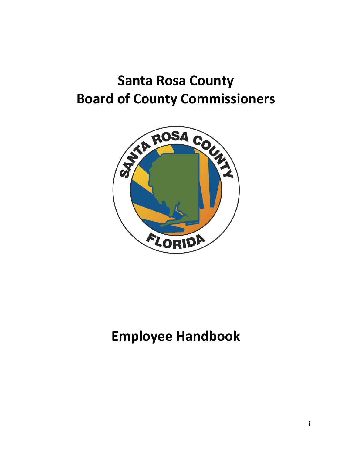# **Santa Rosa County Board of County Commissioners**



## **Employee Handbook**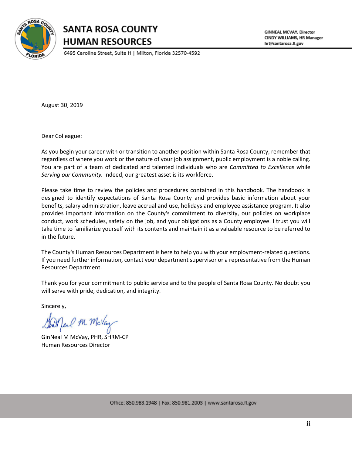

### **SANTA ROSA COUNTY HUMAN RESOURCES**

6495 Caroline Street, Suite H | Milton, Florida 32570-4592

**GINNEAL MCVAY, Director** CINDY WILLIAMS, HR Manager hr@santarosa.fl.gov

August 30, 2019

Dear Colleague:

As you begin your career with or transition to another position within Santa Rosa County, remember that regardless of where you work or the nature of your job assignment, public employment is a noble calling. You are part of a team of dedicated and talented individuals who are *Committed to Excellence* while *Serving our Community.* Indeed, our greatest asset is its workforce.

Please take time to review the policies and procedures contained in this handbook. The handbook is designed to identify expectations of Santa Rosa County and provides basic information about your benefits, salary administration, leave accrual and use, holidays and employee assistance program. It also provides important information on the County's commitment to diversity, our policies on workplace conduct, work schedules, safety on the job, and your obligations as a County employee. I trust you will take time to familiarize yourself with its contents and maintain it as a valuable resource to be referred to in the future.

The County's Human Resources Department is here to help you with your employment-related questions. If you need further information, contact your department supervisor or a representative from the Human Resources Department.

Thank you for your commitment to public service and to the people of Santa Rosa County. No doubt you will serve with pride, dedication, and integrity.

Sincerely,

GodAfeal Mr. McVay

GinNeal M McVay, PHR, SHRM-CP Human Resources Director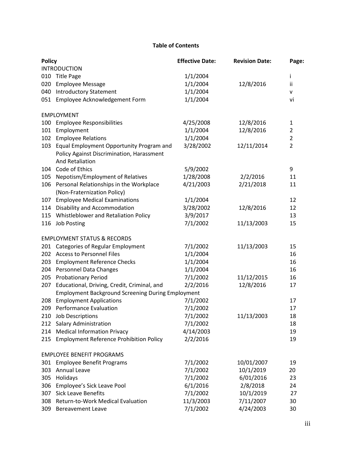#### **Table of Contents**

| <b>Policy</b> |                                                                                                          | <b>Effective Date:</b> | <b>Revision Date:</b> | Page:          |
|---------------|----------------------------------------------------------------------------------------------------------|------------------------|-----------------------|----------------|
|               | <b>INTRODUCTION</b>                                                                                      |                        |                       |                |
| 010           | <b>Title Page</b>                                                                                        | 1/1/2004               |                       | j.             |
| 020           | <b>Employee Message</b>                                                                                  | 1/1/2004               | 12/8/2016             | ii             |
| 040           | <b>Introductory Statement</b>                                                                            | 1/1/2004               |                       | v              |
| 051           | Employee Acknowledgement Form                                                                            | 1/1/2004               |                       | vi             |
|               | <b>EMPLOYMENT</b>                                                                                        |                        |                       |                |
| 100           | <b>Employee Responsibilities</b>                                                                         | 4/25/2008              | 12/8/2016             | 1              |
| 101           | Employment                                                                                               | 1/1/2004               | 12/8/2016             | $\overline{2}$ |
| 102           | <b>Employee Relations</b>                                                                                | 1/1/2004               |                       | $\overline{2}$ |
| 103           | Equal Employment Opportunity Program and<br>Policy Against Discrimination, Harassment<br>And Retaliation | 3/28/2002              | 12/11/2014            | $\overline{2}$ |
| 104           | Code of Ethics                                                                                           | 5/9/2002               |                       | 9              |
| 105           | Nepotism/Employment of Relatives                                                                         | 1/28/2008              | 2/2/2016              | 11             |
| 106           | Personal Relationships in the Workplace<br>(Non-Fraternization Policy)                                   | 4/21/2003              | 2/21/2018             | 11             |
| 107           | <b>Employee Medical Examinations</b>                                                                     | 1/1/2004               |                       | 12             |
| 114           | Disability and Accommodation                                                                             | 3/28/2002              | 12/8/2016             | 12             |
| 115           | Whistleblower and Retaliation Policy                                                                     | 3/9/2017               |                       | 13             |
| 116           | <b>Job Posting</b>                                                                                       | 7/1/2002               | 11/13/2003            | 15             |
|               | <b>EMPLOYMENT STATUS &amp; RECORDS</b>                                                                   |                        |                       |                |
| 201           | <b>Categories of Regular Employment</b>                                                                  | 7/1/2002               | 11/13/2003            | 15             |
| 202           | <b>Access to Personnel Files</b>                                                                         | 1/1/2004               |                       | 16             |
| 203           | <b>Employment Reference Checks</b>                                                                       | 1/1/2004               |                       | 16             |
| 204           | <b>Personnel Data Changes</b>                                                                            | 1/1/2004               |                       | 16             |
| 205           | <b>Probationary Period</b>                                                                               | 7/1/2002               | 11/12/2015            | 16             |
| 207           | Educational, Driving, Credit, Criminal, and                                                              | 2/2/2016               | 12/8/2016             | 17             |
|               | <b>Employment Background Screening During Employment</b>                                                 |                        |                       |                |
| 208           | <b>Employment Applications</b>                                                                           | 7/1/2002               |                       | 17             |
| 209           | <b>Performance Evaluation</b>                                                                            | 7/1/2002               |                       | 17             |
| 210           | Job Descriptions                                                                                         | 7/1/2002               | 11/13/2003            | 18             |
| 212           | <b>Salary Administration</b>                                                                             | 7/1/2002               |                       | 18             |
| 214           | <b>Medical Information Privacy</b>                                                                       | 4/14/2003              |                       | 19             |
| 215           | <b>Employment Reference Prohibition Policy</b>                                                           | 2/2/2016               |                       | 19             |
|               | <b>EMPLOYEE BENEFIT PROGRAMS</b>                                                                         |                        |                       |                |
| 301           | <b>Employee Benefit Programs</b>                                                                         | 7/1/2002               | 10/01/2007            | 19             |
| 303           | Annual Leave                                                                                             | 7/1/2002               | 10/1/2019             | 20             |
| 305           | Holidays                                                                                                 | 7/1/2002               | 6/01/2016             | 23             |
| 306           | Employee's Sick Leave Pool                                                                               | 6/1/2016               | 2/8/2018              | 24             |
| 307           | <b>Sick Leave Benefits</b>                                                                               | 7/1/2002               | 10/1/2019             | 27             |
| 308           | Return-to-Work Medical Evaluation                                                                        | 11/3/2003              | 7/11/2007             | 30             |
| 309           | <b>Bereavement Leave</b>                                                                                 | 7/1/2002               | 4/24/2003             | 30             |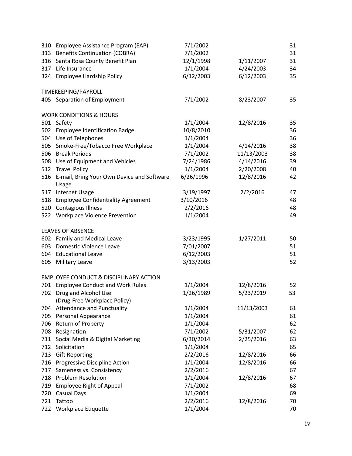| 310 | Employee Assistance Program (EAP)                   | 7/1/2002  |            | 31 |
|-----|-----------------------------------------------------|-----------|------------|----|
| 313 | <b>Benefits Continuation (COBRA)</b>                | 7/1/2002  |            | 31 |
| 316 | Santa Rosa County Benefit Plan                      | 12/1/1998 | 1/11/2007  | 31 |
| 317 | Life Insurance                                      | 1/1/2004  | 4/24/2003  | 34 |
| 324 | <b>Employee Hardship Policy</b>                     | 6/12/2003 | 6/12/2003  | 35 |
|     | TIMEKEEPING/PAYROLL                                 |           |            |    |
|     | 405 Separation of Employment                        | 7/1/2002  | 8/23/2007  | 35 |
|     | <b>WORK CONDITIONS &amp; HOURS</b>                  |           |            |    |
| 501 | Safety                                              | 1/1/2004  | 12/8/2016  | 35 |
| 502 | <b>Employee Identification Badge</b>                | 10/8/2010 |            | 36 |
| 504 | Use of Telephones                                   | 1/1/2004  |            | 36 |
| 505 | Smoke-Free/Tobacco Free Workplace                   | 1/1/2004  | 4/14/2016  | 38 |
| 506 | <b>Break Periods</b>                                | 7/1/2002  | 11/13/2003 | 38 |
|     | 508 Use of Equipment and Vehicles                   | 7/24/1986 | 4/14/2016  | 39 |
| 512 | <b>Travel Policy</b>                                | 1/1/2004  | 2/20/2008  | 40 |
| 516 | E-mail, Bring Your Own Device and Software<br>Usage | 6/26/1996 | 12/8/2016  | 42 |
| 517 | <b>Internet Usage</b>                               | 3/19/1997 | 2/2/2016   | 47 |
| 518 | <b>Employee Confidentiality Agreement</b>           | 3/10/2016 |            | 48 |
| 520 | <b>Contagious Illness</b>                           | 2/2/2016  |            | 48 |
| 522 | Workplace Violence Prevention                       | 1/1/2004  |            | 49 |
|     | <b>LEAVES OF ABSENCE</b>                            |           |            |    |
| 602 | Family and Medical Leave                            | 3/23/1995 | 1/27/2011  | 50 |
| 603 | Domestic Violence Leave                             | 7/01/2007 |            | 51 |
| 604 | <b>Educational Leave</b>                            | 6/12/2003 |            | 51 |
| 605 | Military Leave                                      | 3/13/2003 |            | 52 |
|     | <b>EMPLOYEE CONDUCT &amp; DISCIPLINARY ACTION</b>   |           |            |    |
| 701 | <b>Employee Conduct and Work Rules</b>              | 1/1/2004  | 12/8/2016  | 52 |
| 702 | Drug and Alcohol Use                                | 1/26/1989 | 5/23/2019  | 53 |
|     | (Drug-Free Workplace Policy)                        |           |            |    |
| 704 | <b>Attendance and Punctuality</b>                   | 1/1/2004  | 11/13/2003 | 61 |
| 705 | Personal Appearance                                 | 1/1/2004  |            | 61 |
| 706 | Return of Property                                  | 1/1/2004  |            | 62 |
| 708 | Resignation                                         | 7/1/2002  | 5/31/2007  | 62 |
| 711 | Social Media & Digital Marketing                    | 6/30/2014 | 2/25/2016  | 63 |
| 712 | Solicitation                                        | 1/1/2004  |            | 65 |
| 713 | <b>Gift Reporting</b>                               | 2/2/2016  | 12/8/2016  | 66 |
| 716 | Progressive Discipline Action                       | 1/1/2004  | 12/8/2016  | 66 |
| 717 | Sameness vs. Consistency                            | 2/2/2016  |            | 67 |
| 718 | <b>Problem Resolution</b>                           | 1/1/2004  | 12/8/2016  | 67 |
| 719 | <b>Employee Right of Appeal</b>                     | 7/1/2002  |            | 68 |
| 720 | Casual Days                                         | 1/1/2004  |            | 69 |
| 721 | Tattoo                                              | 2/2/2016  | 12/8/2016  | 70 |
| 722 | Workplace Etiquette                                 | 1/1/2004  |            | 70 |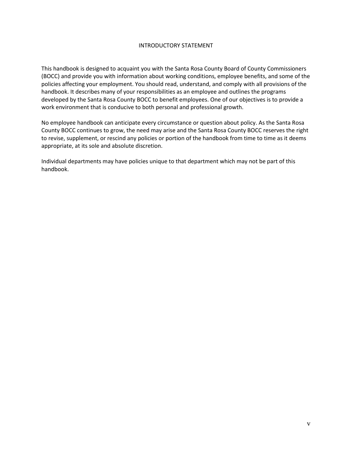#### INTRODUCTORY STATEMENT

This handbook is designed to acquaint you with the Santa Rosa County Board of County Commissioners (BOCC) and provide you with information about working conditions, employee benefits, and some of the policies affecting your employment. You should read, understand, and comply with all provisions of the handbook. It describes many of your responsibilities as an employee and outlines the programs developed by the Santa Rosa County BOCC to benefit employees. One of our objectives is to provide a work environment that is conducive to both personal and professional growth.

No employee handbook can anticipate every circumstance or question about policy. As the Santa Rosa County BOCC continues to grow, the need may arise and the Santa Rosa County BOCC reserves the right to revise, supplement, or rescind any policies or portion of the handbook from time to time as it deems appropriate, at its sole and absolute discretion.

Individual departments may have policies unique to that department which may not be part of this handbook.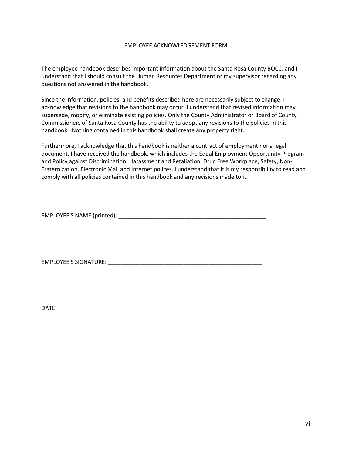#### EMPLOYEE ACKNOWLEDGEMENT FORM

The employee handbook describes important information about the Santa Rosa County BOCC, and I understand that I should consult the Human Resources Department or my supervisor regarding any questions not answered in the handbook.

Since the information, policies, and benefits described here are necessarily subject to change, I acknowledge that revisions to the handbook may occur. I understand that revised information may supersede, modify, or eliminate existing policies. Only the County Administrator or Board of County Commissioners of Santa Rosa County has the ability to adopt any revisions to the policies in this handbook. Nothing contained in this handbook shall create any property right.

Furthermore, I acknowledge that this handbook is neither a contract of employment nor a legal document. I have received the handbook, which includes the Equal Employment Opportunity Program and Policy against Discrimination, Harassment and Retaliation, Drug Free Workplace, Safety, Non-Fraternization, Electronic Mail and Internet polices. I understand that it is my responsibility to read and comply with all policies contained in this handbook and any revisions made to it.

EMPLOYEE'S NAME (printed): \_\_\_\_\_\_\_\_\_\_\_\_\_\_\_\_\_\_\_\_\_\_\_\_\_\_\_\_\_\_\_\_\_\_\_\_\_\_\_\_\_\_\_\_\_\_\_

EMPLOYEE'S SIGNATURE: \_\_\_\_\_\_\_\_\_\_\_\_\_\_\_\_\_\_\_\_\_\_\_\_\_\_\_\_\_\_\_\_\_\_\_\_\_\_\_\_\_\_\_\_\_\_\_\_\_

DATE: \_\_\_\_\_\_\_\_\_\_\_\_\_\_\_\_\_\_\_\_\_\_\_\_\_\_\_\_\_\_\_\_\_\_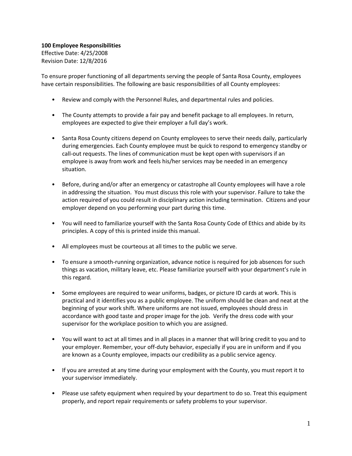**100 Employee Responsibilities** Effective Date: 4/25/2008 Revision Date: 12/8/2016

To ensure proper functioning of all departments serving the people of Santa Rosa County, employees have certain responsibilities. The following are basic responsibilities of all County employees:

- Review and comply with the Personnel Rules, and departmental rules and policies.
- The County attempts to provide a fair pay and benefit package to all employees. In return, employees are expected to give their employer a full day's work.
- Santa Rosa County citizens depend on County employees to serve their needs daily, particularly during emergencies. Each County employee must be quick to respond to emergency standby or call-out requests. The lines of communication must be kept open with supervisors if an employee is away from work and feels his/her services may be needed in an emergency situation.
- Before, during and/or after an emergency or catastrophe all County employees will have a role in addressing the situation. You must discuss this role with your supervisor. Failure to take the action required of you could result in disciplinary action including termination. Citizens and your employer depend on you performing your part during this time.
- You will need to familiarize yourself with the Santa Rosa County Code of Ethics and abide by its principles. A copy of this is printed inside this manual.
- All employees must be courteous at all times to the public we serve.
- To ensure a smooth-running organization, advance notice is required for job absences for such things as vacation, military leave, etc. Please familiarize yourself with your department's rule in this regard.
- Some employees are required to wear uniforms, badges, or picture ID cards at work. This is practical and it identifies you as a public employee. The uniform should be clean and neat at the beginning of your work shift. Where uniforms are not issued, employees should dress in accordance with good taste and proper image for the job. Verify the dress code with your supervisor for the workplace position to which you are assigned.
- You will want to act at all times and in all places in a manner that will bring credit to you and to your employer. Remember, your off-duty behavior, especially if you are in uniform and if you are known as a County employee, impacts our credibility as a public service agency.
- If you are arrested at any time during your employment with the County, you must report it to your supervisor immediately.
- Please use safety equipment when required by your department to do so. Treat this equipment properly, and report repair requirements or safety problems to your supervisor.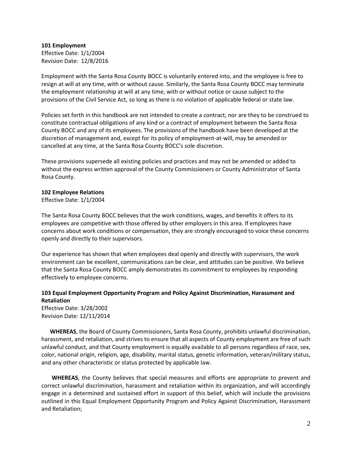**101 Employment** Effective Date: 1/1/2004 Revision Date: 12/8/2016

Employment with the Santa Rosa County BOCC is voluntarily entered into, and the employee is free to resign at will at any time, with or without cause. Similarly, the Santa Rosa County BOCC may terminate the employment relationship at will at any time, with or without notice or cause subject to the provisions of the Civil Service Act, so long as there is no violation of applicable federal or state law.

Policies set forth in this handbook are not intended to create a contract, nor are they to be construed to constitute contractual obligations of any kind or a contract of employment between the Santa Rosa County BOCC and any of its employees. The provisions of the handbook have been developed at the discretion of management and, except for its policy of employment-at-will, may be amended or cancelled at any time, at the Santa Rosa County BOCC's sole discretion.

These provisions supersede all existing policies and practices and may not be amended or added to without the express written approval of the County Commissioners or County Administrator of Santa Rosa County.

#### **102 Employee Relations**

Effective Date: 1/1/2004

The Santa Rosa County BOCC believes that the work conditions, wages, and benefits it offers to its employees are competitive with those offered by other employers in this area. If employees have concerns about work conditions or compensation, they are strongly encouraged to voice these concerns openly and directly to their supervisors.

Our experience has shown that when employees deal openly and directly with supervisors, the work environment can be excellent, communications can be clear, and attitudes can be positive. We believe that the Santa Rosa County BOCC amply demonstrates its commitment to employees by responding effectively to employee concerns.

#### **103 Equal Employment Opportunity Program and Policy Against Discrimination, Harassment and Retaliation**

Effective Date: 3/28/2002 Revision Date: 12/11/2014

 **WHEREAS**, the Board of County Commissioners, Santa Rosa County, prohibits unlawful discrimination, harassment, and retaliation, and strives to ensure that all aspects of County employment are free of such unlawful conduct, and that County employment is equally available to all persons regardless of race, sex, color, national origin, religion, age, disability, marital status, genetic information, veteran/military status, and any other characteristic or status protected by applicable law.

**WHEREAS**, the County believes that special measures and efforts are appropriate to prevent and correct unlawful discrimination, harassment and retaliation within its organization, and will accordingly engage in a determined and sustained effort in support of this belief, which will include the provisions outlined in this Equal Employment Opportunity Program and Policy Against Discrimination, Harassment and Retaliation;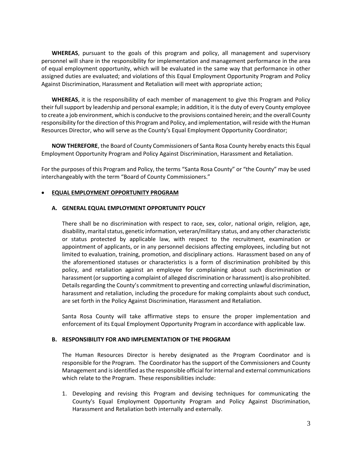**WHEREAS**, pursuant to the goals of this program and policy, all management and supervisory personnel will share in the responsibility for implementation and management performance in the area of equal employment opportunity, which will be evaluated in the same way that performance in other assigned duties are evaluated; and violations of this Equal Employment Opportunity Program and Policy Against Discrimination, Harassment and Retaliation will meet with appropriate action;

**WHEREAS**, it is the responsibility of each member of management to give this Program and Policy their full support by leadership and personal example; in addition, it is the duty of every County employee to create a job environment, which is conducive to the provisions contained herein; and the overall County responsibility for the direction of this Program and Policy, and implementation, will reside with the Human Resources Director, who will serve as the County's Equal Employment Opportunity Coordinator;

**NOW THEREFORE**, the Board of County Commissioners of Santa Rosa County hereby enacts this Equal Employment Opportunity Program and Policy Against Discrimination, Harassment and Retaliation.

For the purposes of this Program and Policy, the terms "Santa Rosa County" or "the County" may be used interchangeably with the term "Board of County Commissioners."

#### • **EQUAL EMPLOYMENT OPPORTUNITY PROGRAM**

#### **A. GENERAL EQUAL EMPLOYMENT OPPORTUNITY POLICY**

There shall be no discrimination with respect to race, sex, color, national origin, religion, age, disability, marital status, genetic information, veteran/military status, and any other characteristic or status protected by applicable law, with respect to the recruitment, examination or appointment of applicants, or in any personnel decisions affecting employees, including but not limited to evaluation, training, promotion, and disciplinary actions. Harassment based on any of the aforementioned statuses or characteristics is a form of discrimination prohibited by this policy, and retaliation against an employee for complaining about such discrimination or harassment (or supporting a complaint of alleged discrimination or harassment) is also prohibited. Details regarding the County's commitment to preventing and correcting unlawful discrimination, harassment and retaliation, including the procedure for making complaints about such conduct, are set forth in the Policy Against Discrimination, Harassment and Retaliation.

Santa Rosa County will take affirmative steps to ensure the proper implementation and enforcement of its Equal Employment Opportunity Program in accordance with applicable law.

#### **B. RESPONSIBILITY FOR AND IMPLEMENTATION OF THE PROGRAM**

The Human Resources Director is hereby designated as the Program Coordinator and is responsible for the Program. The Coordinator has the support of the Commissioners and County Management and is identified as the responsible official for internal and external communications which relate to the Program. These responsibilities include:

1. Developing and revising this Program and devising techniques for communicating the County's Equal Employment Opportunity Program and Policy Against Discrimination, Harassment and Retaliation both internally and externally.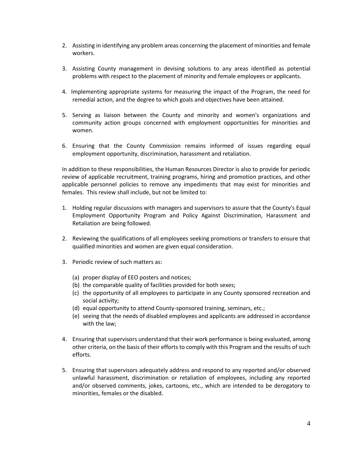- 2. Assisting in identifying any problem areas concerning the placement of minorities and female workers.
- 3. Assisting County management in devising solutions to any areas identified as potential problems with respect to the placement of minority and female employees or applicants.
- 4. Implementing appropriate systems for measuring the impact of the Program, the need for remedial action, and the degree to which goals and objectives have been attained.
- 5. Serving as liaison between the County and minority and women's organizations and community action groups concerned with employment opportunities for minorities and women.
- 6. Ensuring that the County Commission remains informed of issues regarding equal employment opportunity, discrimination, harassment and retaliation.

In addition to these responsibilities, the Human Resources Director is also to provide for periodic review of applicable recruitment, training programs, hiring and promotion practices, and other applicable personnel policies to remove any impediments that may exist for minorities and females. This review shall include, but not be limited to:

- 1. Holding regular discussions with managers and supervisors to assure that the County's Equal Employment Opportunity Program and Policy Against Discrimination, Harassment and Retaliation are being followed.
- 2. Reviewing the qualifications of all employees seeking promotions or transfers to ensure that qualified minorities and women are given equal consideration.
- 3. Periodic review of such matters as:
	- (a) proper display of EEO posters and notices;
	- (b) the comparable quality of facilities provided for both sexes;
	- (c) the opportunity of all employees to participate in any County sponsored recreation and social activity;
	- (d) equal opportunity to attend County-sponsored training, seminars, etc.;
	- (e) seeing that the needs of disabled employees and applicants are addressed in accordance with the law;
- 4. Ensuring that supervisors understand that their work performance is being evaluated, among other criteria, on the basis of their efforts to comply with this Program and the results of such efforts.
- 5. Ensuring that supervisors adequately address and respond to any reported and/or observed unlawful harassment, discrimination or retaliation of employees, including any reported and/or observed comments, jokes, cartoons, etc., which are intended to be derogatory to minorities, females or the disabled.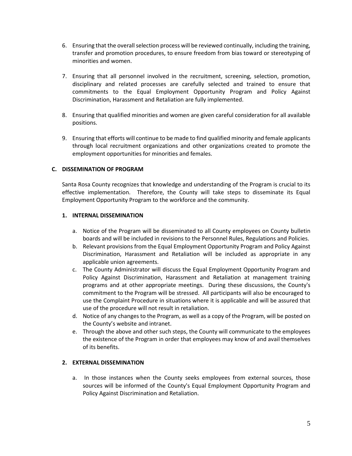- 6. Ensuring that the overall selection process will be reviewed continually, including the training, transfer and promotion procedures, to ensure freedom from bias toward or stereotyping of minorities and women.
- 7. Ensuring that all personnel involved in the recruitment, screening, selection, promotion, disciplinary and related processes are carefully selected and trained to ensure that commitments to the Equal Employment Opportunity Program and Policy Against Discrimination, Harassment and Retaliation are fully implemented.
- 8. Ensuring that qualified minorities and women are given careful consideration for all available positions.
- 9. Ensuring that efforts will continue to be made to find qualified minority and female applicants through local recruitment organizations and other organizations created to promote the employment opportunities for minorities and females.

#### **C. DISSEMINATION OF PROGRAM**

Santa Rosa County recognizes that knowledge and understanding of the Program is crucial to its effective implementation. Therefore, the County will take steps to disseminate its Equal Employment Opportunity Program to the workforce and the community.

#### **1. INTERNAL DISSEMINATION**

- a. Notice of the Program will be disseminated to all County employees on County bulletin boards and will be included in revisions to the Personnel Rules, Regulations and Policies.
- b. Relevant provisions from the Equal Employment Opportunity Program and Policy Against Discrimination, Harassment and Retaliation will be included as appropriate in any applicable union agreements.
- c. The County Administrator will discuss the Equal Employment Opportunity Program and Policy Against Discrimination, Harassment and Retaliation at management training programs and at other appropriate meetings. During these discussions, the County's commitment to the Program will be stressed. All participants will also be encouraged to use the Complaint Procedure in situations where it is applicable and will be assured that use of the procedure will not result in retaliation.
- d. Notice of any changes to the Program, as well as a copy of the Program, will be posted on the County's website and intranet.
- e. Through the above and other such steps, the County will communicate to the employees the existence of the Program in order that employees may know of and avail themselves of its benefits.

#### **2. EXTERNAL DISSEMINATION**

a. In those instances when the County seeks employees from external sources, those sources will be informed of the County's Equal Employment Opportunity Program and Policy Against Discrimination and Retaliation.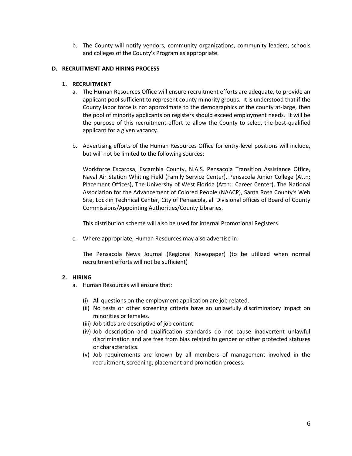b. The County will notify vendors, community organizations, community leaders, schools and colleges of the County's Program as appropriate.

#### **D. RECRUITMENT AND HIRING PROCESS**

#### **1. RECRUITMENT**

- a. The Human Resources Office will ensure recruitment efforts are adequate, to provide an applicant pool sufficient to represent county minority groups. It is understood that if the County labor force is not approximate to the demographics of the county at-large, then the pool of minority applicants on registers should exceed employment needs. It will be the purpose of this recruitment effort to allow the County to select the best-qualified applicant for a given vacancy.
- b. Advertising efforts of the Human Resources Office for entry-level positions will include, but will not be limited to the following sources:

Workforce Escarosa, Escambia County, N.A.S. Pensacola Transition Assistance Office, Naval Air Station Whiting Field (Family Service Center), Pensacola Junior College (Attn: Placement Offices), The University of West Florida (Attn: Career Center), The National Association for the Advancement of Colored People (NAACP), Santa Rosa County's Web Site, Locklin Technical Center, City of Pensacola, all Divisional offices of Board of County Commissions/Appointing Authorities/County Libraries.

This distribution scheme will also be used for internal Promotional Registers.

c. Where appropriate, Human Resources may also advertise in:

The Pensacola News Journal (Regional Newspaper) (to be utilized when normal recruitment efforts will not be sufficient)

#### **2. HIRING**

- a. Human Resources will ensure that:
	- (i) All questions on the employment application are job related.
	- (ii) No tests or other screening criteria have an unlawfully discriminatory impact on minorities or females.
	- (iii) Job titles are descriptive of job content.
	- (iv) Job description and qualification standards do not cause inadvertent unlawful discrimination and are free from bias related to gender or other protected statuses or characteristics.
	- (v) Job requirements are known by all members of management involved in the recruitment, screening, placement and promotion process.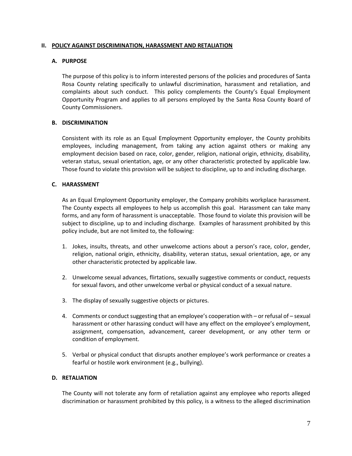#### **II. POLICY AGAINST DISCRIMINATION, HARASSMENT AND RETALIATION**

#### **A. PURPOSE**

The purpose of this policy is to inform interested persons of the policies and procedures of Santa Rosa County relating specifically to unlawful discrimination, harassment and retaliation, and complaints about such conduct. This policy complements the County's Equal Employment Opportunity Program and applies to all persons employed by the Santa Rosa County Board of County Commissioners.

#### **B. DISCRIMINATION**

Consistent with its role as an Equal Employment Opportunity employer, the County prohibits employees, including management, from taking any action against others or making any employment decision based on race, color, gender, religion, national origin, ethnicity, disability, veteran status, sexual orientation, age, or any other characteristic protected by applicable law. Those found to violate this provision will be subject to discipline, up to and including discharge.

#### **C. HARASSMENT**

As an Equal Employment Opportunity employer, the Company prohibits workplace harassment. The County expects all employees to help us accomplish this goal. Harassment can take many forms, and any form of harassment is unacceptable. Those found to violate this provision will be subject to discipline, up to and including discharge. Examples of harassment prohibited by this policy include, but are not limited to, the following:

- 1. Jokes, insults, threats, and other unwelcome actions about a person's race, color, gender, religion, national origin, ethnicity, disability, veteran status, sexual orientation, age, or any other characteristic protected by applicable law.
- 2. Unwelcome sexual advances, flirtations, sexually suggestive comments or conduct, requests for sexual favors, and other unwelcome verbal or physical conduct of a sexual nature.
- 3. The display of sexually suggestive objects or pictures.
- 4. Comments or conduct suggesting that an employee's cooperation with or refusal of sexual harassment or other harassing conduct will have any effect on the employee's employment, assignment, compensation, advancement, career development, or any other term or condition of employment.
- 5. Verbal or physical conduct that disrupts another employee's work performance or creates a fearful or hostile work environment (e.g., bullying).

#### **D. RETALIATION**

The County will not tolerate any form of retaliation against any employee who reports alleged discrimination or harassment prohibited by this policy, is a witness to the alleged discrimination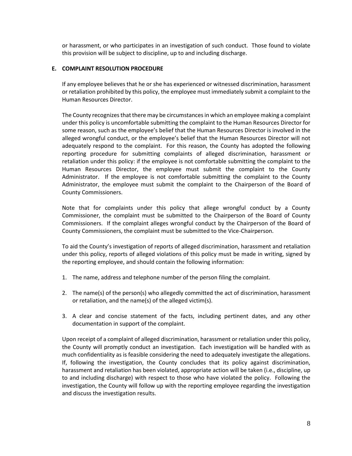or harassment, or who participates in an investigation of such conduct. Those found to violate this provision will be subject to discipline, up to and including discharge.

#### **E. COMPLAINT RESOLUTION PROCEDURE**

If any employee believes that he or she has experienced or witnessed discrimination, harassment or retaliation prohibited by this policy, the employee must immediately submit a complaint to the Human Resources Director.

The County recognizes that there may be circumstances in which an employee making a complaint under this policy is uncomfortable submitting the complaint to the Human Resources Director for some reason, such as the employee's belief that the Human Resources Director is involved in the alleged wrongful conduct, or the employee's belief that the Human Resources Director will not adequately respond to the complaint. For this reason, the County has adopted the following reporting procedure for submitting complaints of alleged discrimination, harassment or retaliation under this policy: if the employee is not comfortable submitting the complaint to the Human Resources Director, the employee must submit the complaint to the County Administrator. If the employee is not comfortable submitting the complaint to the County Administrator, the employee must submit the complaint to the Chairperson of the Board of County Commissioners.

Note that for complaints under this policy that allege wrongful conduct by a County Commissioner, the complaint must be submitted to the Chairperson of the Board of County Commissioners. If the complaint alleges wrongful conduct by the Chairperson of the Board of County Commissioners, the complaint must be submitted to the Vice-Chairperson.

To aid the County's investigation of reports of alleged discrimination, harassment and retaliation under this policy, reports of alleged violations of this policy must be made in writing, signed by the reporting employee, and should contain the following information:

- 1. The name, address and telephone number of the person filing the complaint.
- 2. The name(s) of the person(s) who allegedly committed the act of discrimination, harassment or retaliation, and the name(s) of the alleged victim(s).
- 3. A clear and concise statement of the facts, including pertinent dates, and any other documentation in support of the complaint.

Upon receipt of a complaint of alleged discrimination, harassment or retaliation under this policy, the County will promptly conduct an investigation. Each investigation will be handled with as much confidentiality as is feasible considering the need to adequately investigate the allegations. If, following the investigation, the County concludes that its policy against discrimination, harassment and retaliation has been violated, appropriate action will be taken (i.e., discipline, up to and including discharge) with respect to those who have violated the policy. Following the investigation, the County will follow up with the reporting employee regarding the investigation and discuss the investigation results.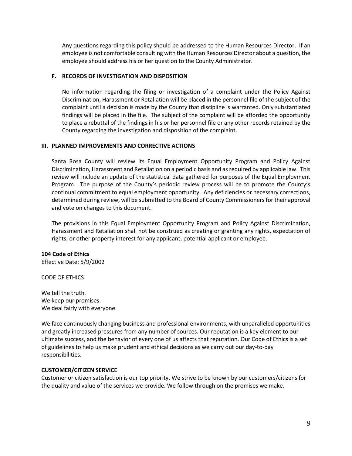Any questions regarding this policy should be addressed to the Human Resources Director. If an employee is not comfortable consulting with the Human Resources Director about a question, the employee should address his or her question to the County Administrator.

#### **F. RECORDS OF INVESTIGATION AND DISPOSITION**

No information regarding the filing or investigation of a complaint under the Policy Against Discrimination, Harassment or Retaliation will be placed in the personnel file of the subject of the complaint until a decision is made by the County that discipline is warranted. Only substantiated findings will be placed in the file. The subject of the complaint will be afforded the opportunity to place a rebuttal of the findings in his or her personnel file or any other records retained by the County regarding the investigation and disposition of the complaint.

#### **III. PLANNED IMPROVEMENTS AND CORRECTIVE ACTIONS**

Santa Rosa County will review its Equal Employment Opportunity Program and Policy Against Discrimination, Harassment and Retaliation on a periodic basis and as required by applicable law. This review will include an update of the statistical data gathered for purposes of the Equal Employment Program. The purpose of the County's periodic review process will be to promote the County's continual commitment to equal employment opportunity. Any deficiencies or necessary corrections, determined during review, will be submitted to the Board of County Commissioners for their approval and vote on changes to this document.

The provisions in this Equal Employment Opportunity Program and Policy Against Discrimination, Harassment and Retaliation shall not be construed as creating or granting any rights, expectation of rights, or other property interest for any applicant, potential applicant or employee.

#### **104 Code of Ethics**

Effective Date: 5/9/2002

#### CODE OF ETHICS

We tell the truth. We keep our promises. We deal fairly with everyone.

We face continuously changing business and professional environments, with unparalleled opportunities and greatly increased pressures from any number of sources. Our reputation is a key element to our ultimate success, and the behavior of every one of us affects that reputation. Our Code of Ethics is a set of guidelines to help us make prudent and ethical decisions as we carry out our day-to-day responsibilities.

#### **CUSTOMER/CITIZEN SERVICE**

Customer or citizen satisfaction is our top priority. We strive to be known by our customers/citizens for the quality and value of the services we provide. We follow through on the promises we make.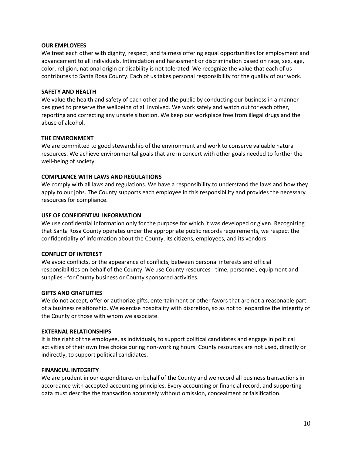#### **OUR EMPLOYEES**

We treat each other with dignity, respect, and fairness offering equal opportunities for employment and advancement to all individuals. Intimidation and harassment or discrimination based on race, sex, age, color, religion, national origin or disability is not tolerated. We recognize the value that each of us contributes to Santa Rosa County. Each of us takes personal responsibility for the quality of our work.

#### **SAFETY AND HEALTH**

We value the health and safety of each other and the public by conducting our business in a manner designed to preserve the wellbeing of all involved. We work safely and watch out for each other, reporting and correcting any unsafe situation. We keep our workplace free from illegal drugs and the abuse of alcohol.

#### **THE ENVIRONMENT**

We are committed to good stewardship of the environment and work to conserve valuable natural resources. We achieve environmental goals that are in concert with other goals needed to further the well-being of society.

#### **COMPLIANCE WITH LAWS AND REGULATIONS**

We comply with all laws and regulations. We have a responsibility to understand the laws and how they apply to our jobs. The County supports each employee in this responsibility and provides the necessary resources for compliance.

#### **USE OF CONFIDENTIAL INFORMATION**

We use confidential information only for the purpose for which it was developed or given. Recognizing that Santa Rosa County operates under the appropriate public records requirements, we respect the confidentiality of information about the County, its citizens, employees, and its vendors.

#### **CONFLICT OF INTEREST**

We avoid conflicts, or the appearance of conflicts, between personal interests and official responsibilities on behalf of the County. We use County resources - time, personnel, equipment and supplies - for County business or County sponsored activities.

#### **GIFTS AND GRATUITIES**

We do not accept, offer or authorize gifts, entertainment or other favors that are not a reasonable part of a business relationship. We exercise hospitality with discretion, so as not to jeopardize the integrity of the County or those with whom we associate.

#### **EXTERNAL RELATIONSHIPS**

It is the right of the employee, as individuals, to support political candidates and engage in political activities of their own free choice during non-working hours. County resources are not used, directly or indirectly, to support political candidates.

#### **FINANCIAL INTEGRITY**

We are prudent in our expenditures on behalf of the County and we record all business transactions in accordance with accepted accounting principles. Every accounting or financial record, and supporting data must describe the transaction accurately without omission, concealment or falsification.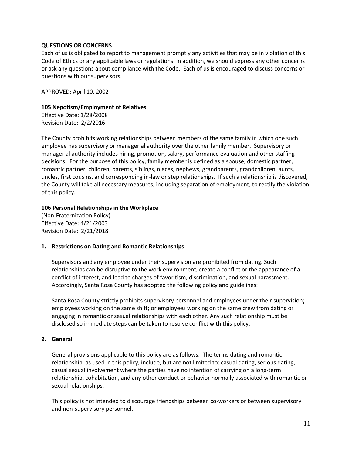#### **QUESTIONS OR CONCERNS**

Each of us is obligated to report to management promptly any activities that may be in violation of this Code of Ethics or any applicable laws or regulations. In addition, we should express any other concerns or ask any questions about compliance with the Code. Each of us is encouraged to discuss concerns or questions with our supervisors.

APPROVED: April 10, 2002

#### **105 Nepotism/Employment of Relatives**

Effective Date: 1/28/2008 Revision Date: 2/2/2016

The County prohibits working relationships between members of the same family in which one such employee has supervisory or managerial authority over the other family member. Supervisory or managerial authority includes hiring, promotion, salary, performance evaluation and other staffing decisions. For the purpose of this policy, family member is defined as a spouse, domestic partner, romantic partner, children, parents, siblings, nieces, nephews, grandparents, grandchildren, aunts, uncles, first cousins, and corresponding in-law or step relationships. If such a relationship is discovered, the County will take all necessary measures, including separation of employment, to rectify the violation of this policy.

#### **106 Personal Relationships in the Workplace**

(Non-Fraternization Policy) Effective Date: 4/21/2003 Revision Date: 2/21/2018

#### **1. Restrictions on Dating and Romantic Relationships**

Supervisors and any employee under their supervision are prohibited from dating. Such relationships can be disruptive to the work environment, create a conflict or the appearance of a conflict of interest, and lead to charges of favoritism, discrimination, and sexual harassment. Accordingly, Santa Rosa County has adopted the following policy and guidelines:

Santa Rosa County strictly prohibits supervisory personnel and employees under their supervision; employees working on the same shift; or employees working on the same crew from dating or engaging in romantic or sexual relationships with each other. Any such relationship must be disclosed so immediate steps can be taken to resolve conflict with this policy.

#### **2. General**

General provisions applicable to this policy are as follows: The terms dating and romantic relationship, as used in this policy, include, but are not limited to: casual dating, serious dating, casual sexual involvement where the parties have no intention of carrying on a long-term relationship, cohabitation, and any other conduct or behavior normally associated with romantic or sexual relationships.

This policy is not intended to discourage friendships between co-workers or between supervisory and non-supervisory personnel.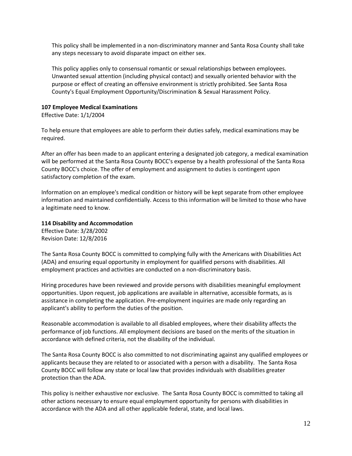This policy shall be implemented in a non-discriminatory manner and Santa Rosa County shall take any steps necessary to avoid disparate impact on either sex.

This policy applies only to consensual romantic or sexual relationships between employees. Unwanted sexual attention (including physical contact) and sexually oriented behavior with the purpose or effect of creating an offensive environment is strictly prohibited. See Santa Rosa County's Equal Employment Opportunity/Discrimination & Sexual Harassment Policy.

#### **107 Employee Medical Examinations**

Effective Date: 1/1/2004

To help ensure that employees are able to perform their duties safely, medical examinations may be required.

After an offer has been made to an applicant entering a designated job category, a medical examination will be performed at the Santa Rosa County BOCC's expense by a health professional of the Santa Rosa County BOCC's choice. The offer of employment and assignment to duties is contingent upon satisfactory completion of the exam.

Information on an employee's medical condition or history will be kept separate from other employee information and maintained confidentially. Access to this information will be limited to those who have a legitimate need to know.

**114 Disability and Accommodation**

Effective Date: 3/28/2002 Revision Date: 12/8/2016

The Santa Rosa County BOCC is committed to complying fully with the Americans with Disabilities Act (ADA) and ensuring equal opportunity in employment for qualified persons with disabilities. All employment practices and activities are conducted on a non-discriminatory basis.

Hiring procedures have been reviewed and provide persons with disabilities meaningful employment opportunities. Upon request, job applications are available in alternative, accessible formats, as is assistance in completing the application. Pre-employment inquiries are made only regarding an applicant's ability to perform the duties of the position.

Reasonable accommodation is available to all disabled employees, where their disability affects the performance of job functions. All employment decisions are based on the merits of the situation in accordance with defined criteria, not the disability of the individual.

The Santa Rosa County BOCC is also committed to not discriminating against any qualified employees or applicants because they are related to or associated with a person with a disability. The Santa Rosa County BOCC will follow any state or local law that provides individuals with disabilities greater protection than the ADA.

This policy is neither exhaustive nor exclusive. The Santa Rosa County BOCC is committed to taking all other actions necessary to ensure equal employment opportunity for persons with disabilities in accordance with the ADA and all other applicable federal, state, and local laws.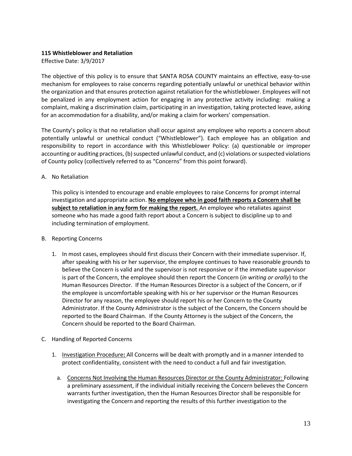#### **115 Whistleblower and Retaliation**

Effective Date: 3/9/2017

The objective of this policy is to ensure that SANTA ROSA COUNTY maintains an effective, easy-to-use mechanism for employees to raise concerns regarding potentially unlawful or unethical behavior within the organization and that ensures protection against retaliation for the whistleblower. Employees will not be penalized in any employment action for engaging in any protective activity including: making a complaint, making a discrimination claim, participating in an investigation, taking protected leave, asking for an accommodation for a disability, and/or making a claim for workers' compensation.

The County's policy is that no retaliation shall occur against any employee who reports a concern about potentially unlawful or unethical conduct ("Whistleblower"). Each employee has an obligation and responsibility to report in accordance with this Whistleblower Policy: (a) questionable or improper accounting or auditing practices, (b) suspected unlawful conduct, and (c) violations or suspected violations of County policy (collectively referred to as "Concerns" from this point forward).

#### A. No Retaliation

This policy is intended to encourage and enable employees to raise Concerns for prompt internal investigation and appropriate action. **No employee who in good faith reports a Concern shall be subject to retaliation in any form for making the report.** An employee who retaliates against someone who has made a good faith report about a Concern is subject to discipline up to and including termination of employment.

#### B. Reporting Concerns

- 1. In most cases, employees should first discuss their Concern with their immediate supervisor. If, after speaking with his or her supervisor, the employee continues to have reasonable grounds to believe the Concern is valid and the supervisor is not responsive or if the immediate supervisor is part of the Concern, the employee should then report the Concern (*in writing or orally*) to the Human Resources Director. If the Human Resources Director is a subject of the Concern, or if the employee is uncomfortable speaking with his or her supervisor or the Human Resources Director for any reason, the employee should report his or her Concern to the County Administrator. If the County Administrator is the subject of the Concern, the Concern should be reported to the Board Chairman. If the County Attorney is the subject of the Concern, the Concern should be reported to the Board Chairman.
- C. Handling of Reported Concerns
	- 1. Investigation Procedure**:** All Concerns will be dealt with promptly and in a manner intended to protect confidentiality, consistent with the need to conduct a full and fair investigation.
		- a. Concerns Not Involving the Human Resources Director or the County Administrator: Following a preliminary assessment, if the individual initially receiving the Concern believes the Concern warrants further investigation, then the Human Resources Director shall be responsible for investigating the Concern and reporting the results of this further investigation to the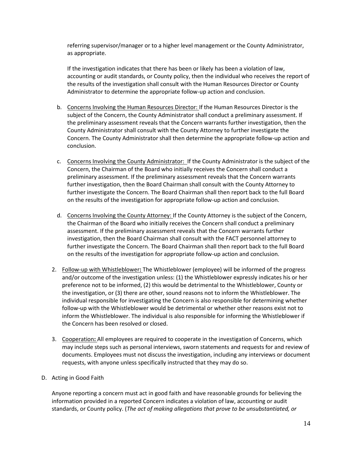referring supervisor/manager or to a higher level management or the County Administrator, as appropriate.

If the investigation indicates that there has been or likely has been a violation of law, accounting or audit standards, or County policy, then the individual who receives the report of the results of the investigation shall consult with the Human Resources Director or County Administrator to determine the appropriate follow-up action and conclusion.

- b. Concerns Involving the Human Resources Director: If the Human Resources Director is the subject of the Concern, the County Administrator shall conduct a preliminary assessment. If the preliminary assessment reveals that the Concern warrants further investigation, then the County Administrator shall consult with the County Attorney to further investigate the Concern. The County Administrator shall then determine the appropriate follow-up action and conclusion.
- c. Concerns Involving the County Administrator: If the County Administrator is the subject of the Concern, the Chairman of the Board who initially receives the Concern shall conduct a preliminary assessment. If the preliminary assessment reveals that the Concern warrants further investigation, then the Board Chairman shall consult with the County Attorney to further investigate the Concern. The Board Chairman shall then report back to the full Board on the results of the investigation for appropriate follow-up action and conclusion.
- d. Concerns Involving the County Attorney: If the County Attorney is the subject of the Concern, the Chairman of the Board who initially receives the Concern shall conduct a preliminary assessment. If the preliminary assessment reveals that the Concern warrants further investigation, then the Board Chairman shall consult with the FACT personnel attorney to further investigate the Concern. The Board Chairman shall then report back to the full Board on the results of the investigation for appropriate follow-up action and conclusion.
- 2. Follow-up with Whistleblower**:** The Whistleblower (employee) will be informed of the progress and/or outcome of the investigation unless: (1) the Whistleblower expressly indicates his or her preference not to be informed, (2) this would be detrimental to the Whistleblower, County or the investigation, or (3) there are other, sound reasons not to inform the Whistleblower. The individual responsible for investigating the Concern is also responsible for determining whether follow-up with the Whistleblower would be detrimental or whether other reasons exist not to inform the Whistleblower. The individual is also responsible for informing the Whistleblower if the Concern has been resolved or closed.
- 3. Cooperation**:** All employees are required to cooperate in the investigation of Concerns, which may include steps such as personal interviews, sworn statements and requests for and review of documents. Employees must not discuss the investigation, including any interviews or document requests, with anyone unless specifically instructed that they may do so.
- D. Acting in Good Faith

Anyone reporting a concern must act in good faith and have reasonable grounds for believing the information provided in a reported Concern indicates a violation of law, accounting or audit standards, or County policy. (*The act of making allegations that prove to be unsubstantiated, or*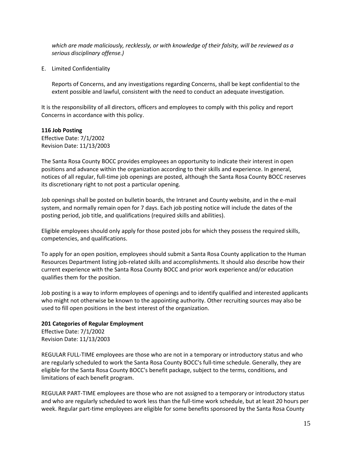*which are made maliciously, recklessly, or with knowledge of their falsity, will be reviewed as a serious disciplinary offense.)* 

E. Limited Confidentiality

Reports of Concerns, and any investigations regarding Concerns, shall be kept confidential to the extent possible and lawful, consistent with the need to conduct an adequate investigation.

It is the responsibility of all directors, officers and employees to comply with this policy and report Concerns in accordance with this policy.

#### **116 Job Posting**

Effective Date: 7/1/2002 Revision Date: 11/13/2003

The Santa Rosa County BOCC provides employees an opportunity to indicate their interest in open positions and advance within the organization according to their skills and experience. In general, notices of all regular, full-time job openings are posted, although the Santa Rosa County BOCC reserves its discretionary right to not post a particular opening.

Job openings shall be posted on bulletin boards, the Intranet and County website, and in the e-mail system, and normally remain open for 7 days. Each job posting notice will include the dates of the posting period, job title, and qualifications (required skills and abilities).

Eligible employees should only apply for those posted jobs for which they possess the required skills, competencies, and qualifications.

To apply for an open position, employees should submit a Santa Rosa County application to the Human Resources Department listing job-related skills and accomplishments. It should also describe how their current experience with the Santa Rosa County BOCC and prior work experience and/or education qualifies them for the position.

Job posting is a way to inform employees of openings and to identify qualified and interested applicants who might not otherwise be known to the appointing authority. Other recruiting sources may also be used to fill open positions in the best interest of the organization.

#### **201 Categories of Regular Employment**

Effective Date: 7/1/2002 Revision Date: 11/13/2003

REGULAR FULL-TIME employees are those who are not in a temporary or introductory status and who are regularly scheduled to work the Santa Rosa County BOCC's full-time schedule. Generally, they are eligible for the Santa Rosa County BOCC's benefit package, subject to the terms, conditions, and limitations of each benefit program.

REGULAR PART-TIME employees are those who are not assigned to a temporary or introductory status and who are regularly scheduled to work less than the full-time work schedule, but at least 20 hours per week. Regular part-time employees are eligible for some benefits sponsored by the Santa Rosa County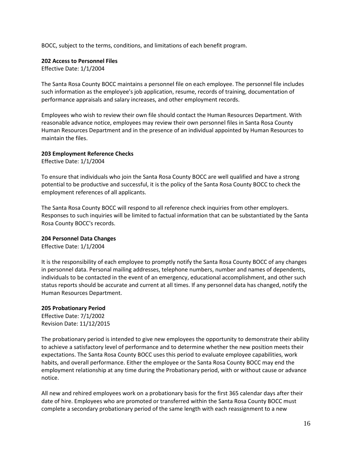BOCC, subject to the terms, conditions, and limitations of each benefit program.

#### **202 Access to Personnel Files**

Effective Date: 1/1/2004

The Santa Rosa County BOCC maintains a personnel file on each employee. The personnel file includes such information as the employee's job application, resume, records of training, documentation of performance appraisals and salary increases, and other employment records.

Employees who wish to review their own file should contact the Human Resources Department. With reasonable advance notice, employees may review their own personnel files in Santa Rosa County Human Resources Department and in the presence of an individual appointed by Human Resources to maintain the files.

#### **203 Employment Reference Checks**

Effective Date: 1/1/2004

To ensure that individuals who join the Santa Rosa County BOCC are well qualified and have a strong potential to be productive and successful, it is the policy of the Santa Rosa County BOCC to check the employment references of all applicants.

The Santa Rosa County BOCC will respond to all reference check inquiries from other employers. Responses to such inquiries will be limited to factual information that can be substantiated by the Santa Rosa County BOCC's records.

#### **204 Personnel Data Changes**

Effective Date: 1/1/2004

It is the responsibility of each employee to promptly notify the Santa Rosa County BOCC of any changes in personnel data. Personal mailing addresses, telephone numbers, number and names of dependents, individuals to be contacted in the event of an emergency, educational accomplishment, and other such status reports should be accurate and current at all times. If any personnel data has changed, notify the Human Resources Department.

#### **205 Probationary Period**

Effective Date: 7/1/2002 Revision Date: 11/12/2015

The probationary period is intended to give new employees the opportunity to demonstrate their ability to achieve a satisfactory level of performance and to determine whether the new position meets their expectations. The Santa Rosa County BOCC uses this period to evaluate employee capabilities, work habits, and overall performance. Either the employee or the Santa Rosa County BOCC may end the employment relationship at any time during the Probationary period, with or without cause or advance notice.

All new and rehired employees work on a probationary basis for the first 365 calendar days after their date of hire. Employees who are promoted or transferred within the Santa Rosa County BOCC must complete a secondary probationary period of the same length with each reassignment to a new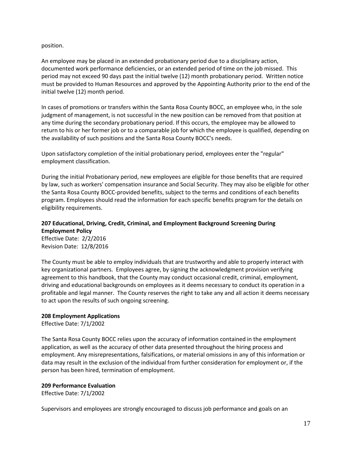#### position.

An employee may be placed in an extended probationary period due to a disciplinary action, documented work performance deficiencies, or an extended period of time on the job missed. This period may not exceed 90 days past the initial twelve (12) month probationary period. Written notice must be provided to Human Resources and approved by the Appointing Authority prior to the end of the initial twelve (12) month period.

In cases of promotions or transfers within the Santa Rosa County BOCC, an employee who, in the sole judgment of management, is not successful in the new position can be removed from that position at any time during the secondary probationary period. If this occurs, the employee may be allowed to return to his or her former job or to a comparable job for which the employee is qualified, depending on the availability of such positions and the Santa Rosa County BOCC's needs.

Upon satisfactory completion of the initial probationary period, employees enter the "regular" employment classification.

During the initial Probationary period, new employees are eligible for those benefits that are required by law, such as workers' compensation insurance and Social Security. They may also be eligible for other the Santa Rosa County BOCC-provided benefits, subject to the terms and conditions of each benefits program. Employees should read the information for each specific benefits program for the details on eligibility requirements.

#### **207 Educational, Driving, Credit, Criminal, and Employment Background Screening During Employment Policy**

Effective Date: 2/2/2016 Revision Date: 12/8/2016

The County must be able to employ individuals that are trustworthy and able to properly interact with key organizational partners. Employees agree, by signing the acknowledgment provision verifying agreement to this handbook, that the County may conduct occasional credit, criminal, employment, driving and educational backgrounds on employees as it deems necessary to conduct its operation in a profitable and legal manner. The County reserves the right to take any and all action it deems necessary to act upon the results of such ongoing screening.

#### **208 Employment Applications**

Effective Date: 7/1/2002

The Santa Rosa County BOCC relies upon the accuracy of information contained in the employment application, as well as the accuracy of other data presented throughout the hiring process and employment. Any misrepresentations, falsifications, or material omissions in any of this information or data may result in the exclusion of the individual from further consideration for employment or, if the person has been hired, termination of employment.

#### **209 Performance Evaluation**

Effective Date: 7/1/2002

Supervisors and employees are strongly encouraged to discuss job performance and goals on an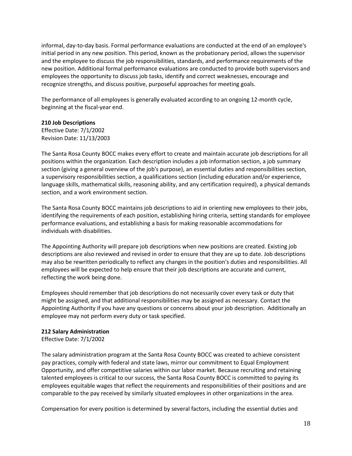informal, day-to-day basis. Formal performance evaluations are conducted at the end of an employee's initial period in any new position. This period, known as the probationary period, allows the supervisor and the employee to discuss the job responsibilities, standards, and performance requirements of the new position. Additional formal performance evaluations are conducted to provide both supervisors and employees the opportunity to discuss job tasks, identify and correct weaknesses, encourage and recognize strengths, and discuss positive, purposeful approaches for meeting goals.

The performance of all employees is generally evaluated according to an ongoing 12-month cycle, beginning at the fiscal-year end.

#### **210 Job Descriptions**

Effective Date: 7/1/2002 Revision Date: 11/13/2003

The Santa Rosa County BOCC makes every effort to create and maintain accurate job descriptions for all positions within the organization. Each description includes a job information section, a job summary section (giving a general overview of the job's purpose), an essential duties and responsibilities section, a supervisory responsibilities section, a qualifications section (including education and/or experience, language skills, mathematical skills, reasoning ability, and any certification required), a physical demands section, and a work environment section.

The Santa Rosa County BOCC maintains job descriptions to aid in orienting new employees to their jobs, identifying the requirements of each position, establishing hiring criteria, setting standards for employee performance evaluations, and establishing a basis for making reasonable accommodations for individuals with disabilities.

The Appointing Authority will prepare job descriptions when new positions are created. Existing job descriptions are also reviewed and revised in order to ensure that they are up to date. Job descriptions may also be rewritten periodically to reflect any changes in the position's duties and responsibilities. All employees will be expected to help ensure that their job descriptions are accurate and current, reflecting the work being done.

Employees should remember that job descriptions do not necessarily cover every task or duty that might be assigned, and that additional responsibilities may be assigned as necessary. Contact the Appointing Authority if you have any questions or concerns about your job description. Additionally an employee may not perform every duty or task specified.

#### **212 Salary Administration**

Effective Date: 7/1/2002

The salary administration program at the Santa Rosa County BOCC was created to achieve consistent pay practices, comply with federal and state laws, mirror our commitment to Equal Employment Opportunity, and offer competitive salaries within our labor market. Because recruiting and retaining talented employees is critical to our success, the Santa Rosa County BOCC is committed to paying its employees equitable wages that reflect the requirements and responsibilities of their positions and are comparable to the pay received by similarly situated employees in other organizations in the area.

Compensation for every position is determined by several factors, including the essential duties and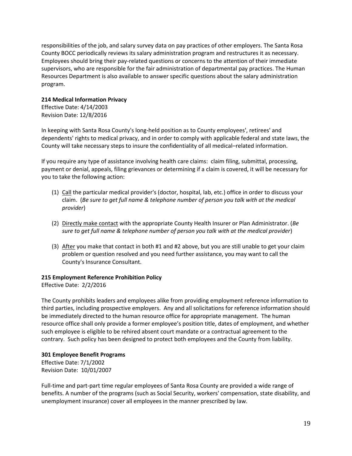responsibilities of the job, and salary survey data on pay practices of other employers. The Santa Rosa County BOCC periodically reviews its salary administration program and restructures it as necessary. Employees should bring their pay-related questions or concerns to the attention of their immediate supervisors, who are responsible for the fair administration of departmental pay practices. The Human Resources Department is also available to answer specific questions about the salary administration program.

#### **214 Medical Information Privacy**

Effective Date: 4/14/2003 Revision Date: 12/8/2016

In keeping with Santa Rosa County's long-held position as to County employees', retirees' and dependents' rights to medical privacy, and in order to comply with applicable federal and state laws, the County will take necessary steps to insure the confidentiality of all medical–related information.

If you require any type of assistance involving health care claims: claim filing, submittal, processing, payment or denial, appeals, filing grievances or determining if a claim is covered, it will be necessary for you to take the following action:

- (1) Call the particular medical provider's (doctor, hospital, lab, etc.) office in order to discuss your claim. (*Be sure to get full name & telephone number of person you talk with at the medical provider*)
- (2) Directly make contact with the appropriate County Health Insurer or Plan Administrator. (*Be sure to get full name & telephone number of person you talk with at the medical provider*)
- (3) After you make that contact in both #1 and #2 above, but you are still unable to get your claim problem or question resolved and you need further assistance, you may want to call the County's Insurance Consultant.

#### **215 Employment Reference Prohibition Policy**

Effective Date: 2/2/2016

The County prohibits leaders and employees alike from providing employment reference information to third parties, including prospective employers. Any and all solicitations for reference information should be immediately directed to the human resource office for appropriate management. The human resource office shall only provide a former employee's position title, dates of employment, and whether such employee is eligible to be rehired absent court mandate or a contractual agreement to the contrary. Such policy has been designed to protect both employees and the County from liability.

#### **301 Employee Benefit Programs**

Effective Date: 7/1/2002 Revision Date: 10/01/2007

Full-time and part-part time regular employees of Santa Rosa County are provided a wide range of benefits. A number of the programs (such as Social Security, workers' compensation, state disability, and unemployment insurance) cover all employees in the manner prescribed by law.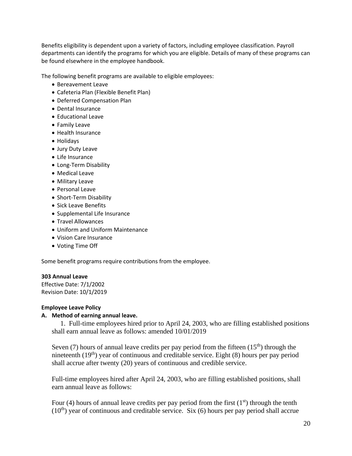Benefits eligibility is dependent upon a variety of factors, including employee classification. Payroll departments can identify the programs for which you are eligible. Details of many of these programs can be found elsewhere in the employee handbook.

The following benefit programs are available to eligible employees:

- Bereavement Leave
- Cafeteria Plan (Flexible Benefit Plan)
- Deferred Compensation Plan
- Dental Insurance
- Educational Leave
- Family Leave
- Health Insurance
- Holidays
- Jury Duty Leave
- Life Insurance
- Long-Term Disability
- Medical Leave
- Military Leave
- Personal Leave
- Short-Term Disability
- Sick Leave Benefits
- Supplemental Life Insurance
- Travel Allowances
- Uniform and Uniform Maintenance
- Vision Care Insurance
- Voting Time Off

Some benefit programs require contributions from the employee.

#### **303 Annual Leave**

Effective Date: 7/1/2002 Revision Date: 10/1/2019

#### **Employee Leave Policy**

#### **A. Method of earning annual leave.**

 1. Full-time employees hired prior to April 24, 2003, who are filling established positions shall earn annual leave as follows: amended 10/01/2019

Seven (7) hours of annual leave credits per pay period from the fifteen  $(15<sup>th</sup>)$  through the nineteenth  $(19<sup>th</sup>)$  year of continuous and creditable service. Eight  $(8)$  hours per pay period shall accrue after twenty (20) years of continuous and credible service.

Full-time employees hired after April 24, 2003, who are filling established positions, shall earn annual leave as follows:

Four (4) hours of annual leave credits per pay period from the first  $(1<sup>st</sup>)$  through the tenth  $(10<sup>th</sup>)$  year of continuous and creditable service. Six (6) hours per pay period shall accrue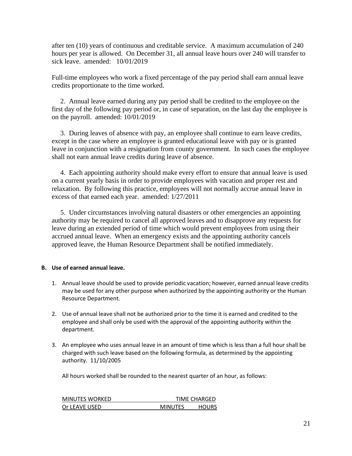after ten (10) years of continuous and creditable service. A maximum accumulation of 240 hours per year is allowed. On December 31, all annual leave hours over 240 will transfer to sick leave. amended: 10/01/2019

Full-time employees who work a fixed percentage of the pay period shall earn annual leave credits proportionate to the time worked.

 2. Annual leave earned during any pay period shall be credited to the employee on the first day of the following pay period or, in case of separation, on the last day the employee is on the payroll. amended: 10/01/2019

 3. During leaves of absence with pay, an employee shall continue to earn leave credits, except in the case where an employee is granted educational leave with pay or is granted leave in conjunction with a resignation from county government. In such cases the employee shall not earn annual leave credits during leave of absence.

 4. Each appointing authority should make every effort to ensure that annual leave is used on a current yearly basis in order to provide employees with vacation and proper rest and relaxation. By following this practice, employees will not normally accrue annual leave in excess of that earned each year. amended: 1/27/2011

 5. Under circumstances involving natural disasters or other emergencies an appointing authority may be required to cancel all approved leaves and to disapprove any requests for leave during an extended period of time which would prevent employees from using their accrued annual leave. When an emergency exists and the appointing authority cancels approved leave, the Human Resource Department shall be notified immediately.

#### **B. Use of earned annual leave.**

- 1. Annual leave should be used to provide periodic vacation; however, earned annual leave credits may be used for any other purpose when authorized by the appointing authority or the Human Resource Department.
- 2. Use of annual leave shall not be authorized prior to the time it is earned and credited to the employee and shall only be used with the approval of the appointing authority within the department.
- 3. An employee who uses annual leave in an amount of time which is less than a full hour shall be charged with such leave based on the following formula, as determined by the appointing authority. 11/10/2005

All hours worked shall be rounded to the nearest quarter of an hour, as follows:

| <b>MINUTES WORKED</b> |                | TIME CHARGED |
|-----------------------|----------------|--------------|
| Or LEAVE USED         | <b>MINUTES</b> | <b>HOURS</b> |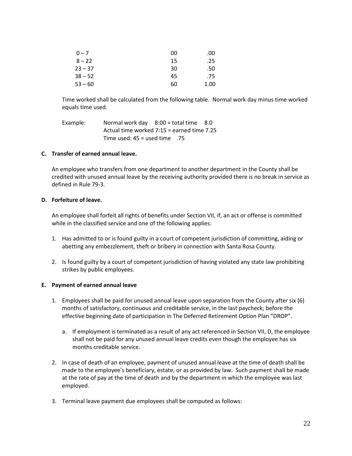| $0 - 7$   | 00 | .00  |
|-----------|----|------|
| $8 - 22$  | 15 | .25  |
| $23 - 37$ | 30 | .50  |
| $38 - 52$ | 45 | .75  |
| $53 - 60$ | 60 | 1.00 |

Time worked shall be calculated from the following table. Normal work day minus time worked equals time used.

| Example: | Normal work day $8:00 =$ total time $8.0$  |  |
|----------|--------------------------------------------|--|
|          | Actual time worked 7:15 = earned time 7.25 |  |
|          | Time used: $45 =$ used time .75            |  |

#### **C. Transfer of earned annual leave.**

An employee who transfers from one department to another department in the County shall be credited with unused annual leave by the receiving authority provided there is no break in service as defined in Rule 79-3.

#### **D. Forfeiture of leave.**

An employee shall forfeit all rights of benefits under Section VII, if, an act or offense is committed while in the classified service and one of the following applies:

- 1. Has admitted to or is found guilty in a court of competent jurisdiction of committing, aiding or abetting any embezzlement, theft or bribery in connection with Santa Rosa County.
- 2. Is found guilty by a court of competent jurisdiction of having violated any state law prohibiting strikes by public employees.

#### **E. Payment of earned annual leave**

- 1. Employees shall be paid for unused annual leave upon separation from the County after six (6) months of satisfactory, continuous and creditable service, in the last paycheck; before the effective beginning date of participation in The Deferred Retirement Option Plan "DROP".
	- a. If employment is terminated as a result of any act referenced in Section VII, D, the employee shall not be paid for any unused annual leave credits even though the employee has six months creditable service.
- 2. In case of death of an employee, payment of unused annual leave at the time of death shall be made to the employee's beneficiary, estate, or as provided by law. Such payment shall be made at the rate of pay at the time of death and by the department in which the employee was last employed.
- 3. Terminal leave payment due employees shall be computed as follows: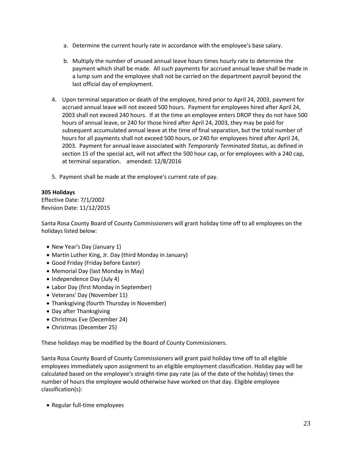- a. Determine the current hourly rate in accordance with the employee's base salary.
- b. Multiply the number of unused annual leave hours times hourly rate to determine the payment which shall be made. All such payments for accrued annual leave shall be made in a lump sum and the employee shall not be carried on the department payroll beyond the last official day of employment.
- 4. Upon terminal separation or death of the employee, hired prior to April 24, 2003, payment for accrued annual leave will not exceed 500 hours. Payment for employees hired after April 24, 2003 shall not exceed 240 hours. If at the time an employee enters DROP they do not have 500 hours of annual leave, or 240 for those hired after April 24, 2003, they may be paid for subsequent accumulated annual leave at the time of final separation, but the total number of hours for all payments shall not exceed 500 hours, or 240 for employees hired after April 24, 2003. Payment for annual leave associated with *Temporarily Terminated Status*, as defined in section 15 of the special act, will not affect the 500 hour cap, or for employees with a 240 cap, at terminal separation. amended: 12/8/2016
- 5. Payment shall be made at the employee's current rate of pay.

#### **305 Holidays**

Effective Date: 7/1/2002 Revision Date: 11/12/2015

Santa Rosa County Board of County Commissioners will grant holiday time off to all employees on the holidays listed below:

- New Year's Day (January 1)
- Martin Luther King, Jr. Day (third Monday in January)
- Good Friday (Friday before Easter)
- Memorial Day (last Monday in May)
- Independence Day (July 4)
- Labor Day (first Monday in September)
- Veterans' Day (November 11)
- Thanksgiving (fourth Thursday in November)
- Day after Thanksgiving
- Christmas Eve (December 24)
- Christmas (December 25)

These holidays may be modified by the Board of County Commissioners.

Santa Rosa County Board of County Commissioners will grant paid holiday time off to all eligible employees immediately upon assignment to an eligible employment classification. Holiday pay will be calculated based on the employee's straight-time pay rate (as of the date of the holiday) times the number of hours the employee would otherwise have worked on that day. Eligible employee classification(s):

• Regular full-time employees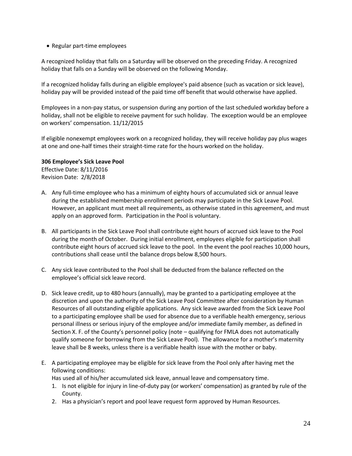• Regular part-time employees

A recognized holiday that falls on a Saturday will be observed on the preceding Friday. A recognized holiday that falls on a Sunday will be observed on the following Monday.

If a recognized holiday falls during an eligible employee's paid absence (such as vacation or sick leave), holiday pay will be provided instead of the paid time off benefit that would otherwise have applied.

Employees in a non-pay status, or suspension during any portion of the last scheduled workday before a holiday, shall not be eligible to receive payment for such holiday. The exception would be an employee on workers' compensation. 11/12/2015

If eligible nonexempt employees work on a recognized holiday, they will receive holiday pay plus wages at one and one-half times their straight-time rate for the hours worked on the holiday.

### **306 Employee's Sick Leave Pool**

Effective Date: 8/11/2016 Revision Date: 2/8/2018

- A. Any full-time employee who has a minimum of eighty hours of accumulated sick or annual leave during the established membership enrollment periods may participate in the Sick Leave Pool. However, an applicant must meet all requirements, as otherwise stated in this agreement, and must apply on an approved form. Participation in the Pool is voluntary.
- B. All participants in the Sick Leave Pool shall contribute eight hours of accrued sick leave to the Pool during the month of October. During initial enrollment, employees eligible for participation shall contribute eight hours of accrued sick leave to the pool. In the event the pool reaches 10,000 hours, contributions shall cease until the balance drops below 8,500 hours.
- C. Any sick leave contributed to the Pool shall be deducted from the balance reflected on the employee's official sick leave record.
- D. Sick leave credit, up to 480 hours (annually), may be granted to a participating employee at the discretion and upon the authority of the Sick Leave Pool Committee after consideration by Human Resources of all outstanding eligible applications. Any sick leave awarded from the Sick Leave Pool to a participating employee shall be used for absence due to a verifiable health emergency, serious personal illness or serious injury of the employee and/or immediate family member, as defined in Section X. F. of the County's personnel policy (note – qualifying for FMLA does not automatically qualify someone for borrowing from the Sick Leave Pool). The allowance for a mother's maternity leave shall be 8 weeks, unless there is a verifiable health issue with the mother or baby.
- E. A participating employee may be eligible for sick leave from the Pool only after having met the following conditions:

Has used all of his/her accumulated sick leave, annual leave and compensatory time.

- 1. Is not eligible for injury in line-of-duty pay (or workers' compensation) as granted by rule of the County.
- 2. Has a physician's report and pool leave request form approved by Human Resources.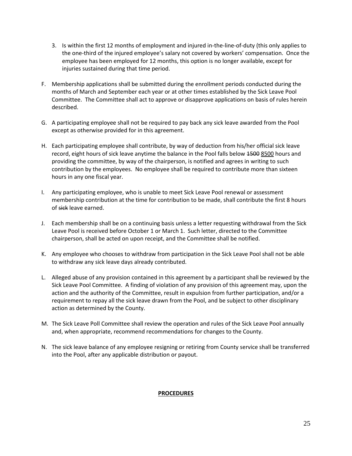- 3. Is within the first 12 months of employment and injured in-the-line-of-duty (this only applies to the one-third of the injured employee's salary not covered by workers' compensation. Once the employee has been employed for 12 months, this option is no longer available, except for injuries sustained during that time period.
- F. Membership applications shall be submitted during the enrollment periods conducted during the months of March and September each year or at other times established by the Sick Leave Pool Committee. The Committee shall act to approve or disapprove applications on basis of rules herein described.
- G. A participating employee shall not be required to pay back any sick leave awarded from the Pool except as otherwise provided for in this agreement.
- H. Each participating employee shall contribute, by way of deduction from his/her official sick leave record, eight hours of sick leave anytime the balance in the Pool falls below 4500 8500 hours and providing the committee, by way of the chairperson, is notified and agrees in writing to such contribution by the employees. No employee shall be required to contribute more than sixteen hours in any one fiscal year.
- I. Any participating employee, who is unable to meet Sick Leave Pool renewal or assessment membership contribution at the time for contribution to be made, shall contribute the first 8 hours of sick leave earned.
- J. Each membership shall be on a continuing basis unless a letter requesting withdrawal from the Sick Leave Pool is received before October 1 or March 1. Such letter, directed to the Committee chairperson, shall be acted on upon receipt, and the Committee shall be notified.
- K. Any employee who chooses to withdraw from participation in the Sick Leave Pool shall not be able to withdraw any sick leave days already contributed.
- L. Alleged abuse of any provision contained in this agreement by a participant shall be reviewed by the Sick Leave Pool Committee. A finding of violation of any provision of this agreement may, upon the action and the authority of the Committee, result in expulsion from further participation, and/or a requirement to repay all the sick leave drawn from the Pool, and be subject to other disciplinary action as determined by the County.
- M. The Sick Leave Poll Committee shall review the operation and rules of the Sick Leave Pool annually and, when appropriate, recommend recommendations for changes to the County.
- N. The sick leave balance of any employee resigning or retiring from County service shall be transferred into the Pool, after any applicable distribution or payout.

#### **PROCEDURES**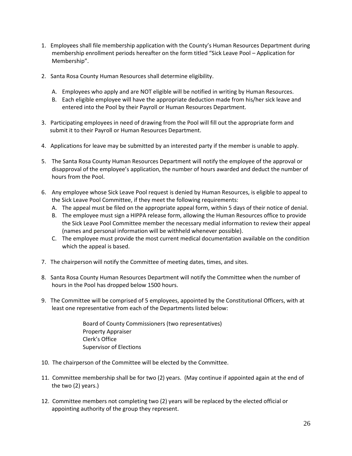- 1. Employees shall file membership application with the County's Human Resources Department during membership enrollment periods hereafter on the form titled "Sick Leave Pool – Application for Membership".
- 2. Santa Rosa County Human Resources shall determine eligibility.
	- A. Employees who apply and are NOT eligible will be notified in writing by Human Resources.
	- B. Each eligible employee will have the appropriate deduction made from his/her sick leave and entered into the Pool by their Payroll or Human Resources Department.
- 3. Participating employees in need of drawing from the Pool will fill out the appropriate form and submit it to their Payroll or Human Resources Department.
- 4. Applications for leave may be submitted by an interested party if the member is unable to apply.
- 5. The Santa Rosa County Human Resources Department will notify the employee of the approval or disapproval of the employee's application, the number of hours awarded and deduct the number of hours from the Pool.
- 6. Any employee whose Sick Leave Pool request is denied by Human Resources, is eligible to appeal to the Sick Leave Pool Committee, if they meet the following requirements:
	- A. The appeal must be filed on the appropriate appeal form, within 5 days of their notice of denial.
	- B. The employee must sign a HIPPA release form, allowing the Human Resources office to provide the Sick Leave Pool Committee member the necessary medial information to review their appeal (names and personal information will be withheld whenever possible).
	- C. The employee must provide the most current medical documentation available on the condition which the appeal is based.
- 7. The chairperson will notify the Committee of meeting dates, times, and sites.
- 8. Santa Rosa County Human Resources Department will notify the Committee when the number of hours in the Pool has dropped below 1500 hours.
- 9. The Committee will be comprised of 5 employees, appointed by the Constitutional Officers, with at least one representative from each of the Departments listed below:

Board of County Commissioners (two representatives) Property Appraiser Clerk's Office Supervisor of Elections

- 10. The chairperson of the Committee will be elected by the Committee.
- 11. Committee membership shall be for two (2) years. (May continue if appointed again at the end of the two (2) years.)
- 12. Committee members not completing two (2) years will be replaced by the elected official or appointing authority of the group they represent.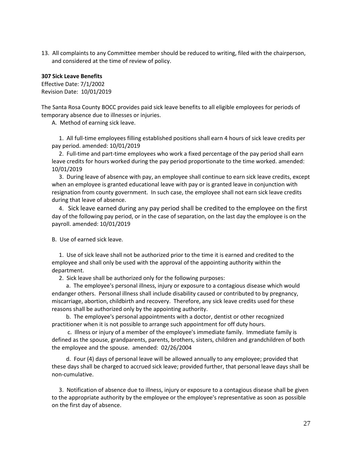13. All complaints to any Committee member should be reduced to writing, filed with the chairperson, and considered at the time of review of policy.

#### **307 Sick Leave Benefits**

Effective Date: 7/1/2002 Revision Date: 10/01/2019

The Santa Rosa County BOCC provides paid sick leave benefits to all eligible employees for periods of temporary absence due to illnesses or injuries.

A. Method of earning sick leave.

 1. All full-time employees filling established positions shall earn 4 hours of sick leave credits per pay period. amended: 10/01/2019

 2. Full-time and part-time employees who work a fixed percentage of the pay period shall earn leave credits for hours worked during the pay period proportionate to the time worked. amended: 10/01/2019

 3. During leave of absence with pay, an employee shall continue to earn sick leave credits, except when an employee is granted educational leave with pay or is granted leave in conjunction with resignation from county government. In such case, the employee shall not earn sick leave credits during that leave of absence.

 4. Sick leave earned during any pay period shall be credited to the employee on the first day of the following pay period, or in the case of separation, on the last day the employee is on the payroll. amended: 10/01/2019

B. Use of earned sick leave.

 1. Use of sick leave shall not be authorized prior to the time it is earned and credited to the employee and shall only be used with the approval of the appointing authority within the department.

2. Sick leave shall be authorized only for the following purposes:

 a. The employee's personal illness, injury or exposure to a contagious disease which would endanger others. Personal illness shall include disability caused or contributed to by pregnancy, miscarriage, abortion, childbirth and recovery. Therefore, any sick leave credits used for these reasons shall be authorized only by the appointing authority.

 b. The employee's personal appointments with a doctor, dentist or other recognized practitioner when it is not possible to arrange such appointment for off duty hours.

 c. Illness or injury of a member of the employee's immediate family. Immediate family is defined as the spouse, grandparents, parents, brothers, sisters, children and grandchildren of both the employee and the spouse. amended: 02/26/2004

 d. Four (4) days of personal leave will be allowed annually to any employee; provided that these days shall be charged to accrued sick leave; provided further, that personal leave days shall be non-cumulative.

 3. Notification of absence due to illness, injury or exposure to a contagious disease shall be given to the appropriate authority by the employee or the employee's representative as soon as possible on the first day of absence.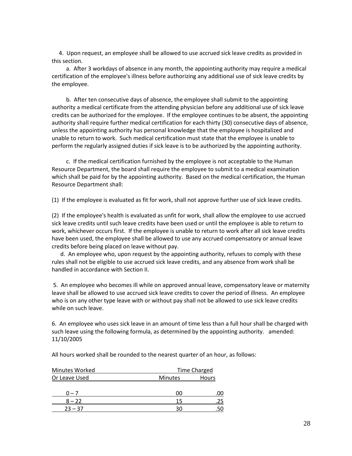4. Upon request, an employee shall be allowed to use accrued sick leave credits as provided in this section.

 a. After 3 workdays of absence in any month, the appointing authority may require a medical certification of the employee's illness before authorizing any additional use of sick leave credits by the employee.

 b. After ten consecutive days of absence, the employee shall submit to the appointing authority a medical certificate from the attending physician before any additional use of sick leave credits can be authorized for the employee. If the employee continues to be absent, the appointing authority shall require further medical certification for each thirty (30) consecutive days of absence, unless the appointing authority has personal knowledge that the employee is hospitalized and unable to return to work. Such medical certification must state that the employee is unable to perform the regularly assigned duties if sick leave is to be authorized by the appointing authority.

 c. If the medical certification furnished by the employee is not acceptable to the Human Resource Department, the board shall require the employee to submit to a medical examination which shall be paid for by the appointing authority. Based on the medical certification, the Human Resource Department shall:

(1) If the employee is evaluated as fit for work, shall not approve further use of sick leave credits.

(2) If the employee's health is evaluated as unfit for work, shall allow the employee to use accrued sick leave credits until such leave credits have been used or until the employee is able to return to work, whichever occurs first. If the employee is unable to return to work after all sick leave credits have been used, the employee shall be allowed to use any accrued compensatory or annual leave credits before being placed on leave without pay.

 d. An employee who, upon request by the appointing authority, refuses to comply with these rules shall not be eligible to use accrued sick leave credits, and any absence from work shall be handled in accordance with Section II.

5. An employee who becomes ill while on approved annual leave, compensatory leave or maternity leave shall be allowed to use accrued sick leave credits to cover the period of illness. An employee who is on any other type leave with or without pay shall not be allowed to use sick leave credits while on such leave.

6. An employee who uses sick leave in an amount of time less than a full hour shall be charged with such leave using the following formula, as determined by the appointing authority. amended: 11/10/2005

All hours worked shall be rounded to the nearest quarter of an hour, as follows:

| <b>Minutes Worked</b> | Time Charged   |       |  |
|-----------------------|----------------|-------|--|
| Or Leave Used         | <b>Minutes</b> | Hours |  |
|                       |                |       |  |
| $0 - 7$               | 00             | .00   |  |
| $8 - 22$              | 15             | 25    |  |
| $23 - 37$             | 30             |       |  |
|                       |                |       |  |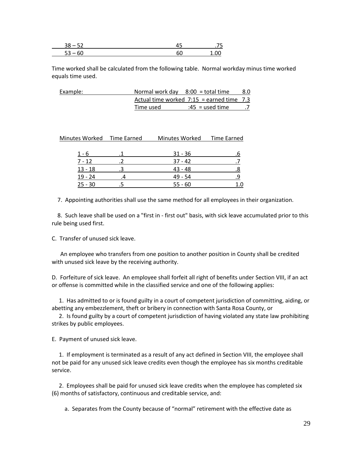Time worked shall be calculated from the following table. Normal workday minus time worked equals time used.

| Example: | Normal work day $8:00 =$ total time |                                             | 8.0 |
|----------|-------------------------------------|---------------------------------------------|-----|
|          |                                     | Actual time worked $7:15$ = earned time 7.3 |     |
|          | Time used                           | :45 = used time                             |     |

| Minutes Worked Time Earned | Minutes Worked | Time Earned |
|----------------------------|----------------|-------------|
|                            |                |             |
| 1 - 6                      | $31 - 36$      | .b          |
| $7 - 12$                   | $37 - 42$      |             |
| $13 - 18$                  | $43 - 48$      | .8          |
| $19 - 24$                  | 49 - 54        | .9          |
| $25 - 30$                  | $55 - 60$      |             |

7. Appointing authorities shall use the same method for all employees in their organization.

 8. Such leave shall be used on a "first in - first out" basis, with sick leave accumulated prior to this rule being used first.

C. Transfer of unused sick leave.

 An employee who transfers from one position to another position in County shall be credited with unused sick leave by the receiving authority.

D. Forfeiture of sick leave. An employee shall forfeit all right of benefits under Section VIII, if an act or offense is committed while in the classified service and one of the following applies:

 1. Has admitted to or is found guilty in a court of competent jurisdiction of committing, aiding, or abetting any embezzlement, theft or bribery in connection with Santa Rosa County, or

 2. Is found guilty by a court of competent jurisdiction of having violated any state law prohibiting strikes by public employees.

E. Payment of unused sick leave.

 1. If employment is terminated as a result of any act defined in Section VIII, the employee shall not be paid for any unused sick leave credits even though the employee has six months creditable service.

 2. Employees shall be paid for unused sick leave credits when the employee has completed six (6) months of satisfactory, continuous and creditable service, and:

a. Separates from the County because of "normal" retirement with the effective date as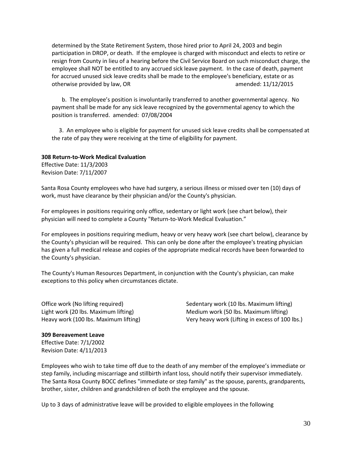determined by the State Retirement System, those hired prior to April 24, 2003 and begin participation in DROP, or death. If the employee is charged with misconduct and elects to retire or resign from County in lieu of a hearing before the Civil Service Board on such misconduct charge, the employee shall NOT be entitled to any accrued sick leave payment. In the case of death, payment for accrued unused sick leave credits shall be made to the employee's beneficiary, estate or as otherwise provided by law, OR amended: 11/12/2015

 b. The employee's position is involuntarily transferred to another governmental agency. No payment shall be made for any sick leave recognized by the governmental agency to which the position is transferred. amended: 07/08/2004

 3. An employee who is eligible for payment for unused sick leave credits shall be compensated at the rate of pay they were receiving at the time of eligibility for payment.

#### **308 Return-to-Work Medical Evaluation**

Effective Date: 11/3/2003 Revision Date: 7/11/2007

Santa Rosa County employees who have had surgery, a serious illness or missed over ten (10) days of work, must have clearance by their physician and/or the County's physician.

For employees in positions requiring only office, sedentary or light work (see chart below), their physician will need to complete a County "Return-to-Work Medical Evaluation."

For employees in positions requiring medium, heavy or very heavy work (see chart below), clearance by the County's physician will be required. This can only be done after the employee's treating physician has given a full medical release and copies of the appropriate medical records have been forwarded to the County's physician.

The County's Human Resources Department, in conjunction with the County's physician, can make exceptions to this policy when circumstances dictate.

Office work (No lifting required) Sedentary work (10 lbs. Maximum lifting) Light work (20 lbs. Maximum lifting) Medium work (50 lbs. Maximum lifting) Heavy work (100 lbs. Maximum lifting) Very heavy work (Lifting in excess of 100 lbs.)

#### **309 Bereavement Leave**

Effective Date: 7/1/2002 Revision Date: 4/11/2013

Employees who wish to take time off due to the death of any member of the employee's immediate or step family, including miscarriage and stillbirth infant loss, should notify their supervisor immediately. The Santa Rosa County BOCC defines "immediate or step family" as the spouse, parents, grandparents, brother, sister, children and grandchildren of both the employee and the spouse.

Up to 3 days of administrative leave will be provided to eligible employees in the following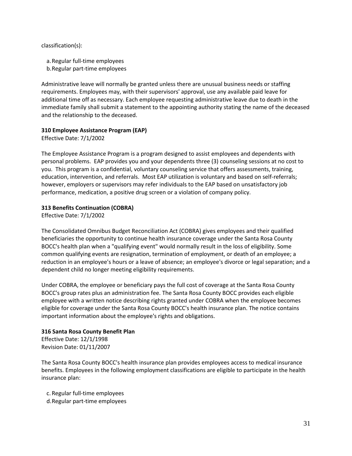classification(s):

a.Regular full-time employees

b.Regular part-time employees

Administrative leave will normally be granted unless there are unusual business needs or staffing requirements. Employees may, with their supervisors' approval, use any available paid leave for additional time off as necessary. Each employee requesting administrative leave due to death in the immediate family shall submit a statement to the appointing authority stating the name of the deceased and the relationship to the deceased.

# **310 Employee Assistance Program (EAP)**

Effective Date: 7/1/2002

The Employee Assistance Program is a program designed to assist employees and dependents with personal problems. EAP provides you and your dependents three (3) counseling sessions at no cost to you. This program is a confidential, voluntary counseling service that offers assessments, training, education, intervention, and referrals. Most EAP utilization is voluntary and based on self-referrals; however, employers or supervisors may refer individuals to the EAP based on unsatisfactory job performance, medication, a positive drug screen or a violation of company policy.

# **313 Benefits Continuation (COBRA)**

Effective Date: 7/1/2002

The Consolidated Omnibus Budget Reconciliation Act (COBRA) gives employees and their qualified beneficiaries the opportunity to continue health insurance coverage under the Santa Rosa County BOCC's health plan when a "qualifying event" would normally result in the loss of eligibility. Some common qualifying events are resignation, termination of employment, or death of an employee; a reduction in an employee's hours or a leave of absence; an employee's divorce or legal separation; and a dependent child no longer meeting eligibility requirements.

Under COBRA, the employee or beneficiary pays the full cost of coverage at the Santa Rosa County BOCC's group rates plus an administration fee. The Santa Rosa County BOCC provides each eligible employee with a written notice describing rights granted under COBRA when the employee becomes eligible for coverage under the Santa Rosa County BOCC's health insurance plan. The notice contains important information about the employee's rights and obligations.

### **316 Santa Rosa County Benefit Plan**

Effective Date: 12/1/1998 Revision Date: 01/11/2007

The Santa Rosa County BOCC's health insurance plan provides employees access to medical insurance benefits. Employees in the following employment classifications are eligible to participate in the health insurance plan:

c. Regular full-time employees d.Regular part-time employees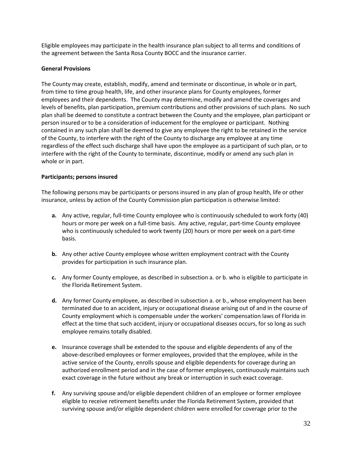Eligible employees may participate in the health insurance plan subject to all terms and conditions of the agreement between the Santa Rosa County BOCC and the insurance carrier.

## **General Provisions**

The County may create, establish, modify, amend and terminate or discontinue, in whole or in part, from time to time group health, life, and other insurance plans for County employees, former employees and their dependents. The County may determine, modify and amend the coverages and levels of benefits, plan participation, premium contributions and other provisions of such plans. No such plan shall be deemed to constitute a contract between the County and the employee, plan participant or person insured or to be a consideration of inducement for the employee or participant. Nothing contained in any such plan shall be deemed to give any employee the right to be retained in the service of the County, to interfere with the right of the County to discharge any employee at any time regardless of the effect such discharge shall have upon the employee as a participant of such plan, or to interfere with the right of the County to terminate, discontinue, modify or amend any such plan in whole or in part.

# **Participants; persons insured**

The following persons may be participants or persons insured in any plan of group health, life or other insurance, unless by action of the County Commission plan participation is otherwise limited:

- **a.** Any active, regular, full-time County employee who is continuously scheduled to work forty (40) hours or more per week on a full-time basis. Any active, regular, part-time County employee who is continuously scheduled to work twenty (20) hours or more per week on a part-time basis.
- **b.** Any other active County employee whose written employment contract with the County provides for participation in such insurance plan.
- **c.** Any former County employee, as described in subsection a. or b. who is eligible to participate in the Florida Retirement System.
- **d.** Any former County employee, as described in subsection a. or b., whose employment has been terminated due to an accident, injury or occupational disease arising out of and in the course of County employment which is compensable under the workers' compensation laws of Florida in effect at the time that such accident, injury or occupational diseases occurs, for so long as such employee remains totally disabled.
- **e.** Insurance coverage shall be extended to the spouse and eligible dependents of any of the above-described employees or former employees, provided that the employee, while in the active service of the County, enrolls spouse and eligible dependents for coverage during an authorized enrollment period and in the case of former employees, continuously maintains such exact coverage in the future without any break or interruption in such exact coverage.
- **f.** Any surviving spouse and/or eligible dependent children of an employee or former employee eligible to receive retirement benefits under the Florida Retirement System, provided that surviving spouse and/or eligible dependent children were enrolled for coverage prior to the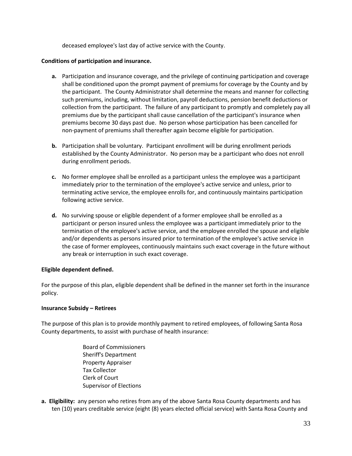deceased employee's last day of active service with the County.

### **Conditions of participation and insurance.**

- **a.** Participation and insurance coverage, and the privilege of continuing participation and coverage shall be conditioned upon the prompt payment of premiums for coverage by the County and by the participant. The County Administrator shall determine the means and manner for collecting such premiums, including, without limitation, payroll deductions, pension benefit deductions or collection from the participant. The failure of any participant to promptly and completely pay all premiums due by the participant shall cause cancellation of the participant's insurance when premiums become 30 days past due. No person whose participation has been cancelled for non-payment of premiums shall thereafter again become eligible for participation.
- **b.** Participation shall be voluntary. Participant enrollment will be during enrollment periods established by the County Administrator. No person may be a participant who does not enroll during enrollment periods.
- **c.** No former employee shall be enrolled as a participant unless the employee was a participant immediately prior to the termination of the employee's active service and unless, prior to terminating active service, the employee enrolls for, and continuously maintains participation following active service.
- **d.** No surviving spouse or eligible dependent of a former employee shall be enrolled as a participant or person insured unless the employee was a participant immediately prior to the termination of the employee's active service, and the employee enrolled the spouse and eligible and/or dependents as persons insured prior to termination of the employee's active service in the case of former employees, continuously maintains such exact coverage in the future without any break or interruption in such exact coverage.

### **Eligible dependent defined.**

For the purpose of this plan, eligible dependent shall be defined in the manner set forth in the insurance policy.

### **Insurance Subsidy – Retirees**

The purpose of this plan is to provide monthly payment to retired employees, of following Santa Rosa County departments, to assist with purchase of health insurance:

- Board of Commissioners Sheriff's Department Property Appraiser Tax Collector Clerk of Court Supervisor of Elections
- **a. Eligibility:** any person who retires from any of the above Santa Rosa County departments and has ten (10) years creditable service (eight (8) years elected official service) with Santa Rosa County and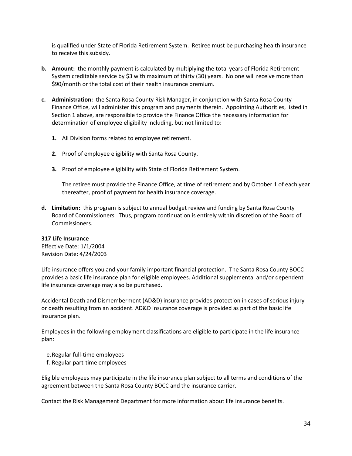is qualified under State of Florida Retirement System. Retiree must be purchasing health insurance to receive this subsidy.

- **b. Amount:** the monthly payment is calculated by multiplying the total years of Florida Retirement System creditable service by \$3 with maximum of thirty (30) years. No one will receive more than \$90/month or the total cost of their health insurance premium.
- **c. Administration:** the Santa Rosa County Risk Manager, in conjunction with Santa Rosa County Finance Office, will administer this program and payments therein. Appointing Authorities, listed in Section 1 above, are responsible to provide the Finance Office the necessary information for determination of employee eligibility including, but not limited to:
	- **1.** All Division forms related to employee retirement.
	- **2.** Proof of employee eligibility with Santa Rosa County.
	- **3.** Proof of employee eligibility with State of Florida Retirement System.

The retiree must provide the Finance Office, at time of retirement and by October 1 of each year thereafter, proof of payment for health insurance coverage.

**d. Limitation:** this program is subject to annual budget review and funding by Santa Rosa County Board of Commissioners. Thus, program continuation is entirely within discretion of the Board of Commissioners.

### **317 Life Insurance**

Effective Date: 1/1/2004 Revision Date: 4/24/2003

Life insurance offers you and your family important financial protection. The Santa Rosa County BOCC provides a basic life insurance plan for eligible employees. Additional supplemental and/or dependent life insurance coverage may also be purchased.

Accidental Death and Dismemberment (AD&D) insurance provides protection in cases of serious injury or death resulting from an accident. AD&D insurance coverage is provided as part of the basic life insurance plan.

Employees in the following employment classifications are eligible to participate in the life insurance plan:

- e.Regular full-time employees
- f. Regular part-time employees

Eligible employees may participate in the life insurance plan subject to all terms and conditions of the agreement between the Santa Rosa County BOCC and the insurance carrier.

Contact the Risk Management Department for more information about life insurance benefits.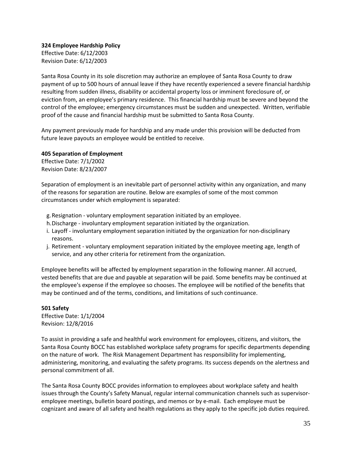**324 Employee Hardship Policy** Effective Date: 6/12/2003 Revision Date: 6/12/2003

Santa Rosa County in its sole discretion may authorize an employee of Santa Rosa County to draw payment of up to 500 hours of annual leave if they have recently experienced a severe financial hardship resulting from sudden illness, disability or accidental property loss or imminent foreclosure of, or eviction from, an employee's primary residence. This financial hardship must be severe and beyond the control of the employee; emergency circumstances must be sudden and unexpected. Written, verifiable proof of the cause and financial hardship must be submitted to Santa Rosa County.

Any payment previously made for hardship and any made under this provision will be deducted from future leave payouts an employee would be entitled to receive.

# **405 Separation of Employment**

Effective Date: 7/1/2002 Revision Date: 8/23/2007

Separation of employment is an inevitable part of personnel activity within any organization, and many of the reasons for separation are routine. Below are examples of some of the most common circumstances under which employment is separated:

- g.Resignation voluntary employment separation initiated by an employee.
- h.Discharge involuntary employment separation initiated by the organization.
- i. Layoff involuntary employment separation initiated by the organization for non-disciplinary reasons.
- j. Retirement voluntary employment separation initiated by the employee meeting age, length of service, and any other criteria for retirement from the organization.

Employee benefits will be affected by employment separation in the following manner. All accrued, vested benefits that are due and payable at separation will be paid. Some benefits may be continued at the employee's expense if the employee so chooses. The employee will be notified of the benefits that may be continued and of the terms, conditions, and limitations of such continuance.

### **501 Safety**

Effective Date: 1/1/2004 Revision: 12/8/2016

To assist in providing a safe and healthful work environment for employees, citizens, and visitors, the Santa Rosa County BOCC has established workplace safety programs for specific departments depending on the nature of work. The Risk Management Department has responsibility for implementing, administering, monitoring, and evaluating the safety programs. Its success depends on the alertness and personal commitment of all.

The Santa Rosa County BOCC provides information to employees about workplace safety and health issues through the County's Safety Manual, regular internal communication channels such as supervisoremployee meetings, bulletin board postings, and memos or by e-mail. Each employee must be cognizant and aware of all safety and health regulations as they apply to the specific job duties required.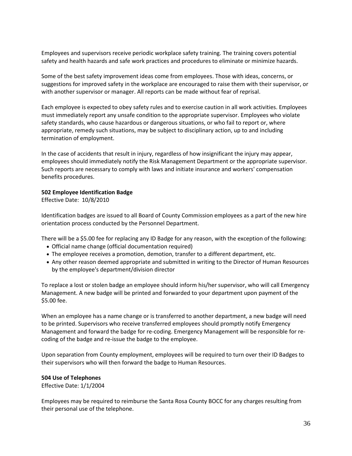Employees and supervisors receive periodic workplace safety training. The training covers potential safety and health hazards and safe work practices and procedures to eliminate or minimize hazards.

Some of the best safety improvement ideas come from employees. Those with ideas, concerns, or suggestions for improved safety in the workplace are encouraged to raise them with their supervisor, or with another supervisor or manager. All reports can be made without fear of reprisal.

Each employee is expected to obey safety rules and to exercise caution in all work activities. Employees must immediately report any unsafe condition to the appropriate supervisor. Employees who violate safety standards, who cause hazardous or dangerous situations, or who fail to report or, where appropriate, remedy such situations, may be subject to disciplinary action, up to and including termination of employment.

In the case of accidents that result in injury, regardless of how insignificant the injury may appear, employees should immediately notify the Risk Management Department or the appropriate supervisor. Such reports are necessary to comply with laws and initiate insurance and workers' compensation benefits procedures.

#### **502 Employee Identification Badge**

Effective Date: 10/8/2010

Identification badges are issued to all Board of County Commission employees as a part of the new hire orientation process conducted by the Personnel Department.

There will be a \$5.00 fee for replacing any ID Badge for any reason, with the exception of the following:

- Official name change (official documentation required)
- The employee receives a promotion, demotion, transfer to a different department, etc.
- Any other reason deemed appropriate and submitted in writing to the Director of Human Resources by the employee's department/division director

To replace a lost or stolen badge an employee should inform his/her supervisor, who will call Emergency Management. A new badge will be printed and forwarded to your department upon payment of the \$5.00 fee.

When an employee has a name change or is transferred to another department, a new badge will need to be printed. Supervisors who receive transferred employees should promptly notify Emergency Management and forward the badge for re-coding. Emergency Management will be responsible for recoding of the badge and re-issue the badge to the employee.

Upon separation from County employment, employees will be required to turn over their ID Badges to their supervisors who will then forward the badge to Human Resources.

#### **504 Use of Telephones**

Effective Date: 1/1/2004

Employees may be required to reimburse the Santa Rosa County BOCC for any charges resulting from their personal use of the telephone.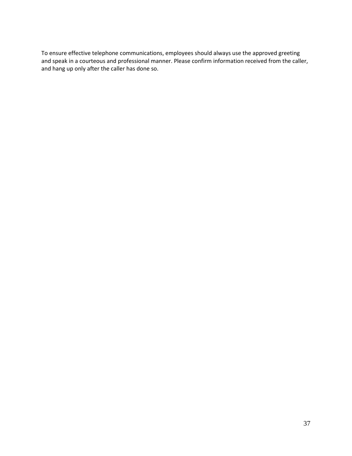To ensure effective telephone communications, employees should always use the approved greeting and speak in a courteous and professional manner. Please confirm information received from the caller, and hang up only after the caller has done so.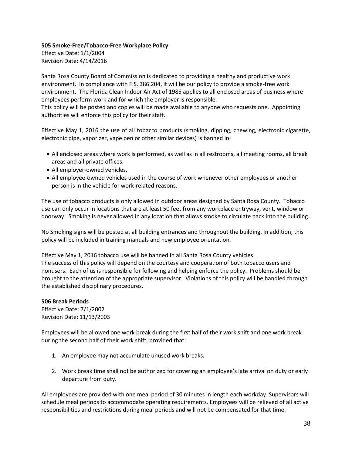# **505 Smoke-Free/Tobacco-Free Workplace Policy**

Effective Date: 1/1/2004 Revision Date: 4/14/2016

Santa Rosa County Board of Commission is dedicated to providing a healthy and productive work environment. In compliance with F.S. 386.204, it will be our policy to provide a smoke-free work environment. The Florida Clean Indoor Air Act of 1985 applies to all enclosed areas of business where employees perform work and for which the employer is responsible.

This policy will be posted and copies will be made available to anyone who requests one. Appointing authorities will enforce this policy for their staff.

Effective May 1, 2016 the use of all tobacco products (smoking, dipping, chewing, electronic cigarette, electronic pipe, vaporizer, vape pen or other similar devices) is banned in:

- All enclosed areas where work is performed, as well as in all restrooms, all meeting rooms, all break areas and all private offices.
- All employer-owned vehicles.
- All employee-owned vehicles used in the course of work whenever other employees or another person is in the vehicle for work-related reasons.

The use of tobacco products is only allowed in outdoor areas designed by Santa Rosa County. Tobacco use can only occur in locations that are at least 50 feet from any workplace entryway, vent, window or doorway. Smoking is never allowed in any location that allows smoke to circulate back into the building.

No Smoking signs will be posted at all building entrances and throughout the building. In addition, this policy will be included in training manuals and new employee orientation.

Effective May 1, 2016 tobacco use will be banned in all Santa Rosa County vehicles. The success of this policy will depend on the courtesy and cooperation of both tobacco users and nonusers. Each of us is responsible for following and helping enforce the policy. Problems should be brought to the attention of the appropriate supervisor. Violations of this policy will be handled through the established disciplinary procedures.

### **506 Break Periods** Effective Date: 7/1/2002 Revision Date: 11/13/2003

Employees will be allowed one work break during the first half of their work shift and one work break during the second half of their work shift, provided that:

- 1. An employee may not accumulate unused work breaks.
- 2. Work break time shall not be authorized for covering an employee's late arrival on duty or early departure from duty.

All employees are provided with one meal period of 30 minutes in length each workday. Supervisors will schedule meal periods to accommodate operating requirements. Employees will be relieved of all active responsibilities and restrictions during meal periods and will not be compensated for that time.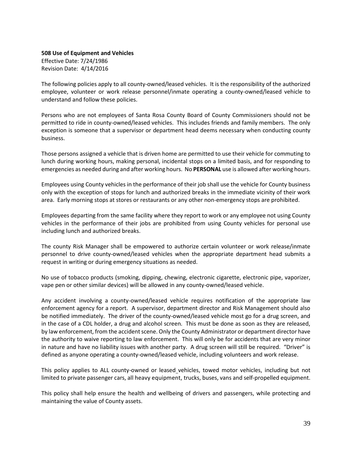**508 Use of Equipment and Vehicles** Effective Date: 7/24/1986 Revision Date: 4/14/2016

The following policies apply to all county-owned/leased vehicles. It is the responsibility of the authorized employee, volunteer or work release personnel/inmate operating a county-owned/leased vehicle to understand and follow these policies.

Persons who are not employees of Santa Rosa County Board of County Commissioners should not be permitted to ride in county-owned/leased vehicles. This includes friends and family members. The only exception is someone that a supervisor or department head deems necessary when conducting county business.

Those persons assigned a vehicle that is driven home are permitted to use their vehicle for commuting to lunch during working hours, making personal, incidental stops on a limited basis, and for responding to emergencies as needed during and after working hours. No **PERSONAL** use is allowed after working hours.

Employees using County vehicles in the performance of their job shall use the vehicle for County business only with the exception of stops for lunch and authorized breaks in the immediate vicinity of their work area. Early morning stops at stores or restaurants or any other non-emergency stops are prohibited.

Employees departing from the same facility where they report to work or any employee not using County vehicles in the performance of their jobs are prohibited from using County vehicles for personal use including lunch and authorized breaks.

The county Risk Manager shall be empowered to authorize certain volunteer or work release/inmate personnel to drive county-owned/leased vehicles when the appropriate department head submits a request in writing or during emergency situations as needed.

No use of tobacco products (smoking, dipping, chewing, electronic cigarette, electronic pipe, vaporizer, vape pen or other similar devices) will be allowed in any county-owned/leased vehicle.

Any accident involving a county-owned/leased vehicle requires notification of the appropriate law enforcement agency for a report. A supervisor, department director and Risk Management should also be notified immediately. The driver of the county-owned/leased vehicle most go for a drug screen, and in the case of a CDL holder, a drug and alcohol screen. This must be done as soon as they are released, by law enforcement, from the accident scene. Only the County Administrator or department director have the authority to waive reporting to law enforcement. This will only be for accidents that are very minor in nature and have no liability issues with another party. A drug screen will still be required. "Driver" is defined as anyone operating a county-owned/leased vehicle, including volunteers and work release.

This policy applies to ALL county-owned or leased vehicles, towed motor vehicles, including but not limited to private passenger cars, all heavy equipment, trucks, buses, vans and self-propelled equipment.

This policy shall help ensure the health and wellbeing of drivers and passengers, while protecting and maintaining the value of County assets.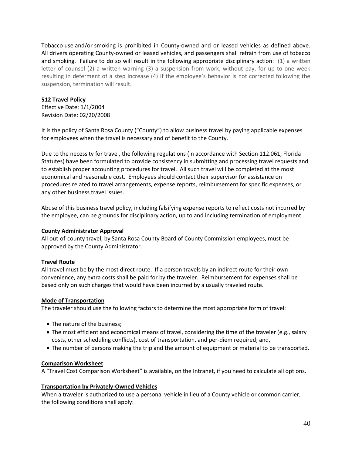Tobacco use and/or smoking is prohibited in County-owned and or leased vehicles as defined above. All drivers operating County-owned or leased vehicles, and passengers shall refrain from use of tobacco and smoking. Failure to do so will result in the following appropriate disciplinary action: (1) a written letter of counsel (2) a written warning (3) a suspension from work, without pay, for up to one week resulting in deferment of a step increase (4) If the employee's behavior is not corrected following the suspension, termination will result.

## **512 Travel Policy**

Effective Date: 1/1/2004 Revision Date: 02/20/2008

It is the policy of Santa Rosa County ("County") to allow business travel by paying applicable expenses for employees when the travel is necessary and of benefit to the County.

Due to the necessity for travel, the following regulations (in accordance with Section 112.061, Florida Statutes) have been formulated to provide consistency in submitting and processing travel requests and to establish proper accounting procedures for travel. All such travel will be completed at the most economical and reasonable cost. Employees should contact their supervisor for assistance on procedures related to travel arrangements, expense reports, reimbursement for specific expenses, or any other business travel issues.

Abuse of this business travel policy, including falsifying expense reports to reflect costs not incurred by the employee, can be grounds for disciplinary action, up to and including termination of employment.

### **County Administrator Approval**

All out-of-county travel, by Santa Rosa County Board of County Commission employees, must be approved by the County Administrator.

### **Travel Route**

All travel must be by the most direct route. If a person travels by an indirect route for their own convenience, any extra costs shall be paid for by the traveler. Reimbursement for expenses shall be based only on such charges that would have been incurred by a usually traveled route.

### **Mode of Transportation**

The traveler should use the following factors to determine the most appropriate form of travel:

- The nature of the business;
- The most efficient and economical means of travel, considering the time of the traveler (e.g., salary costs, other scheduling conflicts), cost of transportation, and per-diem required; and,
- The number of persons making the trip and the amount of equipment or material to be transported.

### **Comparison Worksheet**

A "Travel Cost Comparison Worksheet" is available, on the Intranet, if you need to calculate all options.

### **Transportation by Privately-Owned Vehicles**

When a traveler is authorized to use a personal vehicle in lieu of a County vehicle or common carrier, the following conditions shall apply: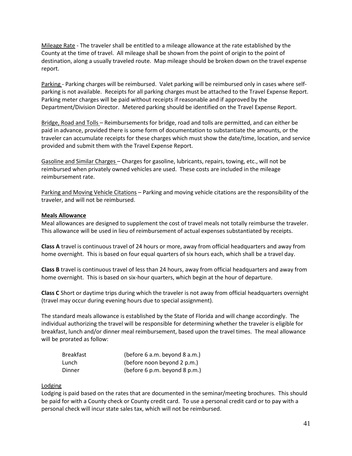Mileage Rate - The traveler shall be entitled to a mileage allowance at the rate established by the County at the time of travel. All mileage shall be shown from the point of origin to the point of destination, along a usually traveled route. Map mileage should be broken down on the travel expense report.

Parking - Parking charges will be reimbursed. Valet parking will be reimbursed only in cases where selfparking is not available. Receipts for all parking charges must be attached to the Travel Expense Report. Parking meter charges will be paid without receipts if reasonable and if approved by the Department/Division Director. Metered parking should be identified on the Travel Expense Report.

Bridge, Road and Tolls – Reimbursements for bridge, road and tolls are permitted, and can either be paid in advance, provided there is some form of documentation to substantiate the amounts, or the traveler can accumulate receipts for these charges which must show the date/time, location, and service provided and submit them with the Travel Expense Report.

Gasoline and Similar Charges – Charges for gasoline, lubricants, repairs, towing, etc., will not be reimbursed when privately owned vehicles are used. These costs are included in the mileage reimbursement rate.

Parking and Moving Vehicle Citations – Parking and moving vehicle citations are the responsibility of the traveler, and will not be reimbursed.

### **Meals Allowance**

Meal allowances are designed to supplement the cost of travel meals not totally reimburse the traveler. This allowance will be used in lieu of reimbursement of actual expenses substantiated by receipts.

**Class A** travel is continuous travel of 24 hours or more, away from official headquarters and away from home overnight. This is based on four equal quarters of six hours each, which shall be a travel day.

**Class B** travel is continuous travel of less than 24 hours, away from official headquarters and away from home overnight. This is based on six-hour quarters, which begin at the hour of departure.

**Class C** Short or daytime trips during which the traveler is not away from official headquarters overnight (travel may occur during evening hours due to special assignment).

The standard meals allowance is established by the State of Florida and will change accordingly. The individual authorizing the travel will be responsible for determining whether the traveler is eligible for breakfast, lunch and/or dinner meal reimbursement, based upon the travel times. The meal allowance will be prorated as follow:

| <b>Breakfast</b> | (before 6 a.m. beyond 8 a.m.) |
|------------------|-------------------------------|
| Lunch            | (before noon beyond 2 p.m.)   |
| Dinner           | (before 6 p.m. beyond 8 p.m.) |

### Lodging

Lodging is paid based on the rates that are documented in the seminar/meeting brochures. This should be paid for with a County check or County credit card. To use a personal credit card or to pay with a personal check will incur state sales tax, which will not be reimbursed.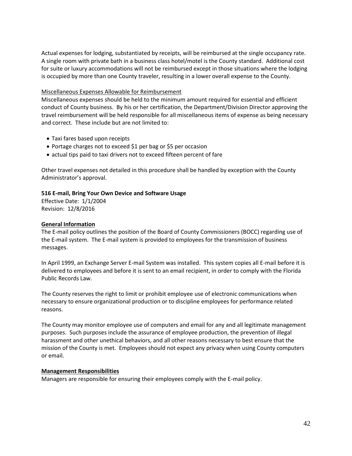Actual expenses for lodging, substantiated by receipts, will be reimbursed at the single occupancy rate. A single room with private bath in a business class hotel/motel is the County standard. Additional cost for suite or luxury accommodations will not be reimbursed except in those situations where the lodging is occupied by more than one County traveler, resulting in a lower overall expense to the County.

### Miscellaneous Expenses Allowable for Reimbursement

Miscellaneous expenses should be held to the minimum amount required for essential and efficient conduct of County business. By his or her certification, the Department/Division Director approving the travel reimbursement will be held responsible for all miscellaneous items of expense as being necessary and correct. These include but are not limited to:

- Taxi fares based upon receipts
- Portage charges not to exceed \$1 per bag or \$5 per occasion
- actual tips paid to taxi drivers not to exceed fifteen percent of fare

Other travel expenses not detailed in this procedure shall be handled by exception with the County Administrator's approval.

# **516 E-mail, Bring Your Own Device and Software Usage**

Effective Date: 1/1/2004 Revision: 12/8/2016

# **General Information**

The E-mail policy outlines the position of the Board of County Commissioners (BOCC) regarding use of the E-mail system. The E-mail system is provided to employees for the transmission of business messages.

In April 1999, an Exchange Server E-mail System was installed. This system copies all E-mail before it is delivered to employees and before it is sent to an email recipient, in order to comply with the Florida Public Records Law.

The County reserves the right to limit or prohibit employee use of electronic communications when necessary to ensure organizational production or to discipline employees for performance related reasons.

The County may monitor employee use of computers and email for any and all legitimate management purposes. Such purposes include the assurance of employee production, the prevention of illegal harassment and other unethical behaviors, and all other reasons necessary to best ensure that the mission of the County is met. Employees should not expect any privacy when using County computers or email.

### **Management Responsibilities**

Managers are responsible for ensuring their employees comply with the E-mail policy.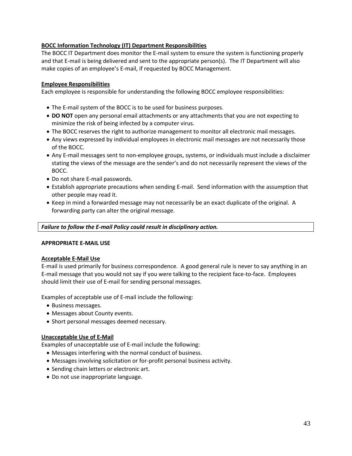# **BOCC Information Technology (IT) Department Responsibilities**

The BOCC IT Department does monitor the E-mail system to ensure the system is functioning properly and that E-mail is being delivered and sent to the appropriate person(s). The IT Department will also make copies of an employee's E-mail, if requested by BOCC Management.

## **Employee Responsibilities**

Each employee is responsible for understanding the following BOCC employee responsibilities:

- The E-mail system of the BOCC is to be used for business purposes.
- **DO NOT** open any personal email attachments or any attachments that you are not expecting to minimize the risk of being infected by a computer virus.
- The BOCC reserves the right to authorize management to monitor all electronic mail messages.
- Any views expressed by individual employees in electronic mail messages are not necessarily those of the BOCC.
- Any E-mail messages sent to non-employee groups, systems, or individuals must include a disclaimer stating the views of the message are the sender's and do not necessarily represent the views of the BOCC.
- Do not share E-mail passwords.
- Establish appropriate precautions when sending E-mail. Send information with the assumption that other people may read it.
- Keep in mind a forwarded message may not necessarily be an exact duplicate of the original. A forwarding party can alter the original message.

### *Failure to follow the E-mail Policy could result in disciplinary action.*

### **APPROPRIATE E-MAIL USE**

### **Acceptable E-Mail Use**

E-mail is used primarily for business correspondence. A good general rule is never to say anything in an E-mail message that you would not say if you were talking to the recipient face-to-face. Employees should limit their use of E-mail for sending personal messages.

Examples of acceptable use of E-mail include the following:

- Business messages.
- Messages about County events.
- Short personal messages deemed necessary.

### **Unacceptable Use of E-Mail**

Examples of unacceptable use of E-mail include the following:

- Messages interfering with the normal conduct of business.
- Messages involving solicitation or for-profit personal business activity.
- Sending chain letters or electronic art.
- Do not use inappropriate language.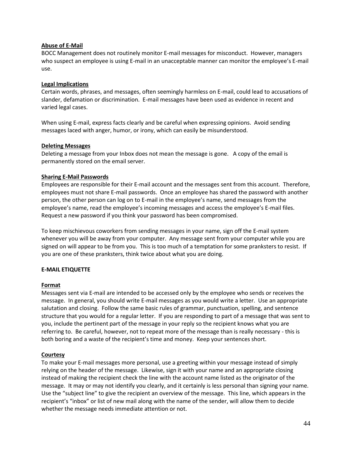## **Abuse of E-Mail**

BOCC Management does not routinely monitor E-mail messages for misconduct. However, managers who suspect an employee is using E-mail in an unacceptable manner can monitor the employee's E-mail use.

# **Legal Implications**

Certain words, phrases, and messages, often seemingly harmless on E-mail, could lead to accusations of slander, defamation or discrimination. E-mail messages have been used as evidence in recent and varied legal cases.

When using E-mail, express facts clearly and be careful when expressing opinions. Avoid sending messages laced with anger, humor, or irony, which can easily be misunderstood.

### **Deleting Messages**

Deleting a message from your Inbox does not mean the message is gone. A copy of the email is permanently stored on the email server.

# **Sharing E-Mail Passwords**

Employees are responsible for their E-mail account and the messages sent from this account. Therefore, employees must not share E-mail passwords. Once an employee has shared the password with another person, the other person can log on to E-mail in the employee's name, send messages from the employee's name, read the employee's incoming messages and access the employee's E-mail files. Request a new password if you think your password has been compromised.

To keep mischievous coworkers from sending messages in your name, sign off the E-mail system whenever you will be away from your computer. Any message sent from your computer while you are signed on will appear to be from you. This is too much of a temptation for some pranksters to resist. If you are one of these pranksters, think twice about what you are doing.

# **E-MAIL ETIQUETTE**

### **Format**

Messages sent via E-mail are intended to be accessed only by the employee who sends or receives the message. In general, you should write E-mail messages as you would write a letter. Use an appropriate salutation and closing. Follow the same basic rules of grammar, punctuation, spelling, and sentence structure that you would for a regular letter. If you are responding to part of a message that was sent to you, include the pertinent part of the message in your reply so the recipient knows what you are referring to. Be careful, however, not to repeat more of the message than is really necessary - this is both boring and a waste of the recipient's time and money. Keep your sentences short.

### **Courtesy**

To make your E-mail messages more personal, use a greeting within your message instead of simply relying on the header of the message. Likewise, sign it with your name and an appropriate closing instead of making the recipient check the line with the account name listed as the originator of the message. It may or may not identify you clearly, and it certainly is less personal than signing your name. Use the "subject line" to give the recipient an overview of the message. This line, which appears in the recipient's "inbox" or list of new mail along with the name of the sender, will allow them to decide whether the message needs immediate attention or not.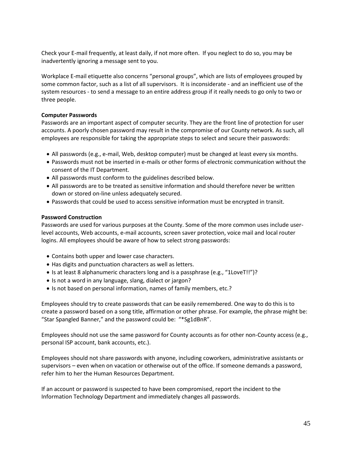Check your E-mail frequently, at least daily, if not more often. If you neglect to do so, you may be inadvertently ignoring a message sent to you.

Workplace E-mail etiquette also concerns "personal groups", which are lists of employees grouped by some common factor, such as a list of all supervisors. It is inconsiderate - and an inefficient use of the system resources - to send a message to an entire address group if it really needs to go only to two or three people.

### **Computer Passwords**

Passwords are an important aspect of computer security. They are the front line of protection for user accounts. A poorly chosen password may result in the compromise of our County network. As such, all employees are responsible for taking the appropriate steps to select and secure their passwords:

- All passwords (e.g., e-mail, Web, desktop computer) must be changed at least every six months.
- Passwords must not be inserted in e-mails or other forms of electronic communication without the consent of the IT Department.
- All passwords must conform to the guidelines described below.
- All passwords are to be treated as sensitive information and should therefore never be written down or stored on-line unless adequately secured.
- Passwords that could be used to access sensitive information must be encrypted in transit.

#### **Password Construction**

Passwords are used for various purposes at the County. Some of the more common uses include userlevel accounts, Web accounts, e-mail accounts, screen saver protection, voice mail and local router logins. All employees should be aware of how to select strong passwords:

- Contains both upper and lower case characters.
- Has digits and punctuation characters as well as letters.
- Is at least 8 alphanumeric characters long and is a passphrase (e.g., "1LoveT!!")?
- Is not a word in any language, slang, dialect or jargon?
- Is not based on personal information, names of family members, etc.?

Employees should try to create passwords that can be easily remembered. One way to do this is to create a password based on a song title, affirmation or other phrase. For example, the phrase might be: "Star Spangled Banner," and the password could be: "\*Sg1dBnR".

Employees should not use the same password for County accounts as for other non-County access (e.g., personal ISP account, bank accounts, etc.).

Employees should not share passwords with anyone, including coworkers, administrative assistants or supervisors – even when on vacation or otherwise out of the office. If someone demands a password, refer him to her the Human Resources Department.

If an account or password is suspected to have been compromised, report the incident to the Information Technology Department and immediately changes all passwords.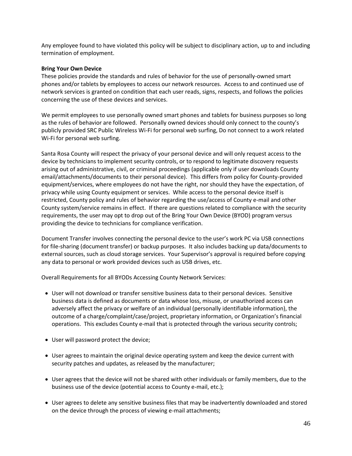Any employee found to have violated this policy will be subject to disciplinary action, up to and including termination of employment.

#### **Bring Your Own Device**

These policies provide the standards and rules of behavior for the use of personally-owned smart phones and/or tablets by employees to access our network resources. Access to and continued use of network services is granted on condition that each user reads, signs, respects, and follows the policies concerning the use of these devices and services.

We permit employees to use personally owned smart phones and tablets for business purposes so long as the rules of behavior are followed. Personally owned devices should only connect to the county's publicly provided SRC Public Wireless Wi-Fi for personal web surfing, Do not connect to a work related Wi-Fi for personal web surfing.

Santa Rosa County will respect the privacy of your personal device and will only request access to the device by technicians to implement security controls, or to respond to legitimate discovery requests arising out of administrative, civil, or criminal proceedings (applicable only if user downloads County email/attachments/documents to their personal device). This differs from policy for County-provided equipment/services, where employees do not have the right, nor should they have the expectation, of privacy while using County equipment or services. While access to the personal device itself is restricted, County policy and rules of behavior regarding the use/access of County e-mail and other County system/service remains in effect. If there are questions related to compliance with the security requirements, the user may opt to drop out of the Bring Your Own Device (BYOD) program versus providing the device to technicians for compliance verification.

Document Transfer involves connecting the personal device to the user's work PC via USB connections for file-sharing (document transfer) or backup purposes. It also includes backing up data/documents to external sources, such as cloud storage services. Your Supervisor's approval is required before copying any data to personal or work provided devices such as USB drives, etc.

Overall Requirements for all BYODs Accessing County Network Services:

- User will not download or transfer sensitive business data to their personal devices. Sensitive business data is defined as documents or data whose loss, misuse, or unauthorized access can adversely affect the privacy or welfare of an individual (personally identifiable information), the outcome of a charge/complaint/case/project, proprietary information, or Organization's financial operations. This excludes County e-mail that is protected through the various security controls;
- User will password protect the device;
- User agrees to maintain the original device operating system and keep the device current with security patches and updates, as released by the manufacturer;
- User agrees that the device will not be shared with other individuals or family members, due to the business use of the device (potential access to County e-mail, etc.);
- User agrees to delete any sensitive business files that may be inadvertently downloaded and stored on the device through the process of viewing e-mail attachments;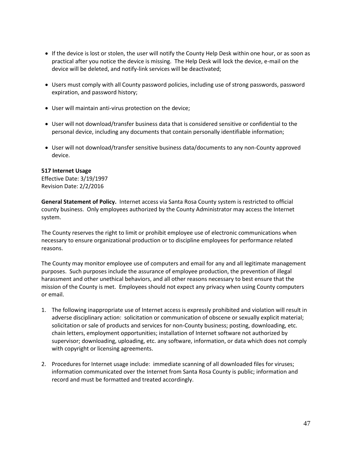- If the device is lost or stolen, the user will notify the County Help Desk within one hour, or as soon as practical after you notice the device is missing. The Help Desk will lock the device, e-mail on the device will be deleted, and notify-link services will be deactivated;
- Users must comply with all County password policies, including use of strong passwords, password expiration, and password history;
- User will maintain anti-virus protection on the device;
- User will not download/transfer business data that is considered sensitive or confidential to the personal device, including any documents that contain personally identifiable information;
- User will not download/transfer sensitive business data/documents to any non-County approved device.

#### **517 Internet Usage**

Effective Date: 3/19/1997 Revision Date: 2/2/2016

**General Statement of Policy.** Internet access via Santa Rosa County system is restricted to official county business. Only employees authorized by the County Administrator may access the Internet system.

The County reserves the right to limit or prohibit employee use of electronic communications when necessary to ensure organizational production or to discipline employees for performance related reasons.

The County may monitor employee use of computers and email for any and all legitimate management purposes. Such purposes include the assurance of employee production, the prevention of illegal harassment and other unethical behaviors, and all other reasons necessary to best ensure that the mission of the County is met. Employees should not expect any privacy when using County computers or email.

- 1. The following inappropriate use of Internet access is expressly prohibited and violation will result in adverse disciplinary action: solicitation or communication of obscene or sexually explicit material; solicitation or sale of products and services for non-County business; posting, downloading, etc. chain letters, employment opportunities; installation of Internet software not authorized by supervisor; downloading, uploading, etc. any software, information, or data which does not comply with copyright or licensing agreements.
- 2. Procedures for Internet usage include: immediate scanning of all downloaded files for viruses; information communicated over the Internet from Santa Rosa County is public; information and record and must be formatted and treated accordingly.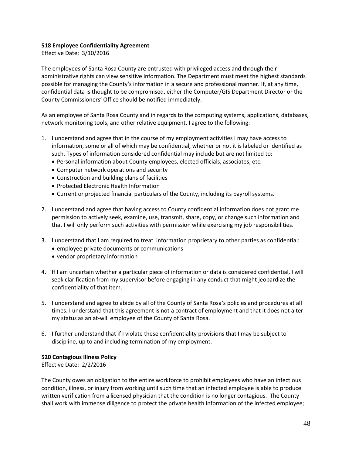# **518 Employee Confidentiality Agreement**

Effective Date: 3/10/2016

The employees of Santa Rosa County are entrusted with privileged access and through their administrative rights can view sensitive information. The Department must meet the highest standards possible for managing the County's information in a secure and professional manner. If, at any time, confidential data is thought to be compromised, either the Computer/GIS Department Director or the County Commissioners' Office should be notified immediately.

As an employee of Santa Rosa County and in regards to the computing systems, applications, databases, network monitoring tools, and other relative equipment, I agree to the following:

- 1. I understand and agree that in the course of my employment activities I may have access to information, some or all of which may be confidential, whether or not it is labeled or identified as such. Types of information considered confidential may include but are not limited to:
	- Personal information about County employees, elected officials, associates, etc.
	- Computer network operations and security
	- Construction and building plans of facilities
	- Protected Electronic Health Information
	- Current or projected financial particulars of the County, including its payroll systems.
- 2. I understand and agree that having access to County confidential information does not grant me permission to actively seek, examine, use, transmit, share, copy, or change such information and that I will only perform such activities with permission while exercising my job responsibilities.
- 3. I understand that I am required to treat information proprietary to other parties as confidential:
	- employee private documents or communications
	- vendor proprietary information
- 4. If I am uncertain whether a particular piece of information or data is considered confidential, I will seek clarification from my supervisor before engaging in any conduct that might jeopardize the confidentiality of that item.
- 5. I understand and agree to abide by all of the County of Santa Rosa's policies and procedures at all times. I understand that this agreement is not a contract of employment and that it does not alter my status as an at-will employee of the County of Santa Rosa.
- 6. I further understand that if I violate these confidentiality provisions that I may be subject to discipline, up to and including termination of my employment.

### **520 Contagious Illness Policy**

Effective Date: 2/2/2016

The County owes an obligation to the entire workforce to prohibit employees who have an infectious condition, illness, or injury from working until such time that an infected employee is able to produce written verification from a licensed physician that the condition is no longer contagious. The County shall work with immense diligence to protect the private health information of the infected employee;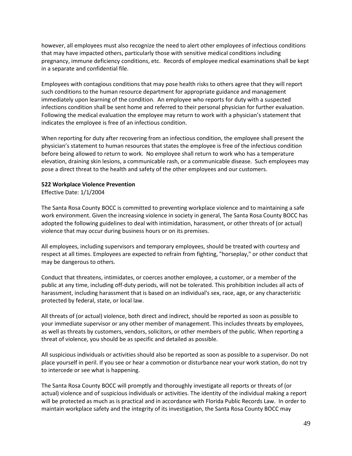however, all employees must also recognize the need to alert other employees of infectious conditions that may have impacted others, particularly those with sensitive medical conditions including pregnancy, immune deficiency conditions, etc. Records of employee medical examinations shall be kept in a separate and confidential file.

Employees with contagious conditions that may pose health risks to others agree that they will report such conditions to the human resource department for appropriate guidance and management immediately upon learning of the condition. An employee who reports for duty with a suspected infections condition shall be sent home and referred to their personal physician for further evaluation. Following the medical evaluation the employee may return to work with a physician's statement that indicates the employee is free of an infectious condition.

When reporting for duty after recovering from an infectious condition, the employee shall present the physician's statement to human resources that states the employee is free of the infectious condition before being allowed to return to work. No employee shall return to work who has a temperature elevation, draining skin lesions, a communicable rash, or a communicable disease. Such employees may pose a direct threat to the health and safety of the other employees and our customers.

#### **522 Workplace Violence Prevention**

Effective Date: 1/1/2004

The Santa Rosa County BOCC is committed to preventing workplace violence and to maintaining a safe work environment. Given the increasing violence in society in general, The Santa Rosa County BOCC has adopted the following guidelines to deal with intimidation, harassment, or other threats of (or actual) violence that may occur during business hours or on its premises.

All employees, including supervisors and temporary employees, should be treated with courtesy and respect at all times. Employees are expected to refrain from fighting, "horseplay," or other conduct that may be dangerous to others.

Conduct that threatens, intimidates, or coerces another employee, a customer, or a member of the public at any time, including off-duty periods, will not be tolerated. This prohibition includes all acts of harassment, including harassment that is based on an individual's sex, race, age, or any characteristic protected by federal, state, or local law.

All threats of (or actual) violence, both direct and indirect, should be reported as soon as possible to your immediate supervisor or any other member of management. This includes threats by employees, as well as threats by customers, vendors, solicitors, or other members of the public. When reporting a threat of violence, you should be as specific and detailed as possible.

All suspicious individuals or activities should also be reported as soon as possible to a supervisor. Do not place yourself in peril. If you see or hear a commotion or disturbance near your work station, do not try to intercede or see what is happening.

The Santa Rosa County BOCC will promptly and thoroughly investigate all reports or threats of (or actual) violence and of suspicious individuals or activities. The identity of the individual making a report will be protected as much as is practical and in accordance with Florida Public Records Law. In order to maintain workplace safety and the integrity of its investigation, the Santa Rosa County BOCC may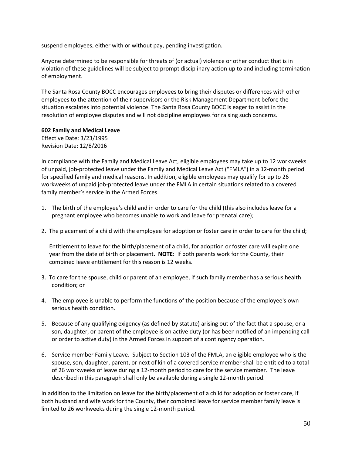suspend employees, either with or without pay, pending investigation.

Anyone determined to be responsible for threats of (or actual) violence or other conduct that is in violation of these guidelines will be subject to prompt disciplinary action up to and including termination of employment.

The Santa Rosa County BOCC encourages employees to bring their disputes or differences with other employees to the attention of their supervisors or the Risk Management Department before the situation escalates into potential violence. The Santa Rosa County BOCC is eager to assist in the resolution of employee disputes and will not discipline employees for raising such concerns.

**602 Family and Medical Leave**

Effective Date: 3/23/1995 Revision Date: 12/8/2016

In compliance with the Family and Medical Leave Act, eligible employees may take up to 12 workweeks of unpaid, job-protected leave under the Family and Medical Leave Act ("FMLA") in a 12-month period for specified family and medical reasons. In addition, eligible employees may qualify for up to 26 workweeks of unpaid job-protected leave under the FMLA in certain situations related to a covered family member's service in the Armed Forces.

- 1. The birth of the employee's child and in order to care for the child (this also includes leave for a pregnant employee who becomes unable to work and leave for prenatal care);
- 2. The placement of a child with the employee for adoption or foster care in order to care for the child;

Entitlement to leave for the birth/placement of a child, for adoption or foster care will expire one year from the date of birth or placement. **NOTE**: If both parents work for the County, their combined leave entitlement for this reason is 12 weeks.

- 3. To care for the spouse, child or parent of an employee, if such family member has a serious health condition; or
- 4. The employee is unable to perform the functions of the position because of the employee's own serious health condition.
- 5. Because of any qualifying exigency (as defined by statute) arising out of the fact that a spouse, or a son, daughter, or parent of the employee is on active duty (or has been notified of an impending call or order to active duty) in the Armed Forces in support of a contingency operation.
- 6. Service member Family Leave. Subject to Section 103 of the FMLA, an eligible employee who is the spouse, son, daughter, parent, or next of kin of a covered service member shall be entitled to a total of 26 workweeks of leave during a 12-month period to care for the service member. The leave described in this paragraph shall only be available during a single 12-month period.

In addition to the limitation on leave for the birth/placement of a child for adoption or foster care, if both husband and wife work for the County, their combined leave for service member family leave is limited to 26 workweeks during the single 12-month period.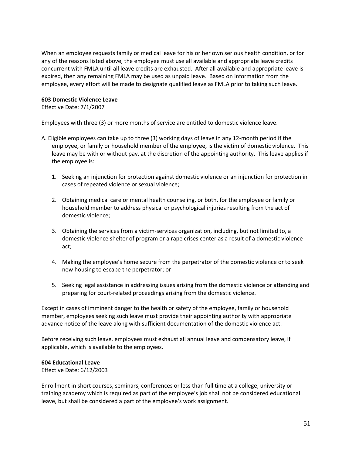When an employee requests family or medical leave for his or her own serious health condition, or for any of the reasons listed above, the employee must use all available and appropriate leave credits concurrent with FMLA until all leave credits are exhausted. After all available and appropriate leave is expired, then any remaining FMLA may be used as unpaid leave. Based on information from the employee, every effort will be made to designate qualified leave as FMLA prior to taking such leave.

### **603 Domestic Violence Leave**

Effective Date: 7/1/2007

Employees with three (3) or more months of service are entitled to domestic violence leave.

- A. Eligible employees can take up to three (3) working days of leave in any 12-month period if the employee, or family or household member of the employee, is the victim of domestic violence. This leave may be with or without pay, at the discretion of the appointing authority. This leave applies if the employee is:
	- 1. Seeking an injunction for protection against domestic violence or an injunction for protection in cases of repeated violence or sexual violence;
	- 2. Obtaining medical care or mental health counseling, or both, for the employee or family or household member to address physical or psychological injuries resulting from the act of domestic violence;
	- 3. Obtaining the services from a victim-services organization, including, but not limited to, a domestic violence shelter of program or a rape crises center as a result of a domestic violence act;
	- 4. Making the employee's home secure from the perpetrator of the domestic violence or to seek new housing to escape the perpetrator; or
	- 5. Seeking legal assistance in addressing issues arising from the domestic violence or attending and preparing for court-related proceedings arising from the domestic violence.

Except in cases of imminent danger to the health or safety of the employee, family or household member, employees seeking such leave must provide their appointing authority with appropriate advance notice of the leave along with sufficient documentation of the domestic violence act.

Before receiving such leave, employees must exhaust all annual leave and compensatory leave, if applicable, which is available to the employees.

### **604 Educational Leave**

Effective Date: 6/12/2003

Enrollment in short courses, seminars, conferences or less than full time at a college, university or training academy which is required as part of the employee's job shall not be considered educational leave, but shall be considered a part of the employee's work assignment.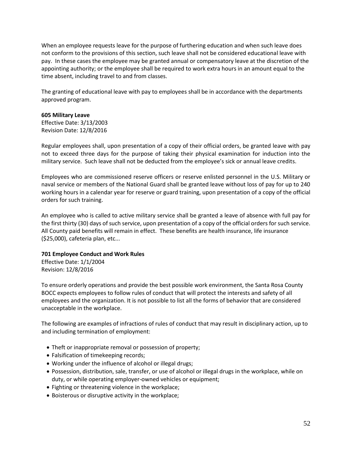When an employee requests leave for the purpose of furthering education and when such leave does not conform to the provisions of this section, such leave shall not be considered educational leave with pay. In these cases the employee may be granted annual or compensatory leave at the discretion of the appointing authority; or the employee shall be required to work extra hours in an amount equal to the time absent, including travel to and from classes.

The granting of educational leave with pay to employees shall be in accordance with the departments approved program.

#### **605 Military Leave**

Effective Date: 3/13/2003 Revision Date: 12/8/2016

Regular employees shall, upon presentation of a copy of their official orders, be granted leave with pay not to exceed three days for the purpose of taking their physical examination for induction into the military service. Such leave shall not be deducted from the employee's sick or annual leave credits.

Employees who are commissioned reserve officers or reserve enlisted personnel in the U.S. Military or naval service or members of the National Guard shall be granted leave without loss of pay for up to 240 working hours in a calendar year for reserve or guard training, upon presentation of a copy of the official orders for such training.

An employee who is called to active military service shall be granted a leave of absence with full pay for the first thirty (30) days of such service, upon presentation of a copy of the official orders for such service. All County paid benefits will remain in effect. These benefits are health insurance, life insurance (\$25,000), cafeteria plan, etc...

### **701 Employee Conduct and Work Rules**

Effective Date: 1/1/2004 Revision: 12/8/2016

To ensure orderly operations and provide the best possible work environment, the Santa Rosa County BOCC expects employees to follow rules of conduct that will protect the interests and safety of all employees and the organization. It is not possible to list all the forms of behavior that are considered unacceptable in the workplace.

The following are examples of infractions of rules of conduct that may result in disciplinary action, up to and including termination of employment:

- Theft or inappropriate removal or possession of property;
- Falsification of timekeeping records;
- Working under the influence of alcohol or illegal drugs;
- Possession, distribution, sale, transfer, or use of alcohol or illegal drugs in the workplace, while on duty, or while operating employer-owned vehicles or equipment;
- Fighting or threatening violence in the workplace;
- Boisterous or disruptive activity in the workplace;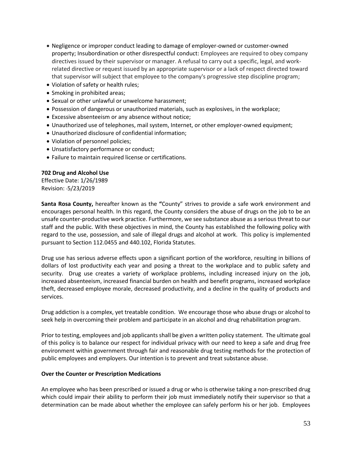- Negligence or improper conduct leading to damage of employer-owned or customer-owned property; Insubordination or other disrespectful conduct: Employees are required to obey company directives issued by their supervisor or manager. A refusal to carry out a specific, legal, and workrelated directive or request issued by an appropriate supervisor or a lack of respect directed toward that supervisor will subject that employee to the company's progressive step discipline program;
- Violation of safety or health rules;
- Smoking in prohibited areas;
- Sexual or other unlawful or unwelcome harassment;
- Possession of dangerous or unauthorized materials, such as explosives, in the workplace;
- Excessive absenteeism or any absence without notice;
- Unauthorized use of telephones, mail system, Internet, or other employer-owned equipment;
- Unauthorized disclosure of confidential information;
- Violation of personnel policies;
- Unsatisfactory performance or conduct;
- Failure to maintain required license or certifications.

# **702 Drug and Alcohol Use**

Effective Date: 1/26/1989 Revision: 5/23/2019

**Santa Rosa County,** hereafter known as the **"**County" strives to provide a safe work environment and encourages personal health. In this regard, the County considers the abuse of drugs on the job to be an unsafe counter-productive work practice. Furthermore, we see substance abuse as a serious threat to our staff and the public. With these objectives in mind, the County has established the following policy with regard to the use, possession, and sale of illegal drugs and alcohol at work. This policy is implemented pursuant to Section 112.0455 and 440.102, Florida Statutes.

Drug use has serious adverse effects upon a significant portion of the workforce, resulting in billions of dollars of lost productivity each year and posing a threat to the workplace and to public safety and security. Drug use creates a variety of workplace problems, including increased injury on the job, increased absenteeism, increased financial burden on health and benefit programs, increased workplace theft, decreased employee morale, decreased productivity, and a decline in the quality of products and services.

Drug addiction is a complex, yet treatable condition. We encourage those who abuse drugs or alcohol to seek help in overcoming their problem and participate in an alcohol and drug rehabilitation program.

Prior to testing, employees and job applicants shall be given a written policy statement. The ultimate goal of this policy is to balance our respect for individual privacy with our need to keep a safe and drug free environment within government through fair and reasonable drug testing methods for the protection of public employees and employers. Our intention is to prevent and treat substance abuse.

### **Over the Counter or Prescription Medications**

An employee who has been prescribed or issued a drug or who is otherwise taking a non-prescribed drug which could impair their ability to perform their job must immediately notify their supervisor so that a determination can be made about whether the employee can safely perform his or her job. Employees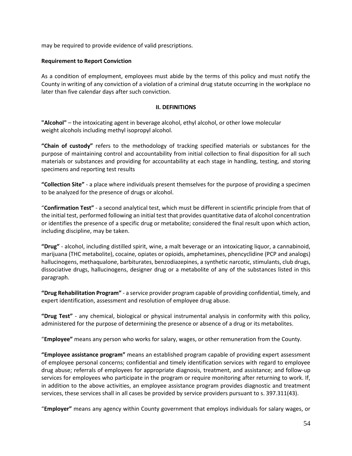may be required to provide evidence of valid prescriptions.

#### **Requirement to Report Conviction**

As a condition of employment, employees must abide by the terms of this policy and must notify the County in writing of any conviction of a violation of a criminal drug statute occurring in the workplace no later than five calendar days after such conviction.

#### **II. DEFINITIONS**

**"Alcohol"** – the intoxicating agent in beverage alcohol, ethyl alcohol, or other lowe molecular weight alcohols including methyl isopropyl alcohol.

**"Chain of custody"** refers to the methodology of tracking specified materials or substances for the purpose of maintaining control and accountability from initial collection to final disposition for all such materials or substances and providing for accountability at each stage in handling, testing, and storing specimens and reporting test results

**"Collection Site"** - a place where individuals present themselves for the purpose of providing a specimen to be analyzed for the presence of drugs or alcohol.

"**Confirmation Test"** - a second analytical test, which must be different in scientific principle from that of the initial test, performed following an initial test that provides quantitative data of alcohol concentration or identifies the presence of a specific drug or metabolite; considered the final result upon which action, including discipline, may be taken.

**"Drug"** - alcohol, including distilled spirit, wine, a malt beverage or an intoxicating liquor, a cannabinoid, marijuana (THC metabolite), cocaine, opiates or opioids, amphetamines, phencyclidine (PCP and analogs) hallucinogens, methaqualone, barbiturates, benzodiazepines, a synthetic narcotic, stimulants, club drugs, dissociative drugs, hallucinogens, designer drug or a metabolite of any of the substances listed in this paragraph.

**"Drug Rehabilitation Program"** - a service provider program capable of providing confidential, timely, and expert identification, assessment and resolution of employee drug abuse.

**"Drug Test"** - any chemical, biological or physical instrumental analysis in conformity with this policy, administered for the purpose of determining the presence or absence of a drug or its metabolites.

"**Employee"** means any person who works for salary, wages, or other remuneration from the County.

**"Employee assistance program"** means an established program capable of providing expert assessment of employee personal concerns; confidential and timely identification services with regard to employee drug abuse; referrals of employees for appropriate diagnosis, treatment, and assistance; and follow-up services for employees who participate in the program or require monitoring after returning to work. If, in addition to the above activities, an employee assistance program provides diagnostic and treatment services, these services shall in all cases be provided by service providers pursuant to s. 397.311(43).

"**Employer"** means any agency within County government that employs individuals for salary wages, or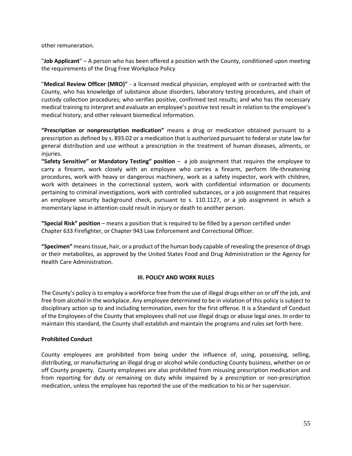other remuneration.

"**Job Applicant**" – A person who has been offered a position with the County, conditioned upon meeting the requirements of the Drug Free Workplace Policy

"**Medical Review Officer (MRO)"** - a licensed medical physician, employed with or contracted with the County, who has knowledge of substance abuse disorders, laboratory testing procedures, and chain of custody collection procedures; who verifies positive, confirmed test results; and who has the necessary medical training to interpret and evaluate an employee's positive test result in relation to the employee's medical history, and other relevant biomedical information.

**"Prescription or nonprescription medication"** means a drug or medication obtained pursuant to a prescription as defined by s. 893.02 or a medication that is authorized pursuant to federal or state law for general distribution and use without a prescription in the treatment of human diseases, ailments, or injuries.

**"Safety Sensitive" or Mandatory Testing" position** – a job assignment that requires the employee to carry a firearm, work closely with an employee who carries a firearm, perform life-threatening procedures, work with heavy or dangerous machinery, work as a safety inspector, work with children, work with detainees in the correctional system, work with confidential information or documents pertaining to criminal investigations, work with controlled substances, or a job assignment that requires an employee security background check, pursuant to s. 110.1127, or a job assignment in which a momentary lapse in attention could result in injury or death to another person.

**"Special Risk" position** – means a position that is required to be filled by a person certified under Chapter 633 Firefighter, or Chapter 943 Law Enforcement and Correctional Officer.

**"Specimen"** means tissue, hair, or a product of the human body capable of revealing the presence of drugs or their metabolites, as approved by the United States Food and Drug Administration or the Agency for Health Care Administration.

### **III. POLICY AND WORK RULES**

The County's policy is to employ a workforce free from the use of illegal drugs either on or off the job, and free from alcohol in the workplace. Any employee determined to be in violation of this policy is subject to disciplinary action up to and including termination, even for the first offense. It is a Standard of Conduct of the Employees of the County that employees shall not use illegal drugs or abuse legal ones. In order to maintain this standard, the County shall establish and maintain the programs and rules set forth here.

### **Prohibited Conduct**

County employees are prohibited from being under the influence of, using, possessing, selling, distributing, or manufacturing an illegal drug or alcohol while conducting County business, whether on or off County property. County employees are also prohibited from misusing prescription medication and from reporting for duty or remaining on duty while impaired by a prescription or non-prescription medication, unless the employee has reported the use of the medication to his or her supervisor.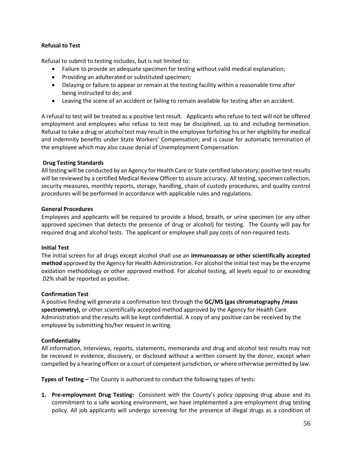# **Refusal to Test**

Refusal to submit to testing includes, but is not limited to:

- Failure to provide an adequate specimen for testing without valid medical explanation;
- Providing an adulterated or substituted specimen;
- Delaying or failure to appear or remain at the testing facility within a reasonable time after being instructed to do; and
- Leaving the scene of an accident or failing to remain available for testing after an accident.

A refusal to test will be treated as a positive test result. Applicants who refuse to test will not be offered employment and employees who refuse to test may be disciplined, up to and including termination. Refusal to take a drug or alcohol test may result in the employee forfeiting his or her eligibility for medical and indemnity benefits under State Workers' Compensation; and is cause for automatic termination of the employee which may also cause denial of Unemployment Compensation.

### **Drug Testing Standards**

All testing will be conducted by an Agency for Health Care or State certified laboratory; positive test results will be reviewed by a certified Medical Review Officer to assure accuracy. All testing, specimen collection, security measures, monthly reports, storage, handling, chain of custody procedures, and quality control procedures will be performed in accordance with applicable rules and regulations.

### **General Procedures**

Employees and applicants will be required to provide a blood, breath, or urine specimen (or any other approved specimen that detects the presence of drug or alcohol) for testing. The County will pay for required drug and alcohol tests. The applicant or employee shall pay costs of non-required tests.

### **Initial Test**

The initial screen for all drugs except alcohol shall use an **immunoassay or other scientifically accepted method** approved by the Agency for Health Administration. For alcohol the initial test may be the enzyme oxidation methodology or other approved method. For alcohol testing, all levels equal to or exceeding .02% shall be reported as positive.

### **Confirmation Test**

A positive finding will generate a confirmation test through the **GC/MS (gas chromatography /mass spectrometry),** or other scientifically accepted method approved by the Agency for Health Care Administration and the results will be kept confidential. A copy of any positive can be received by the employee by submitting his/her request in writing.

# **Confidentiality**

All information, interviews, reports, statements, memoranda and drug and alcohol test results may not be received in evidence, discovery, or disclosed without a written consent by the donor, except when compelled by a hearing officer or a court of competent jurisdiction, or where otherwise permitted by law.

**Types of Testing –** The County is authorized to conduct the following types of tests:

**1. Pre-employment Drug Testing:** Consistent with the County's policy opposing drug abuse and its commitment to a safe working environment, we have implemented a pre-employment drug testing policy. All job applicants will undergo screening for the presence of illegal drugs as a condition of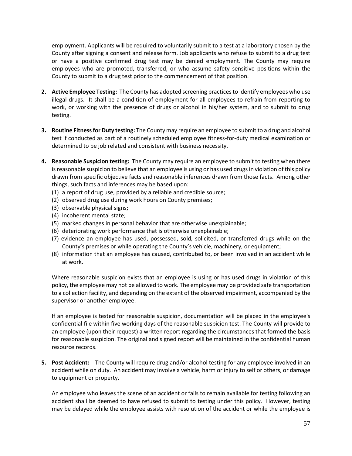employment. Applicants will be required to voluntarily submit to a test at a laboratory chosen by the County after signing a consent and release form. Job applicants who refuse to submit to a drug test or have a positive confirmed drug test may be denied employment. The County may require employees who are promoted, transferred, or who assume safety sensitive positions within the County to submit to a drug test prior to the commencement of that position.

- **2. Active Employee Testing:** The County has adopted screening practices to identify employees who use illegal drugs. It shall be a condition of employment for all employees to refrain from reporting to work, or working with the presence of drugs or alcohol in his/her system, and to submit to drug testing.
- **3. Routine Fitness for Duty testing:** The County may require an employee to submit to a drug and alcohol test if conducted as part of a routinely scheduled employee fitness-for-duty medical examination or determined to be job related and consistent with business necessity.
- **4. Reasonable Suspicion testing:** The County may require an employee to submit to testing when there is reasonable suspicion to believe that an employee is using or has used drugs in violation of this policy drawn from specific objective facts and reasonable inferences drawn from those facts. Among other things, such facts and inferences may be based upon:
	- (1) a report of drug use, provided by a reliable and credible source;
	- (2) observed drug use during work hours on County premises;
	- (3) observable physical signs;
	- (4) incoherent mental state;
	- (5) marked changes in personal behavior that are otherwise unexplainable;
	- (6) deteriorating work performance that is otherwise unexplainable;
	- (7) evidence an employee has used, possessed, sold, solicited, or transferred drugs while on the County's premises or while operating the County's vehicle, machinery, or equipment;
	- (8) information that an employee has caused, contributed to, or been involved in an accident while at work.

Where reasonable suspicion exists that an employee is using or has used drugs in violation of this policy, the employee may not be allowed to work. The employee may be provided safe transportation to a collection facility, and depending on the extent of the observed impairment, accompanied by the supervisor or another employee.

If an employee is tested for reasonable suspicion, documentation will be placed in the employee's confidential file within five working days of the reasonable suspicion test. The County will provide to an employee (upon their request) a written report regarding the circumstances that formed the basis for reasonable suspicion. The original and signed report will be maintained in the confidential human resource records.

**5. Post Accident:** The County will require drug and/or alcohol testing for any employee involved in an accident while on duty. An accident may involve a vehicle, harm or injury to self or others, or damage to equipment or property.

An employee who leaves the scene of an accident or fails to remain available for testing following an accident shall be deemed to have refused to submit to testing under this policy. However, testing may be delayed while the employee assists with resolution of the accident or while the employee is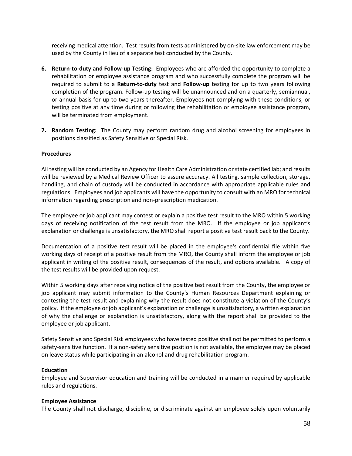receiving medical attention. Test results from tests administered by on-site law enforcement may be used by the County in lieu of a separate test conducted by the County.

- **6. Return-to-duty and Follow-up Testing:** Employees who are afforded the opportunity to complete a rehabilitation or employee assistance program and who successfully complete the program will be required to submit to a **Return-to-duty** test and **Follow-up** testing for up to two years following completion of the program. Follow-up testing will be unannounced and on a quarterly, semiannual, or annual basis for up to two years thereafter. Employees not complying with these conditions, or testing positive at any time during or following the rehabilitation or employee assistance program, will be terminated from employment.
- **7. Random Testing:** The County may perform random drug and alcohol screening for employees in positions classified as Safety Sensitive or Special Risk.

### **Procedures**

All testing will be conducted by an Agency for Health Care Administration or state certified lab; and results will be reviewed by a Medical Review Officer to assure accuracy. All testing, sample collection, storage, handling, and chain of custody will be conducted in accordance with appropriate applicable rules and regulations. Employees and job applicants will have the opportunity to consult with an MRO for technical information regarding prescription and non-prescription medication.

The employee or job applicant may contest or explain a positive test result to the MRO within 5 working days of receiving notification of the test result from the MRO. If the employee or job applicant's explanation or challenge is unsatisfactory, the MRO shall report a positive test result back to the County.

Documentation of a positive test result will be placed in the employee's confidential file within five working days of receipt of a positive result from the MRO, the County shall inform the employee or job applicant in writing of the positive result, consequences of the result, and options available. A copy of the test results will be provided upon request.

Within 5 working days after receiving notice of the positive test result from the County, the employee or job applicant may submit information to the County's Human Resources Department explaining or contesting the test result and explaining why the result does not constitute a violation of the County's policy. If the employee or job applicant's explanation or challenge is unsatisfactory, a written explanation of why the challenge or explanation is unsatisfactory, along with the report shall be provided to the employee or job applicant.

Safety Sensitive and Special Risk employees who have tested positive shall not be permitted to perform a safety-sensitive function. If a non-safety sensitive position is not available, the employee may be placed on leave status while participating in an alcohol and drug rehabilitation program.

### **Education**

Employee and Supervisor education and training will be conducted in a manner required by applicable rules and regulations.

#### **Employee Assistance**

The County shall not discharge, discipline, or discriminate against an employee solely upon voluntarily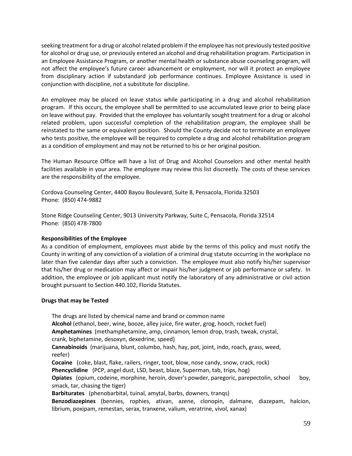seeking treatment for a drug or alcohol related problem if the employee has not previously tested positive for alcohol or drug use, or previously entered an alcohol and drug rehabilitation program. Participation in an Employee Assistance Program, or another mental health or substance abuse counseling program, will not affect the employee's future career advancement or employment, nor will it protect an employee from disciplinary action if substandard job performance continues. Employee Assistance is used in conjunction with discipline, not a substitute for discipline.

An employee may be placed on leave status while participating in a drug and alcohol rehabilitation program. If this occurs, the employee shall be permitted to use accumulated leave prior to being place on leave without pay. Provided that the employee has voluntarily sought treatment for a drug or alcohol related problem, upon successful completion of the rehabilitation program, the employee shall be reinstated to the same or equivalent position. Should the County decide not to terminate an employee who tests positive, the employee will be required to complete a drug and alcohol rehabilitation program as a condition of employment and may not be returned to his or her original position.

The Human Resource Office will have a list of Drug and Alcohol Counselors and other mental health facilities available in your area. The employee may review this list discreetly. The costs of these services are the responsibility of the employee.

Cordova Counseling Center, 4400 Bayou Boulevard, Suite 8, Pensacola, Florida 32503 Phone: (850) 474-9882

Stone Ridge Counseling Center, 9013 University Parkway, Suite C, Pensacola, Florida 32514 Phone: (850) 478-7800

### **Responsibilities of the Employee**

As a condition of employment, employees must abide by the terms of this policy and must notify the County in writing of any conviction of a violation of a criminal drug statute occurring in the workplace no later than five calendar days after such a conviction. The employee must also notify his/her supervisor that his/her drug or medication may affect or impair his/her judgment or job performance or safety. In addition, the employee or job applicant must notify the laboratory of any administrative or civil action brought pursuant to Section 440.102, Florida Statutes.

#### **Drugs that may be Tested**

The drugs are listed by chemical name and brand or common name **Alcohol** (ethanol, beer, wine, booze, alley juice, fire water, grog, hooch, rocket fuel) **Amphetamines** (methamphetamine, amp, cinnamon, lemon drop, trash, tweak, crystal, crank, biphetamine, desoxyn, dexedrine, speed) **Cannabinoids** (marijuana, blunt, columbo, hash, hay, pot, joint, indo, roach, grass, weed, reefer) **Cocaine** (coke, blast, flake, railers, ringer, toot, blow, nose candy, snow, crack, rock) **Phencyclidine** (PCP, angel dust, LSD, beast, blaze, Superman, tab, trips, hog) **Opiates** (opium, codeine, morphine, heroin, dover's powder, paregoric, parepectolin, school boy, smack, tar, chasing the tiger) **Barbiturates** (phenobarbital, tuinal, amytal, barbs, downers, tranqs) **Benzodiazepines** (bennies, rophies, ativan, azene, clonopin, dalmane, diazepam, halcion, librium, poxipam, remestan, serax, tranxene, valium, veratrine, vivol, xanax)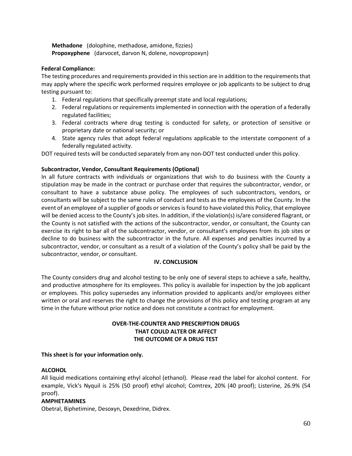**Methadone** (dolophine, methadose, amidone, fizzies) **Propoxyphene** (darvocet, darvon N, dolene, novopropoxyn)

#### **Federal Compliance:**

The testing procedures and requirements provided in this section are in addition to the requirements that may apply where the specific work performed requires employee or job applicants to be subject to drug testing pursuant to:

- 1. Federal regulations that specifically preempt state and local regulations;
- 2. Federal regulations or requirements implemented in connection with the operation of a federally regulated facilities;
- 3. Federal contracts where drug testing is conducted for safety, or protection of sensitive or proprietary date or national security; or
- 4. State agency rules that adopt federal regulations applicable to the interstate component of a federally regulated activity.

DOT required tests will be conducted separately from any non-DOT test conducted under this policy.

# **Subcontractor, Vendor, Consultant Requirements (Optional)**

In all future contracts with individuals or organizations that wish to do business with the County a stipulation may be made in the contract or purchase order that requires the subcontractor, vendor, or consultant to have a substance abuse policy. The employees of such subcontractors, vendors, or consultants will be subject to the same rules of conduct and tests as the employees of the County. In the event of an employee of a supplier of goods or services is found to have violated this Policy, that employee will be denied access to the County's job sites. In addition, if the violation(s) is/are considered flagrant, or the County is not satisfied with the actions of the subcontractor, vendor, or consultant, the County can exercise its right to bar all of the subcontractor, vendor, or consultant's employees from its job sites or decline to do business with the subcontractor in the future. All expenses and penalties incurred by a subcontractor, vendor, or consultant as a result of a violation of the County's policy shall be paid by the subcontractor, vendor, or consultant.

### **IV. CONCLUSION**

The County considers drug and alcohol testing to be only one of several steps to achieve a safe, healthy, and productive atmosphere for its employees. This policy is available for inspection by the job applicant or employees. This policy supersedes any information provided to applicants and/or employees either written or oral and reserves the right to change the provisions of this policy and testing program at any time in the future without prior notice and does not constitute a contract for employment.

# **OVER-THE-COUNTER AND PRESCRIPTION DRUGS THAT COULD ALTER OR AFFECT THE OUTCOME OF A DRUG TEST**

### **This sheet is for your information only.**

### **ALCOHOL**

All liquid medications containing ethyl alcohol (ethanol). Please read the label for alcohol content. For example, Vick's Nyquil is 25% (50 proof) ethyl alcohol; Comtrex, 20% (40 proof); Listerine, 26.9% (54 proof).

### **AMPHETAMINES**

Obetral, Biphetimine, Desoxyn, Dexedrine, Didrex.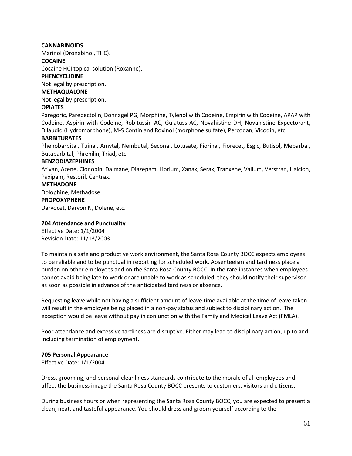### **CANNABINOIDS**

Marinol (Dronabinol, THC).

#### **COCAINE**

Cocaine HCI topical solution (Roxanne).

#### **PHENCYCLIDINE**

Not legal by prescription.

### **METHAQUALONE**

Not legal by prescription.

### **OPIATES**

Paregoric, Parepectolin, Donnagel PG, Morphine, Tylenol with Codeine, Empirin with Codeine, APAP with Codeine, Aspirin with Codeine, Robitussin AC, Guiatuss AC, Novahistine DH, Novahistine Expectorant, Dilaudid (Hydromorphone), M-S Contin and Roxinol (morphone sulfate), Percodan, Vicodin, etc.

#### **BARBITURATES**

Phenobarbital, Tuinal, Amytal, Nembutal, Seconal, Lotusate, Fiorinal, Fiorecet, Esgic, Butisol, Mebarbal, Butabarbital, Phrenilin, Triad, etc.

#### **BENZODIAZEPHINES**

Ativan, Azene, Clonopin, Dalmane, Diazepam, Librium, Xanax, Serax, Tranxene, Valium, Verstran, Halcion, Paxipam, Restoril, Centrax.

#### **METHADONE**

Dolophine, Methadose.

#### **PROPOXYPHENE**

Darvocet, Darvon N, Dolene, etc.

#### **704 Attendance and Punctuality**

Effective Date: 1/1/2004 Revision Date: 11/13/2003

To maintain a safe and productive work environment, the Santa Rosa County BOCC expects employees to be reliable and to be punctual in reporting for scheduled work. Absenteeism and tardiness place a burden on other employees and on the Santa Rosa County BOCC. In the rare instances when employees cannot avoid being late to work or are unable to work as scheduled, they should notify their supervisor as soon as possible in advance of the anticipated tardiness or absence.

Requesting leave while not having a sufficient amount of leave time available at the time of leave taken will result in the employee being placed in a non-pay status and subject to disciplinary action. The exception would be leave without pay in conjunction with the Family and Medical Leave Act (FMLA).

Poor attendance and excessive tardiness are disruptive. Either may lead to disciplinary action, up to and including termination of employment.

### **705 Personal Appearance**

Effective Date: 1/1/2004

Dress, grooming, and personal cleanliness standards contribute to the morale of all employees and affect the business image the Santa Rosa County BOCC presents to customers, visitors and citizens.

During business hours or when representing the Santa Rosa County BOCC, you are expected to present a clean, neat, and tasteful appearance. You should dress and groom yourself according to the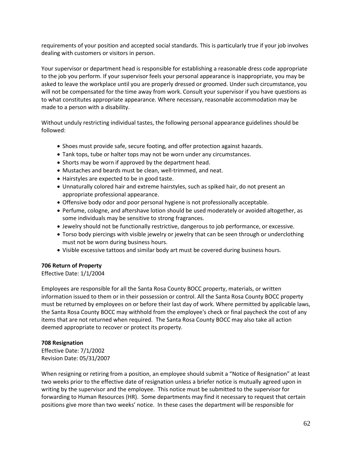requirements of your position and accepted social standards. This is particularly true if your job involves dealing with customers or visitors in person.

Your supervisor or department head is responsible for establishing a reasonable dress code appropriate to the job you perform. If your supervisor feels your personal appearance is inappropriate, you may be asked to leave the workplace until you are properly dressed or groomed. Under such circumstance, you will not be compensated for the time away from work. Consult your supervisor if you have questions as to what constitutes appropriate appearance. Where necessary, reasonable accommodation may be made to a person with a disability.

Without unduly restricting individual tastes, the following personal appearance guidelines should be followed:

- Shoes must provide safe, secure footing, and offer protection against hazards.
- Tank tops, tube or halter tops may not be worn under any circumstances.
- Shorts may be worn if approved by the department head.
- Mustaches and beards must be clean, well-trimmed, and neat.
- Hairstyles are expected to be in good taste.
- Unnaturally colored hair and extreme hairstyles, such as spiked hair, do not present an appropriate professional appearance.
- Offensive body odor and poor personal hygiene is not professionally acceptable.
- Perfume, cologne, and aftershave lotion should be used moderately or avoided altogether, as some individuals may be sensitive to strong fragrances.
- Jewelry should not be functionally restrictive, dangerous to job performance, or excessive.
- Torso body piercings with visible jewelry or jewelry that can be seen through or underclothing must not be worn during business hours.
- Visible excessive tattoos and similar body art must be covered during business hours.

### **706 Return of Property**

Effective Date: 1/1/2004

Employees are responsible for all the Santa Rosa County BOCC property, materials, or written information issued to them or in their possession or control. All the Santa Rosa County BOCC property must be returned by employees on or before their last day of work. Where permitted by applicable laws, the Santa Rosa County BOCC may withhold from the employee's check or final paycheck the cost of any items that are not returned when required. The Santa Rosa County BOCC may also take all action deemed appropriate to recover or protect its property.

### **708 Resignation**

Effective Date: 7/1/2002 Revision Date: 05/31/2007

When resigning or retiring from a position, an employee should submit a "Notice of Resignation" at least two weeks prior to the effective date of resignation unless a briefer notice is mutually agreed upon in writing by the supervisor and the employee. This notice must be submitted to the supervisor for forwarding to Human Resources (HR). Some departments may find it necessary to request that certain positions give more than two weeks' notice. In these cases the department will be responsible for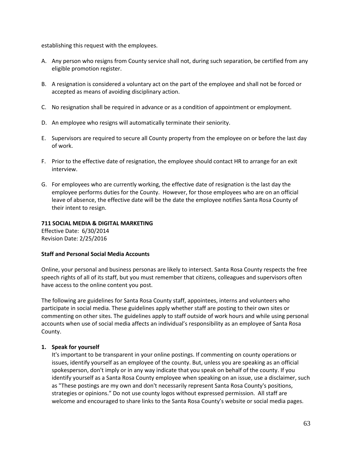establishing this request with the employees.

- A. Any person who resigns from County service shall not, during such separation, be certified from any eligible promotion register.
- B. A resignation is considered a voluntary act on the part of the employee and shall not be forced or accepted as means of avoiding disciplinary action.
- C. No resignation shall be required in advance or as a condition of appointment or employment.
- D. An employee who resigns will automatically terminate their seniority.
- E. Supervisors are required to secure all County property from the employee on or before the last day of work.
- F. Prior to the effective date of resignation, the employee should contact HR to arrange for an exit interview.
- G. For employees who are currently working, the effective date of resignation is the last day the employee performs duties for the County. However, for those employees who are on an official leave of absence, the effective date will be the date the employee notifies Santa Rosa County of their intent to resign.

#### **711 SOCIAL MEDIA & DIGITAL MARKETING**

Effective Date: 6/30/2014 Revision Date: 2/25/2016

### **Staff and Personal Social Media Accounts**

Online, your personal and business personas are likely to intersect. Santa Rosa County respects the free speech rights of all of its staff, but you must remember that citizens, colleagues and supervisors often have access to the online content you post.

The following are guidelines for Santa Rosa County staff, appointees, interns and volunteers who participate in social media. These guidelines apply whether staff are posting to their own sites or commenting on other sites. The guidelines apply to staff outside of work hours and while using personal accounts when use of social media affects an individual's responsibility as an employee of Santa Rosa County.

### **1. Speak for yourself**

It's important to be transparent in your online postings. If commenting on county operations or issues, identify yourself as an employee of the county. But, unless you are speaking as an official spokesperson, don't imply or in any way indicate that you speak on behalf of the county. If you identify yourself as a Santa Rosa County employee when speaking on an issue, use a disclaimer, such as "These postings are my own and don't necessarily represent Santa Rosa County's positions, strategies or opinions." Do not use county logos without expressed permission. All staff are welcome and encouraged to share links to the Santa Rosa County's website or social media pages.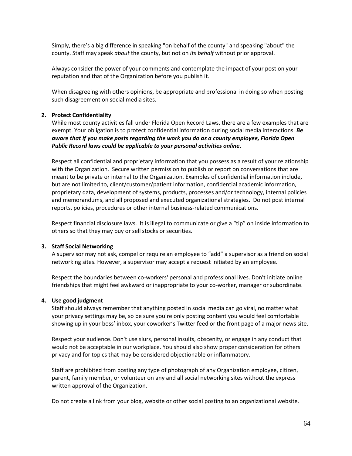Simply, there's a big difference in speaking "on behalf of the county" and speaking "about" the county. Staff may speak *about* the county, but not on *its behalf* without prior approval.

Always consider the power of your comments and contemplate the impact of your post on your reputation and that of the Organization before you publish it.

When disagreeing with others opinions, be appropriate and professional in doing so when posting such disagreement on social media sites.

### **2. Protect Confidentiality**

While most county activities fall under Florida Open Record Laws, there are a few examples that are exempt. Your obligation is to protect confidential information during social media interactions. *Be aware that if you make posts regarding the work you do as a county employee, Florida Open Public Record laws could be applicable to your personal activities online*.

Respect all confidential and proprietary information that you possess as a result of your relationship with the Organization. Secure written permission to publish or report on conversations that are meant to be private or internal to the Organization. Examples of confidential information include, but are not limited to, client/customer/patient information, confidential academic information, proprietary data, development of systems, products, processes and/or technology, internal policies and memorandums, and all proposed and executed organizational strategies. Do not post internal reports, policies, procedures or other internal business-related communications.

Respect financial disclosure laws. It is illegal to communicate or give a "tip" on inside information to others so that they may buy or sell stocks or securities.

### **3. Staff Social Networking**

A supervisor may not ask, compel or require an employee to "add" a supervisor as a friend on social networking sites. However, a supervisor may accept a request initiated by an employee.

Respect the boundaries between co-workers' personal and professional lives. Don't initiate online friendships that might feel awkward or inappropriate to your co-worker, manager or subordinate.

#### **4. Use good judgment**

Staff should always remember that anything posted in social media can go viral, no matter what your privacy settings may be, so be sure you're only posting content you would feel comfortable showing up in your boss' inbox, your coworker's Twitter feed or the front page of a major news site.

Respect your audience. Don't use slurs, personal insults, obscenity, or engage in any conduct that would not be acceptable in our workplace. You should also show proper consideration for others' privacy and for topics that may be considered objectionable or inflammatory.

Staff are prohibited from posting any type of photograph of any Organization employee, citizen, parent, family member, or volunteer on any and all social networking sites without the express written approval of the Organization.

Do not create a link from your blog, website or other social posting to an organizational website.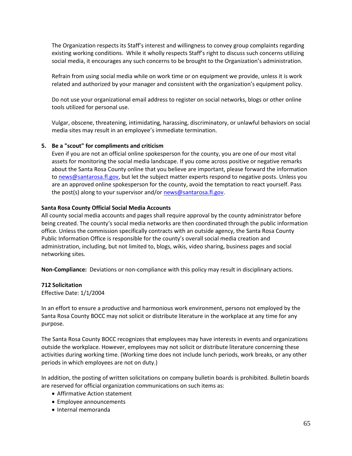The Organization respects its Staff's interest and willingness to convey group complaints regarding existing working conditions. While it wholly respects Staff's right to discuss such concerns utilizing social media, it encourages any such concerns to be brought to the Organization's administration.

Refrain from using social media while on work time or on equipment we provide, unless it is work related and authorized by your manager and consistent with the organization's equipment policy.

Do not use your organizational email address to register on social networks, blogs or other online tools utilized for personal use.

Vulgar, obscene, threatening, intimidating, harassing, discriminatory, or unlawful behaviors on social media sites may result in an employee's immediate termination.

### **5. Be a "scout" for compliments and criticism**

Even if you are not an official online spokesperson for the county, you are one of our most vital assets for monitoring the social media landscape. If you come across positive or negative remarks about the Santa Rosa County online that you believe are important, please forward the information to [news@santarosa.fl.gov,](mailto:news@santarosa.fl.gov) but let the subject matter experts respond to negative posts. Unless you are an approved online spokesperson for the county, avoid the temptation to react yourself. Pass the post(s) along to your supervisor and/o[r news@santarosa.fl.gov.](mailto:news@santarosa.fl.gov)

### **Santa Rosa County Official Social Media Accounts**

All county social media accounts and pages shall require approval by the county administrator before being created. The county's social media networks are then coordinated through the public information office. Unless the commission specifically contracts with an outside agency, the Santa Rosa County Public Information Office is responsible for the county's overall social media creation and administration, including, but not limited to, blogs, wikis, video sharing, business pages and social networking sites.

**Non-Compliance:** Deviations or non-compliance with this policy may result in disciplinary actions.

### **712 Solicitation**

Effective Date: 1/1/2004

In an effort to ensure a productive and harmonious work environment, persons not employed by the Santa Rosa County BOCC may not solicit or distribute literature in the workplace at any time for any purpose.

The Santa Rosa County BOCC recognizes that employees may have interests in events and organizations outside the workplace. However, employees may not solicit or distribute literature concerning these activities during working time. (Working time does not include lunch periods, work breaks, or any other periods in which employees are not on duty.)

In addition, the posting of written solicitations on company bulletin boards is prohibited. Bulletin boards are reserved for official organization communications on such items as:

- Affirmative Action statement
- Employee announcements
- Internal memoranda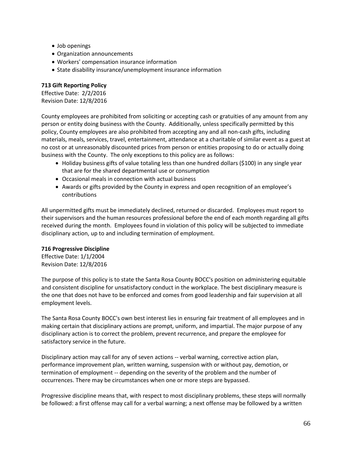- Job openings
- Organization announcements
- Workers' compensation insurance information
- State disability insurance/unemployment insurance information

### **713 Gift Reporting Policy**

Effective Date: 2/2/2016 Revision Date: 12/8/2016

County employees are prohibited from soliciting or accepting cash or gratuities of any amount from any person or entity doing business with the County. Additionally, unless specifically permitted by this policy, County employees are also prohibited from accepting any and all non-cash gifts, including materials, meals, services, travel, entertainment, attendance at a charitable of similar event as a guest at no cost or at unreasonably discounted prices from person or entities proposing to do or actually doing business with the County. The only exceptions to this policy are as follows:

- Holiday business gifts of value totaling less than one hundred dollars (\$100) in any single year that are for the shared departmental use or consumption
- Occasional meals in connection with actual business
- Awards or gifts provided by the County in express and open recognition of an employee's contributions

All unpermitted gifts must be immediately declined, returned or discarded. Employees must report to their supervisors and the human resources professional before the end of each month regarding all gifts received during the month. Employees found in violation of this policy will be subjected to immediate disciplinary action, up to and including termination of employment.

### **716 Progressive Discipline**

Effective Date: 1/1/2004 Revision Date: 12/8/2016

The purpose of this policy is to state the Santa Rosa County BOCC's position on administering equitable and consistent discipline for unsatisfactory conduct in the workplace. The best disciplinary measure is the one that does not have to be enforced and comes from good leadership and fair supervision at all employment levels.

The Santa Rosa County BOCC's own best interest lies in ensuring fair treatment of all employees and in making certain that disciplinary actions are prompt, uniform, and impartial. The major purpose of any disciplinary action is to correct the problem, prevent recurrence, and prepare the employee for satisfactory service in the future.

Disciplinary action may call for any of seven actions -- verbal warning, corrective action plan, performance improvement plan, written warning, suspension with or without pay, demotion, or termination of employment -- depending on the severity of the problem and the number of occurrences. There may be circumstances when one or more steps are bypassed.

Progressive discipline means that, with respect to most disciplinary problems, these steps will normally be followed: a first offense may call for a verbal warning; a next offense may be followed by a written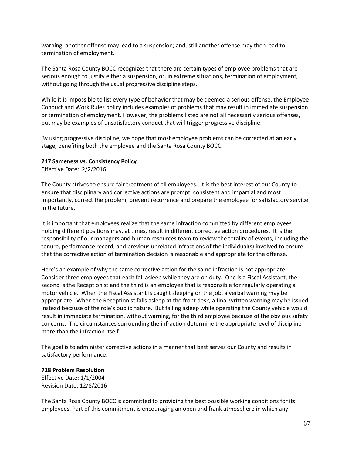warning; another offense may lead to a suspension; and, still another offense may then lead to termination of employment.

The Santa Rosa County BOCC recognizes that there are certain types of employee problems that are serious enough to justify either a suspension, or, in extreme situations, termination of employment, without going through the usual progressive discipline steps.

While it is impossible to list every type of behavior that may be deemed a serious offense, the Employee Conduct and Work Rules policy includes examples of problems that may result in immediate suspension or termination of employment. However, the problems listed are not all necessarily serious offenses, but may be examples of unsatisfactory conduct that will trigger progressive discipline.

By using progressive discipline, we hope that most employee problems can be corrected at an early stage, benefiting both the employee and the Santa Rosa County BOCC.

### **717 Sameness vs. Consistency Policy**

Effective Date: 2/2/2016

The County strives to ensure fair treatment of all employees. It is the best interest of our County to ensure that disciplinary and corrective actions are prompt, consistent and impartial and most importantly, correct the problem, prevent recurrence and prepare the employee for satisfactory service in the future.

It is important that employees realize that the same infraction committed by different employees holding different positions may, at times, result in different corrective action procedures. It is the responsibility of our managers and human resources team to review the totality of events, including the tenure, performance record, and previous unrelated infractions of the individual(s) involved to ensure that the corrective action of termination decision is reasonable and appropriate for the offense.

Here's an example of why the same corrective action for the same infraction is not appropriate. Consider three employees that each fall asleep while they are on duty. One is a Fiscal Assistant, the second is the Receptionist and the third is an employee that is responsible for regularly operating a motor vehicle. When the Fiscal Assistant is caught sleeping on the job, a verbal warning may be appropriate. When the Receptionist falls asleep at the front desk, a final written warning may be issued instead because of the role's public nature. But falling asleep while operating the County vehicle would result in immediate termination, without warning, for the third employee because of the obvious safety concerns. The circumstances surrounding the infraction determine the appropriate level of discipline more than the infraction itself.

The goal is to administer corrective actions in a manner that best serves our County and results in satisfactory performance.

# **718 Problem Resolution**

Effective Date: 1/1/2004 Revision Date: 12/8/2016

The Santa Rosa County BOCC is committed to providing the best possible working conditions for its employees. Part of this commitment is encouraging an open and frank atmosphere in which any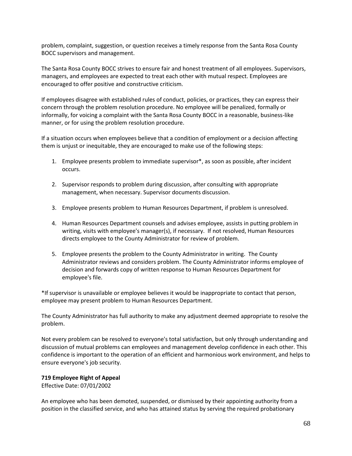problem, complaint, suggestion, or question receives a timely response from the Santa Rosa County BOCC supervisors and management.

The Santa Rosa County BOCC strives to ensure fair and honest treatment of all employees. Supervisors, managers, and employees are expected to treat each other with mutual respect. Employees are encouraged to offer positive and constructive criticism.

If employees disagree with established rules of conduct, policies, or practices, they can express their concern through the problem resolution procedure. No employee will be penalized, formally or informally, for voicing a complaint with the Santa Rosa County BOCC in a reasonable, business-like manner, or for using the problem resolution procedure.

If a situation occurs when employees believe that a condition of employment or a decision affecting them is unjust or inequitable, they are encouraged to make use of the following steps:

- 1. Employee presents problem to immediate supervisor\*, as soon as possible, after incident occurs.
- 2. Supervisor responds to problem during discussion, after consulting with appropriate management, when necessary. Supervisor documents discussion.
- 3. Employee presents problem to Human Resources Department, if problem is unresolved.
- 4. Human Resources Department counsels and advises employee, assists in putting problem in writing, visits with employee's manager(s), if necessary. If not resolved, Human Resources directs employee to the County Administrator for review of problem.
- 5. Employee presents the problem to the County Administrator in writing. The County Administrator reviews and considers problem. The County Administrator informs employee of decision and forwards copy of written response to Human Resources Department for employee's file.

\*If supervisor is unavailable or employee believes it would be inappropriate to contact that person, employee may present problem to Human Resources Department.

The County Administrator has full authority to make any adjustment deemed appropriate to resolve the problem.

Not every problem can be resolved to everyone's total satisfaction, but only through understanding and discussion of mutual problems can employees and management develop confidence in each other. This confidence is important to the operation of an efficient and harmonious work environment, and helps to ensure everyone's job security.

# **719 Employee Right of Appeal**

Effective Date: 07/01/2002

An employee who has been demoted, suspended, or dismissed by their appointing authority from a position in the classified service, and who has attained status by serving the required probationary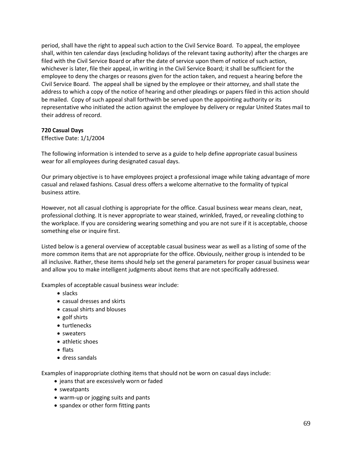period, shall have the right to appeal such action to the Civil Service Board. To appeal, the employee shall, within ten calendar days (excluding holidays of the relevant taxing authority) after the charges are filed with the Civil Service Board or after the date of service upon them of notice of such action, whichever is later, file their appeal, in writing in the Civil Service Board; it shall be sufficient for the employee to deny the charges or reasons given for the action taken, and request a hearing before the Civil Service Board. The appeal shall be signed by the employee or their attorney, and shall state the address to which a copy of the notice of hearing and other pleadings or papers filed in this action should be mailed. Copy of such appeal shall forthwith be served upon the appointing authority or its representative who initiated the action against the employee by delivery or regular United States mail to their address of record.

## **720 Casual Days**

## Effective Date: 1/1/2004

The following information is intended to serve as a guide to help define appropriate casual business wear for all employees during designated casual days.

Our primary objective is to have employees project a professional image while taking advantage of more casual and relaxed fashions. Casual dress offers a welcome alternative to the formality of typical business attire.

However, not all casual clothing is appropriate for the office. Casual business wear means clean, neat, professional clothing. It is never appropriate to wear stained, wrinkled, frayed, or revealing clothing to the workplace. If you are considering wearing something and you are not sure if it is acceptable, choose something else or inquire first.

Listed below is a general overview of acceptable casual business wear as well as a listing of some of the more common items that are not appropriate for the office. Obviously, neither group is intended to be all inclusive. Rather, these items should help set the general parameters for proper casual business wear and allow you to make intelligent judgments about items that are not specifically addressed.

Examples of acceptable casual business wear include:

- slacks
- casual dresses and skirts
- casual shirts and blouses
- golf shirts
- turtlenecks
- sweaters
- athletic shoes
- flats
- dress sandals

Examples of inappropriate clothing items that should not be worn on casual days include:

- jeans that are excessively worn or faded
- sweatpants
- warm-up or jogging suits and pants
- spandex or other form fitting pants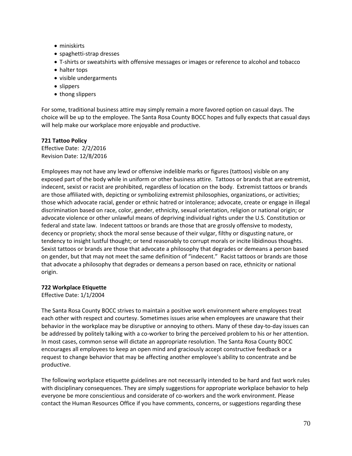- miniskirts
- spaghetti-strap dresses
- T-shirts or sweatshirts with offensive messages or images or reference to alcohol and tobacco
- halter tops
- visible undergarments
- slippers
- thong slippers

For some, traditional business attire may simply remain a more favored option on casual days. The choice will be up to the employee. The Santa Rosa County BOCC hopes and fully expects that casual days will help make our workplace more enjoyable and productive.

## **721 Tattoo Policy**

Effective Date: 2/2/2016 Revision Date: 12/8/2016

Employees may not have any lewd or offensive indelible marks or figures (tattoos) visible on any exposed part of the body while in uniform or other business attire. Tattoos or brands that are extremist, indecent, sexist or racist are prohibited, regardless of location on the body. Extremist tattoos or brands are those affiliated with, depicting or symbolizing extremist philosophies, organizations, or activities; those which advocate racial, gender or ethnic hatred or intolerance; advocate, create or engage in illegal discrimination based on race, color, gender, ethnicity, sexual orientation, religion or national origin; or advocate violence or other unlawful means of depriving individual rights under the U.S. Constitution or federal and state law. Indecent tattoos or brands are those that are grossly offensive to modesty, decency or propriety; shock the moral sense because of their vulgar, filthy or disgusting nature, or tendency to insight lustful thought; or tend reasonably to corrupt morals or incite libidinous thoughts. Sexist tattoos or brands are those that advocate a philosophy that degrades or demeans a person based on gender, but that may not meet the same definition of "indecent." Racist tattoos or brands are those that advocate a philosophy that degrades or demeans a person based on race, ethnicity or national origin.

# **722 Workplace Etiquette**

Effective Date: 1/1/2004

The Santa Rosa County BOCC strives to maintain a positive work environment where employees treat each other with respect and courtesy. Sometimes issues arise when employees are unaware that their behavior in the workplace may be disruptive or annoying to others. Many of these day-to-day issues can be addressed by politely talking with a co-worker to bring the perceived problem to his or her attention. In most cases, common sense will dictate an appropriate resolution. The Santa Rosa County BOCC encourages all employees to keep an open mind and graciously accept constructive feedback or a request to change behavior that may be affecting another employee's ability to concentrate and be productive.

The following workplace etiquette guidelines are not necessarily intended to be hard and fast work rules with disciplinary consequences. They are simply suggestions for appropriate workplace behavior to help everyone be more conscientious and considerate of co-workers and the work environment. Please contact the Human Resources Office if you have comments, concerns, or suggestions regarding these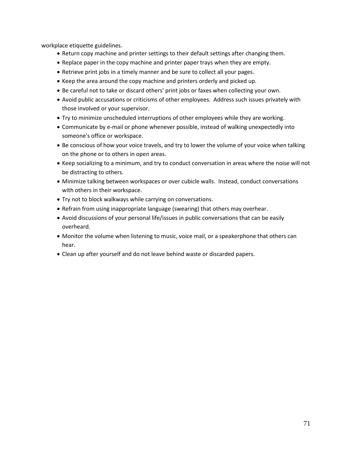workplace etiquette guidelines.

- Return copy machine and printer settings to their default settings after changing them.
- Replace paper in the copy machine and printer paper trays when they are empty.
- Retrieve print jobs in a timely manner and be sure to collect all your pages.
- Keep the area around the copy machine and printers orderly and picked up.
- Be careful not to take or discard others' print jobs or faxes when collecting your own.
- Avoid public accusations or criticisms of other employees. Address such issues privately with those involved or your supervisor.
- Try to minimize unscheduled interruptions of other employees while they are working.
- Communicate by e-mail or phone whenever possible, instead of walking unexpectedly into someone's office or workspace.
- Be conscious of how your voice travels, and try to lower the volume of your voice when talking on the phone or to others in open areas.
- Keep socializing to a minimum, and try to conduct conversation in areas where the noise will not be distracting to others.
- Minimize talking between workspaces or over cubicle walls. Instead, conduct conversations with others in their workspace.
- Try not to block walkways while carrying on conversations.
- Refrain from using inappropriate language (swearing) that others may overhear.
- Avoid discussions of your personal life/issues in public conversations that can be easily overheard.
- Monitor the volume when listening to music, voice mail, or a speakerphone that others can hear.
- Clean up after yourself and do not leave behind waste or discarded papers.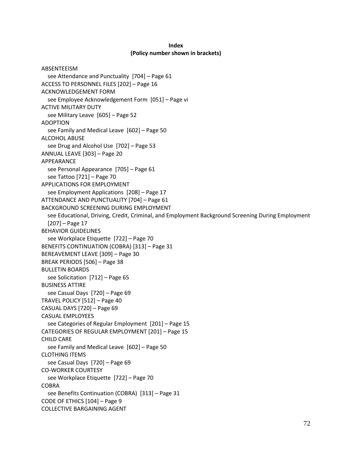#### **Index (Policy number shown in brackets)**

```
ABSENTEEISM
  see Attendance and Punctuality [704] – Page 61
ACCESS TO PERSONNEL FILES [202] – Page 16
ACKNOWLEDGEMENT FORM
  see Employee Acknowledgement Form [051] – Page vi
ACTIVE MILITARY DUTY
  see Military Leave [605] – Page 52
ADOPTION
  see Family and Medical Leave [602] – Page 50
ALCOHOL ABUSE
  see Drug and Alcohol Use [702] – Page 53
ANNUAL LEAVE [303] – Page 20
APPEARANCE
  see Personal Appearance [705] – Page 61
  see Tattoo [721] – Page 70
APPLICATIONS FOR EMPLOYMENT
  see Employment Applications [208] – Page 17
ATTENDANCE AND PUNCTUALITY [704] – Page 61
BACKGROUND SCREENING DURING EMPLOYMENT 
  see Educational, Driving, Credit, Criminal, and Employment Background Screening During Employment 
  [207] – Page 17
BEHAVIOR GUIDELINES
  see Workplace Etiquette [722] – Page 70
BENEFITS CONTINUATION (COBRA) [313] – Page 31
BEREAVEMENT LEAVE [309] – Page 30
BREAK PERIODS [506] – Page 38
BULLETIN BOARDS
  see Solicitation [712] – Page 65
BUSINESS ATTIRE
  see Casual Days [720] – Page 69
TRAVEL POLICY [512] – Page 40
CASUAL DAYS [720] – Page 69
CASUAL EMPLOYEES
  see Categories of Regular Employment [201] – Page 15
CATEGORIES OF REGULAR EMPLOYMENT [201] – Page 15
CHILD CARE
  see Family and Medical Leave [602] – Page 50
CLOTHING ITEMS
  see Casual Days [720] – Page 69
CO-WORKER COURTESY
  see Workplace Etiquette [722] – Page 70
COBRA
  see Benefits Continuation (COBRA) [313] – Page 31
CODE OF ETHICS [104] – Page 9
COLLECTIVE BARGAINING AGENT
```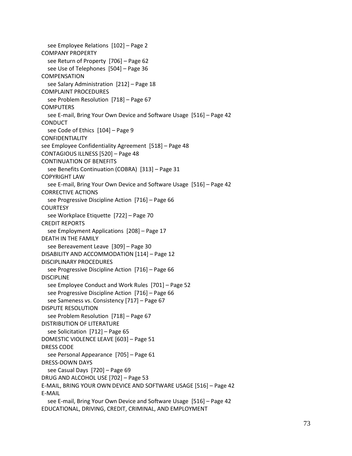see Employee Relations [102] – Page 2 COMPANY PROPERTY see Return of Property [706] – Page 62 see Use of Telephones [504] – Page 36 COMPENSATION see Salary Administration [212] – Page 18 COMPLAINT PROCEDURES see Problem Resolution [718] – Page 67 **COMPUTERS** see E-mail, Bring Your Own Device and Software Usage [516] – Page 42 CONDUCT see Code of Ethics [104] – Page 9 CONFIDENTIALITY see Employee Confidentiality Agreement [518] – Page 48 CONTAGIOUS ILLNESS [520] – Page 48 CONTINUATION OF BENEFITS see Benefits Continuation (COBRA) [313] – Page 31 COPYRIGHT LAW see E-mail, Bring Your Own Device and Software Usage [516] – Page 42 CORRECTIVE ACTIONS see Progressive Discipline Action [716] – Page 66 **COURTESY** see Workplace Etiquette [722] – Page 70 CREDIT REPORTS see Employment Applications [208] – Page 17 DEATH IN THE FAMILY see Bereavement Leave [309] – Page 30 DISABILITY AND ACCOMMODATION [114] – Page 12 DISCIPLINARY PROCEDURES see Progressive Discipline Action [716] – Page 66 DISCIPLINE see Employee Conduct and Work Rules [701] – Page 52 see Progressive Discipline Action [716] – Page 66 see Sameness vs. Consistency [717] – Page 67 DISPUTE RESOLUTION see Problem Resolution [718] – Page 67 DISTRIBUTION OF LITERATURE see Solicitation [712] – Page 65 DOMESTIC VIOLENCE LEAVE [603] – Page 51 DRESS CODE see Personal Appearance [705] – Page 61 DRESS-DOWN DAYS see Casual Days [720] – Page 69 DRUG AND ALCOHOL USE [702] – Page 53 E-MAIL, BRING YOUR OWN DEVICE AND SOFTWARE USAGE [516] – Page 42 E-MAIL see E-mail, Bring Your Own Device and Software Usage [516] – Page 42 EDUCATIONAL, DRIVING, CREDIT, CRIMINAL, AND EMPLOYMENT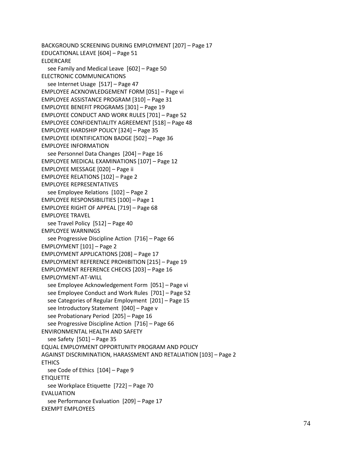BACKGROUND SCREENING DURING EMPLOYMENT [207] – Page 17 EDUCATIONAL LEAVE [604] – Page 51 ELDERCARE see Family and Medical Leave [602] – Page 50 ELECTRONIC COMMUNICATIONS see Internet Usage [517] – Page 47 EMPLOYEE ACKNOWLEDGEMENT FORM [051] – Page vi EMPLOYEE ASSISTANCE PROGRAM [310] – Page 31 EMPLOYEE BENEFIT PROGRAMS [301] – Page 19 EMPLOYEE CONDUCT AND WORK RULES [701] – Page 52 EMPLOYEE CONFIDENTIALITY AGREEMENT [518] – Page 48 EMPLOYEE HARDSHIP POLICY [324] – Page 35 EMPLOYEE IDENTIFICATION BADGE [502] – Page 36 EMPLOYEE INFORMATION see Personnel Data Changes [204] – Page 16 EMPLOYEE MEDICAL EXAMINATIONS [107] – Page 12 EMPLOYEE MESSAGE [020] – Page ii EMPLOYEE RELATIONS [102] – Page 2 EMPLOYEE REPRESENTATIVES see Employee Relations [102] – Page 2 EMPLOYEE RESPONSIBILITIES [100] – Page 1 EMPLOYEE RIGHT OF APPEAL [719] – Page 68 EMPLOYEE TRAVEL see Travel Policy [512] – Page 40 EMPLOYEE WARNINGS see Progressive Discipline Action [716] – Page 66 EMPLOYMENT [101] – Page 2 EMPLOYMENT APPLICATIONS [208] – Page 17 EMPLOYMENT REFERENCE PROHIBITION [215] – Page 19 EMPLOYMENT REFERENCE CHECKS [203] – Page 16 EMPLOYMENT-AT-WILL see Employee Acknowledgement Form [051] – Page vi see Employee Conduct and Work Rules [701] – Page 52 see Categories of Regular Employment [201] – Page 15 see Introductory Statement [040] – Page v see Probationary Period [205] – Page 16 see Progressive Discipline Action [716] – Page 66 ENVIRONMENTAL HEALTH AND SAFETY see Safety [501] – Page 35 EQUAL EMPLOYMENT OPPORTUNITY PROGRAM AND POLICY AGAINST DISCRIMINATION, HARASSMENT AND RETALIATION [103] – Page 2 **ETHICS** see Code of Ethics [104] – Page 9 **ETIQUETTE** see Workplace Etiquette [722] – Page 70 EVALUATION see Performance Evaluation [209] – Page 17 EXEMPT EMPLOYEES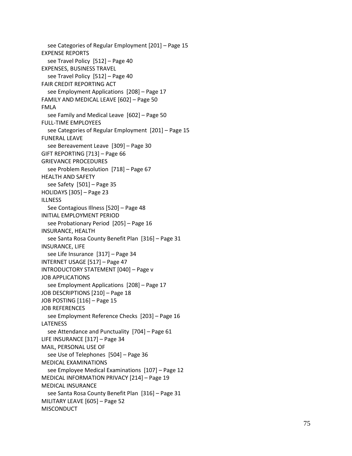see Categories of Regular Employment [201 ] – Page 15 EXPENSE REPORTS see Travel Policy [512 ] – Page 40 EXPENSES, BUSINESS TRAVEL see Travel Policy [512 ] – Page 40 FAIR CREDIT REPORTING ACT see Employment Applications [208 ] – Page 17 FAMILY AND MEDICAL LEAVE [602 ] – Page 50 FMLA see Family and Medical Leave [602 ] – Page 50 FULL -TIME EMPLOYEES see Categories of Regular Employment [201 ] – Page 15 FUNERAL LEAVE see Bereavement Leave [309 ] – Page 30 GIFT REPORTING [713 ] – Page 66 GRIEVANCE PROCEDURES see Problem Resolution [718 ] – Page 67 HEALTH AND SAFETY see Safety [501 ] – Page 35 HOLIDAYS [305 ] – Page 23 ILLNESS See Contagious Illness [520 ] – Page 48 INITIAL EMPLOYMENT PERIOD see Probationary Period [205 ] – Page 16 INSURANCE, HEALTH see Santa Rosa County Benefit Plan [316 ] – Page 31 INSURANCE, LIFE see Life Insurance [317 ] – Page 3 4 INTERNET USAGE [517 ] – Page 4 7 INTRODUCTORY STATEMENT [040 ] – Page v JOB APPLICATIONS see Employment Applications [208 ] – Page 17 JOB DESCRIPTIONS [210 ] – Page 18 JOB POSTING [116 ] – Page 15 JOB REFERENCES see Employment Reference Checks [203 ] – Page 16 LATENESS see Attendance and Punctuality [704] - Page 61 LIFE INSURANCE [317 ] – Page 3 4 MAIL, PERSONAL USE OF see Use of Telephones [504 ] – Page 36 MEDICAL EXAMINATIONS see Employee Medical Examinations [107 ] – Page 12 MEDICAL INFORMATION PRIVACY [214 ] – Page 19 MEDICAL INSURANCE see Santa Rosa County Benefit Plan [316 ] – Page 31 MILITARY LEAVE [605 ] – Page 52 **MISCONDUCT**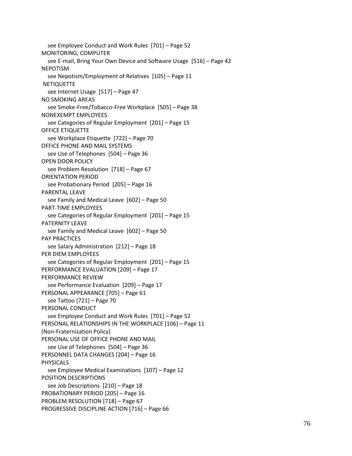see Employee Conduct and Work Rules [701] – Page 52 MONITORING, COMPUTER see E-mail, Bring Your Own Device and Software Usage [516] – Page 42 NEPOTISM see Nepotism/Employment of Relatives [105] – Page 11 **NETIQUETTE** see Internet Usage [517] – Page 47 NO SMOKING AREAS see Smoke-Free/Tobacco-Free Workplace [505] – Page 38 NONEXEMPT EMPLOYEES see Categories of Regular Employment [201] – Page 15 OFFICE ETIQUETTE see Workplace Etiquette [722] – Page 70 OFFICE PHONE AND MAIL SYSTEMS see Use of Telephones [504] – Page 36 OPEN DOOR POLICY see Problem Resolution [718] – Page 67 ORIENTATION PERIOD see Probationary Period [205] – Page 16 PARENTAL LEAVE see Family and Medical Leave [602] – Page 50 PART-TIME EMPLOYEES see Categories of Regular Employment [201] – Page 15 PATERNITY LEAVE see Family and Medical Leave [602] – Page 50 PAY PRACTICES see Salary Administration [212] – Page 18 PER DIEM EMPLOYEES see Categories of Regular Employment [201] – Page 15 PERFORMANCE EVALUATION [209] – Page 17 PERFORMANCE REVIEW see Performance Evaluation [209] – Page 17 PERSONAL APPEARANCE [705] – Page 61 see Tattoo [721] – Page 70 PERSONAL CONDUCT see Employee Conduct and Work Rules [701] – Page 52 PERSONAL RELATIONSHIPS IN THE WORKPLACE [106] – Page 11 (Non-Fraternization Policy) PERSONAL USE OF OFFICE PHONE AND MAIL see Use of Telephones [504] – Page 36 PERSONNEL DATA CHANGES [204] – Page 16 PHYSICALS see Employee Medical Examinations [107] – Page 12 POSITION DESCRIPTIONS see Job Descriptions [210] – Page 18 PROBATIONARY PERIOD [205] – Page 16 PROBLEM RESOLUTION [718] – Page 67 PROGRESSIVE DISCIPLINE ACTION [716] – Page 66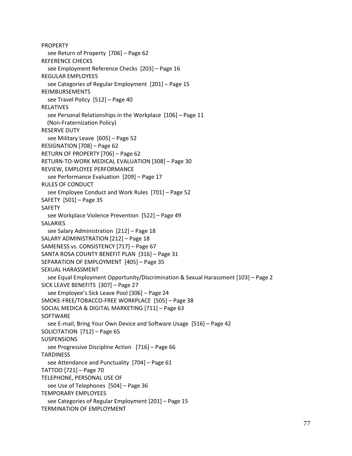PROPERTY see Return of Property [706] – Page 62 REFERENCE CHECKS see Employment Reference Checks [203] – Page 16 REGULAR EMPLOYEES see Categories of Regular Employment [201] – Page 15 REIMBURSEMENTS see Travel Policy [512] – Page 40 RELATIVES see Personal Relationships in the Workplace [106] – Page 11 (Non-Fraternization Policy) RESERVE DUTY see Military Leave [605] – Page 52 RESIGNATION [708] – Page 62 RETURN OF PROPERTY [706] – Page 62 RETURN-TO-WORK MEDICAL EVALUATION [308] – Page 30 REVIEW, EMPLOYEE PERFORMANCE see Performance Evaluation [209] – Page 17 RULES OF CONDUCT see Employee Conduct and Work Rules [701] – Page 52 SAFETY [501] – Page 35 SAFETY see Workplace Violence Prevention [522] – Page 49 SALARIES see Salary Administration [212] – Page 18 SALARY ADMINISTRATION [212] – Page 18 SAMENESS vs. CONSISTENCY [717] – Page 67 SANTA ROSA COUNTY BENEFIT PLAN [316] – Page 31 SEPARATION OF EMPLOYMENT [405] – Page 35 SEXUAL HARASSMENT see Equal Employment Opportunity/Discrimination & Sexual Harassment [103] – Page 2 SICK LEAVE BENEFITS [307] – Page 27 see Employee's Sick Leave Pool [306] – Page 24 SMOKE-FREE/TOBACCO-FREE WORKPLACE [505] – Page 38 SOCIAL MEDICA & DIGITAL MARKETING [711] – Page 63 SOFTWARE see E-mail, Bring Your Own Device and Software Usage [516] – Page 42 SOLICITATION [712] – Page 65 **SUSPENSIONS** see Progressive Discipline Action [716] – Page 66 **TARDINESS** see Attendance and Punctuality [704] – Page 61 TATTOO [721] – Page 70 TELEPHONE, PERSONAL USE OF see Use of Telephones [504] – Page 36 TEMPORARY EMPLOYEES see Categories of Regular Employment [201] – Page 15 TERMINATION OF EMPLOYMENT